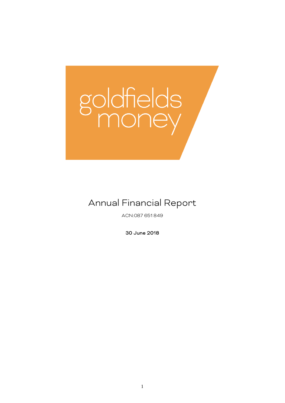# goldfields

# Annual Financial Report

ACN:087 651 849

30 June 2018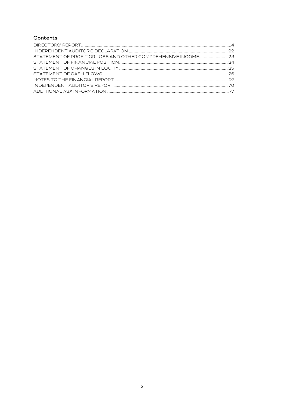# Contents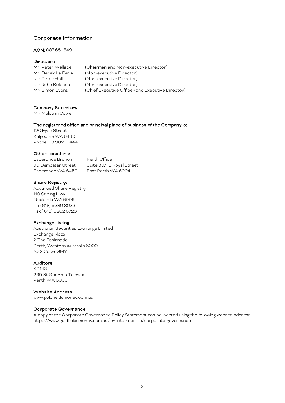# Corporate Information

#### ACN: 087 651 849

#### Directors

| Mr. Peter Wallace  | (Chairman and Non-executive Director)            |
|--------------------|--------------------------------------------------|
| Mr. Derek La Ferla | (Non-executive Director)                         |
| Mr. Peter Hall     | (Non-executive Director)                         |
| Mr. John Kolenda   | (Non-executive Director)                         |
| Mr. Simon Lyons    | (Chief Executive Officer and Executive Director) |

#### Company Secretary

Mr. Malcolm Cowell

#### The registered office and principal place of business of the Company is:

120 Egan Street KalgoorlieWA 6430 Phone: 08 9021 6444

#### Other Locations:

Esperance Branch Perth Office 90 Dempster Street Suite 30,118 Royal Street Esperance WA 6450 East Perth WA 6004

#### Share Registry:

Advanced Share Registry 110 Stirling Hwy Nedlands WA 6009 Tel:(618) 9389 8033 Fax:( 618) 9262 3723

#### Exchange Listing

Australian Securities Exchange Limited Exchange Plaza 2 The Esplanade Perth, Western Australia 6000 ASX Code: GMY

#### Auditors:

KPMG 235 St Georges Terrace Perth WA 6000

#### Website Address:

[www.goldfieldsmoney.com.au](http://www.goldfieldsmoney.com.au/)

#### Corporate Governance:

A copy of the Corporate Governance Policy Statement can be located using the following website address: https://www.goldfieldsmoney.com.au/investor-centre/corporate-governance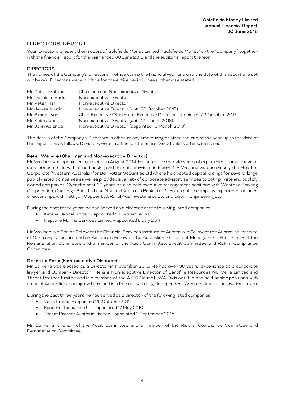# <span id="page-3-0"></span>DIRECTORS' REPORT

Your Directors present their report of Goldfields Money Limited ("Goldfields Money" or the "Company") together with the financial report for the year ended 30 June 2018 and the auditor's report thereon.

# DIRECTORS

The names of the Company's Directors in office during the financial year and until the date of this report are set out below. Directors were in office for the entire period unless otherwise stated.

| Mr Peter Wallace  | Chairman and Non-executive Director                                        |
|-------------------|----------------------------------------------------------------------------|
| Mr Derek La Ferla | Non-executive Director                                                     |
| Mr Peter Hall     | Non-executive Director                                                     |
| Mr James Austin   | Non-executive Director (until 23 October 2017)                             |
| Mr Simon Lyons    | Chief Executive Officer and Executive Director (appointed 23 October 2017) |
| Mr Keith John     | Non-executive Director (until 12 March 2018)                               |
| Mr John Kolenda   | Non-executive Director (appointed 13 March 2018)                           |

The details of the Company's Directors in office at any time during or since the end of the year up to the date of this report are as follows. Directors were in office for the entire period unless otherwise stated.

#### Peter Wallace (Chairman and Non-executive Director)

Mr Wallace was appointed a director in August 2014. He has more than 45 years of experience from a range of appointments held within the banking and financial services industry. Mr. Wallace was previously the Head of Corporate (Western Australia) for Bell Potter Securities Ltd where he directed capital raisings for several large publicly listed companies as well as provided a variety of corporate advisory services to both private and publicly owned companies. Over the past 30 years he also held executive management positions with Westpac Banking Corporation, Challenge Bank Ltd and National Australia Bank Ltd. Previous public company experience includes directorships with Tethyan Copper Ltd, Rural Aus Investments Ltd and Decmil Engineering Ltd.

During the past three years he has served as a director of the following listed companies:

- Katana Capital Limited appointed 19 September 2005
- Neptune Marine Services Limited appointed 8 July 2011

Mr Wallace is a Senior Fellow of the Financial Services Institute of Australia, a Fellow of the Australian Institute of Company Directors and an Associate Fellow of the Australian Institute of Management. He is Chair of the Remuneration Committee and a member of the Audit Committee, Credit Committee and Risk & Compliance Committee.

#### Derek La Ferla (Non-executive Director)

Mr La Ferla was elected as a Director in November 2015. He has over 30 years' experience as a corporate lawyer and Company Director. He is a Non-executive Director of Sandfire Resources NL, Veris Limited and Threat Protect Limited and is a member of the AICD Council (WA Division). He has held senior positions with some of Australia's leading law firms and is a Partner with large independent Western Australian law firm, Lavan.

During the past three years he has served as a director of the following listed companies:

- Veris Limited –appointed 28 October 2011
- Sandfire Resources NL appointed 17 May 2010
- Threat Protect Australia Limited appointed 3 September 2015

Mr La Ferla is Chair of the Audit Committee and a member of the Risk & Compliance Committee and Remuneration Committee.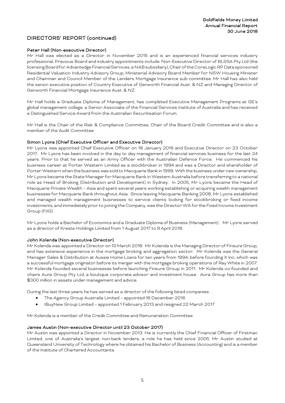#### Peter Hall (Non-executive Director)

Mr Hall was elected as a Director in November 2015 and is an experienced financial services industry professional. Previous Board and industry appointments include: Non-Executive Director of BLSSA Pty Ltd (the licensing Board for Advantedge Financial Services, a NAB subsidiary), Chair of the CoreLogic RP Data sponsored Residential Valuation Industry Advisory Group, Ministerial Advisory Board Member for NSW Housing Minister and Chairman and Council Member of the Lenders Mortgage Insurance sub-committee. Mr Hall has also held the senior executive position of Country Executive of Genworth Financial Aust. & NZ and Managing Director of Genworth Financial Mortgage Insurance Aust. & NZ.

Mr Hall holds a Graduate Diploma of Management, has completed Executive Management Programs at GE's global management college, a Senior Associate of the Financial Services Institute of Australia and has received a Distinguished Service Award from the Australian Securitisation Forum.

Mr Hall is the Chair of the Risk & Compliance Committee, Chair of the Board Credit Committee and is also a member of the Audit Committee.

#### Simon Lyons (Chief Executive Officer and Executive Director)

Mr Lyons was appointed Chief Executive Officer on 18 January 2016 and Executive Director on 23 October 2017. Mr Lyons has been involved in the day to day management of financial services business for the last 24 years. Prior to that he served as an Army Officer with the Australian Defence Force. He commenced his business career at Porter Western Limited as a stockbroker in 1994 and was a Director and shareholder of Porter Western when the business was sold to Macquarie Bank in 1999. With the business under new ownership, Mr Lyons became the State Manager for Macquarie Bank in Western Australia before transferring to a national role as Head of Broking (Distribution and Development) in Sydney. In 2005, Mr Lyons became the Head of Macquarie Private Wealth – Asia and spent several years working establishing or acquiring wealth management businesses for Macquarie Bank throughout Asia. Since leaving Macquarie Banking 2008, Mr Lyons established and managed wealth management businesses to service clients looking for stockbroking or fixed income investments, and immediately prior to joining the Company, was the Director WA for the Fixed Income Investment Group (FIIG).

Mr Lyons holds a Bachelor of Economics and a Graduate Diploma of Business (Management). Mr Lyons served as a director of Kresta Holdings Limited from 1 August 2017 to 9 April 2018.

#### John Kolenda (Non-executive Director)

Mr Kolenda was appointed a Director on 13 March 2018. Mr Kolenda is the Managing Director of Finsure Group, and has extensive experience in the mortgage broking and aggregation sector. Mr Kolenda was the General Manager Sales & Distribution at Aussie Home Loans for ten years from 1994, before founding X Inc, which was a successful mortgage originator before its merger with the mortgage broking operations of Ray White in 2007. Mr Kolenda founded several businesses before launching Finsure Group in 2011. Mr Kolenda co-founded and chairs Aura Group Pty Ltd, a boutique corporate advisor and investment house. Aura Group has more than \$300 million in assets under management and advice.

During the last three years he has served as a director of the following listed companies:

- The Agency Group Australia Limited appointed 19 December 2016
- IBuyNew Group Limited appointed 1 February 2013 and resigned 22 March 2017

Mr Kolenda is a member of the Credit Committee and Remuneration Committee.

#### James Austin (Non-executive Director until 23 October 2017)

Mr Austin was appointed a Director in November 2013. He is currently the Chief Financial Officer of Firstmac Limited, one of Australia's largest non-bank lenders, a role he has held since 2005. Mr Austin studied at Queensland University of Technology where he obtained his Bachelor of Business (Accounting) and is a member of the Institute of Chartered Accountants.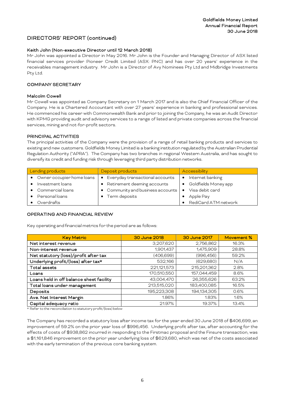#### Keith John (Non-executive Director until 12 March 2018)

Mr John was appointed a Director in May 2016. Mr John is the Founder and Managing Director of ASX listed financial services provider Pioneer Credit Limited (ASX: PNC) and has over 20 years' experience in the receivables management industry. Mr John is a Director of Avy Nominees Pty Ltd and Midbridge Investments Pty Ltd.

#### COMPANY SECRETARY

#### Malcolm Cowell

Mr Cowell was appointed as Company Secretary on 1 March 2017 and is also the Chief Financial Officer of the Company. He is a Chartered Accountant with over 27 years' experience in banking and professional services. He commenced his career with Commonwealth Bank and prior to joining the Company, he was an Audit Director with KPMG providing audit and advisory services to a range of listed and private companies across the financial services, mining and not-for-profit sectors.

#### PRINCIPAL ACTIVITIES

The principal activities of the Company were the provision of a range of retail banking products and services to existing and new customers. Goldfields Money Limited is a banking institution regulated by the Australian Prudential Regulation Authority ("APRA"). The Company has two branches in regional Western Australia, and has sought to diversify its credit and funding risk through leveraging third party distribution networks.

| Lending products            | Deposit products                  | Accessibility                 |
|-----------------------------|-----------------------------------|-------------------------------|
| • Owner occupier home loans | • Everyday transactional accounts | Internet banking<br>$\bullet$ |
| Investment loans            | • Retirement deeming accounts     | Goldfields Money app          |
| • Commercial loans          | • Community and business accounts | Visa debit card<br>$\bullet$  |
| Personal loans              | • Term deposits                   | Apple Pay                     |
| Overdrafts                  |                                   | RediCard ATM network          |

#### OPERATING AND FINANCIAL REVIEW

Key operating and financial metrics for the period are as follows:

| <b>Key Metric</b>                        | 30 June 2018 | 30 June 2017 | Movement % |
|------------------------------------------|--------------|--------------|------------|
| Net interest revenue                     | 3,207,620    | 2,756,862    | 16.3%      |
| Non-interest revenue                     | 1,901,437    | 1,475,909    | 28.8%      |
| Net statutory (loss)/profit after tax    | (406, 699)   | (996,456)    | 59.2%      |
| Underlying profit/(loss) after tax*      | 532,166      | (629, 680)   | N/A        |
| Total assets                             | 221,121,573  | 215,201,362  | 2.8%       |
| Loans                                    | 170,510,550  | 157,044,459  | 8.6%       |
| Loans held in off balance sheet facility | 43,004,470   | 26,355,626   | 63.2%      |
| Total loans under management             | 213,515,020  | 183,400,085  | 16.5%      |
| Deposits                                 | 195,223,308  | 194,134,305  | 0.6%       |
| Ave. Net Interest Margin                 | 1.86%        | 1.83%        | 1.6%       |
| Capital adequacy ratio                   | 21.97%       | 19.37%       | 13.4%      |

\* Refer to the reconciliation to statutory profit/(loss) below

The Company has recorded a statutory loss after income tax for the year ended 30 June 2018 of \$406,699, an improvement of 59.2% on the prior year loss of \$996,456. Underlying profit after tax, after accounting for the effects of costs of \$938,862 incurred in responding to the Firstmac proposal and the Finsure transaction, was a \$1,161,846 improvement on the prior year underlying loss of \$629,680, which was net of the costs associated with the early termination of the previous core banking system.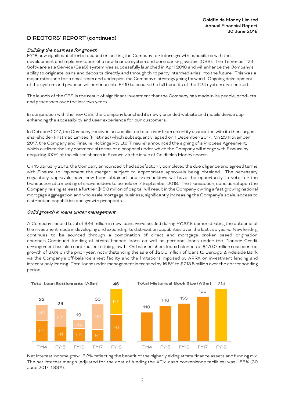#### Building the business for growth

FY18 saw significant efforts focused on setting the Company for future growth capabilities with the development and implementation of a new finance system and core banking system (CBS). The Temenos T24 Software as a Service (SaaS) system was successfully launched in April 2018 and will enhance the Company's ability to originate loans and deposits directly and through third party intermediaries into the future. This was a major milestone for a small team and underpins the Company's strategy going forward. Ongoing development of the system and process will continue into FY19 to ensure the full benefits of the T24 system are realised.

The launch of the CBS is the result of significant investment that the Company has made in its people, products and processes over the last two years.

In conjunction with the new CBS, the Company launched its newly branded website and mobile device app enhancing the accessibility and user experience for our customers.

In October 2017, the Company received an unsolicited take-over from an entity associated with its then largest shareholder Firstmac Limited (Firstmac) which subsequently lapsed on 1 December 2017. On 23 November 2017, the Company and Finsure Holdings Pty Ltd (Finsure) announced the signing of a Process Agreement, which outlined the key commercial terms of a proposal under which the Company will merge with Finsure by acquiring 100% of the diluted shares in Finsure via the issue of Goldfields Money shares.

On 15 January 2018, the Company announced it had satisfactorily completed the due diligence and agreed terms with Finsure to implement the merger, subject to appropriate approvals being obtained. The necessary regulatory approvals have now been obtained, and shareholders will have the opportunity to vote for the transaction at a meeting of shareholders to be held on 7 September 2018. The transaction, conditional upon the Company raising at least a further \$15.3 million of capital,will result in the Company owning a fast growing national mortgage aggregation and wholesale mortgage business, significantly increasing the Company's scale, access to distribution capabilities and growth prospects.

#### Solid growth in loans under management

A Company record total of \$46 million in new loans were settled during FY2018 demonstrating the outcome of the investmentmade in developing and expanding its distribution capabilities over the last two years. New lending continues to be sourced through a combination of direct and mortgage broker based origination channels. Continued funding of strata finance loans as well as personal loans under the Pioneer Credit arrangement has also contributed to this growth. On balance sheet loans balances of \$170.0 million represented growth of 8.6% on the prior year, notwithstanding the sale of \$20.6 million of loans to Bendigo & Adelaide Bank via the Company's off-balance sheet facility and the limitations imposed by APRA on investment lending and interest only lending. Total loans under management increased by 16.5% to \$213.5 million over the corresponding period.



The net interest margin (adjusted for the cost of funding the ATM cash convenience facilities) was 1.86% (30 June 2017: 1.83%).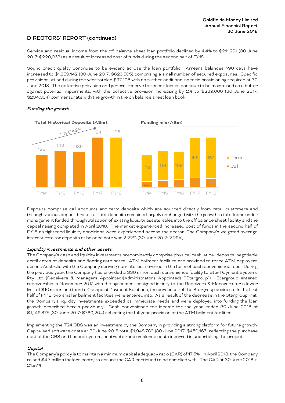Service and residual income from the off balance sheet loan portfolio declined by 4.4% to \$211,221 (30 June 2017: \$220,963) as a result of increased cost of funds during the second half of FY18.

Sound credit quality continues to be evident across the loan portfolio. Arrears balances >90 days have increased to \$1,959,142 (30 June 2017: \$626,505) comprising a small number of secured exposures. Specific provisions utilised during the year totaled \$97,108 with no further additional specific provisioning required at 30 June 2018. The collective provision and general reserve for credit losses continue to be maintained as a buffer against potential impairments, with the collective provision increasing by 2% to \$239,000 (30 June 2017: \$234,054) commensurate with the growth in the on balance sheet loan book.



#### Funding the growth

Deposits comprise call accounts and term deposits which are sourced directly from retail customers and through various deposit brokers. Total deposits remained largely unchanged with the growth in total loans under management funded through utilisation of existing liquidity assets, sales into the off balance sheet facility and the capital raising completed in April 2018. The market experienced increased cost of funds in the second half of FY18 as tightened liquidity conditions were experienced across the sector. The Company's weighted average interest rate for deposits at balance date was 2.22% (30 June 2017: 2.29%).

#### Liquidity investments and other assets

The Company's cash and liquidity investments predominantly comprise physical cash, at call deposits, negotiable certificates of deposits and floating rate notes. ATM bailment facilities are provided to three ATM deployers across Australia with the Company deriving non-interest revenue in the form of cash convenience fees. During the previous year, the Company had provided a \$30 million cash convenience facility to Star Payment Systems Pty Ltd (Receivers & Managers Appointed)(Administrators Appointed) ("Stargroup"). Stargroup entered receivership in November 2017 with the agreement assigned initially to the Receivers & Managers for a lower limit of \$10 million and then to Cashpoint Payment Solutions, the purchaser of the Stargroup business. In the first half of FY18, two smaller bailment facilities were entered into. As a result of the decrease in the Stargroup limit, the Company's liquidity investments exceeded its immediate needs and were deployed into funding the loan growth described herein previously. Cash convenience fee income for the year ended 30 June 2018 of \$1,149,875 (30 June 2017: \$760,204) reflecting the full year provision of the ATM bailment facilities.

Implementing the T24 CBS was an investment by the Company in providing a strong platform for future growth. Capitalised software costs at 30 June 2018 total \$1,948,789 (30 June 2017: \$450,167) reflecting the purchase cost of the CBS and finance system, contractor and employee costs incurred in undertaking the project.

#### Capital

The Company's policy is to maintain a minimum capital adequacy ratio (CAR) of 17.5%. In April 2018, the Company raised \$4.7 million (before costs) to ensure the CAR continued to be complied with. The CAR at 30 June 2018 is 21.97%.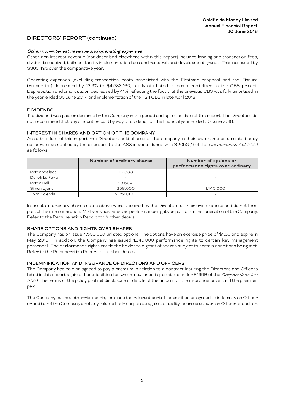#### Other non-interest revenue and operating expenses

Other non-interest revenue (not described elsewhere within this report) includes lending and transaction fees, dividends received, bailment facility implementation fees and research and development grants. This increased by \$303,495 over the comparative year.

Operating expenses (excluding transaction costs associated with the Firstmac proposal and the Finsure transaction) decreased by 13.3% to \$4,583,160, partly attributed to costs capitalised to the CBS project. Depreciation and amortisation decreased by 41% reflecting the fact that the previous CBS was fully amortised in the year ended 30 June 2017, and implementation of the T24 CBS in late April 2018.

#### DIVIDENDS

No dividend was paid or declared by the Company in the period and up to the date of this report. The Directors do not recommend that any amount be paid by way of dividend, for the financial year ended 30 June 2018.

#### INTEREST IN SHARES AND OPTION OF THE COMPANY

As at the date of this report, the Directors hold shares of the company in their own name or a related body corporate, as notified by the directors to the ASX in accordance with S205G(1) of the Corporations Act 2001 as follows:

|                | Number of ordinary shares | Number of options or<br>performance rights over ordinary |  |  |
|----------------|---------------------------|----------------------------------------------------------|--|--|
| Peter Wallace  | 70,838                    | $\overline{\phantom{a}}$                                 |  |  |
| Derek La Ferla |                           |                                                          |  |  |
| Peter Hall     | 13,534                    |                                                          |  |  |
| Simon Lyons    | 258,000                   | 1.140.000                                                |  |  |
| John Kolenda   | 2,750,480                 |                                                          |  |  |

Interests in ordinary shares noted above were acquired by the Directors at their own expense and do not form part of their remuneration. Mr Lyons has received performance rights as part of his remuneration of the Company. Refer to the Remuneration Report for further details.

#### SHARE OPTIONS AND RIGHTS OVER SHARES

The Company has on issue 4,500,000 unlisted options. The options have an exercise price of \$1.50 and expire in May 2019. In addition, the Company has issued 1,940,000 performance rights to certain key management personnel. The performance rights entitle the holder to a grant of shares subject to certain conditions being met. Refer to the Remuneration Report for further details.

#### INDEMNIFICATION AND INSURANCE OF DIRECTORS AND OFFICERS

The Company has paid or agreed to pay a premium in relation to a contract insuring the Directors and Officers listed in this report against those liabilities for which insurance is permitted under S199B of the Corporations Act 2001. The terms of the policy prohibit disclosure of details of the amount of the insurance cover and the premium paid.

The Company has not otherwise, during or since the relevant period, indemnified or agreed to indemnify an Officer or auditor of the Company or of any related body corporate against a liability incurred as such an Officer or auditor.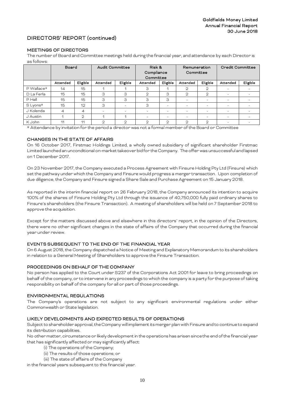### MEETINGS OF DIRECTORS

The number of Board and Committee meetings held during the financial year, and attendance by each Director is as follows:

|              | Board          |              | <b>Audit Committee</b>   |                          | Risk &<br>Compliance<br>Committee |                          | Remuneration<br>Committee |                          | Credit Committee         |          |
|--------------|----------------|--------------|--------------------------|--------------------------|-----------------------------------|--------------------------|---------------------------|--------------------------|--------------------------|----------|
|              | Attended       | Eligible     | Attended                 | Eligible                 | Attended                          | Eligible                 | Attended                  | Eligible                 | Attended                 | Eligible |
| $P$ Wallace* | 14             | 15           |                          |                          | З                                 |                          | $\mathbf{2}$              | 2                        |                          |          |
| D La Ferla   | 15             | 15           | 3                        | 3                        | $\mathfrak{D}$                    | З                        | $\mathbf{2}$              | $\overline{2}$           | $\overline{\phantom{0}}$ |          |
| $P$ Hall     | 15             | 15           | 3                        | 3                        | З                                 | 3                        | -                         | -                        | $\overline{\phantom{0}}$ | -        |
| S Lyons*     | 15             | 12           | З                        | $\overline{\phantom{m}}$ | 3                                 | $\overline{\phantom{a}}$ | -                         | $\overline{\phantom{0}}$ | $\overline{\phantom{0}}$ | -        |
| J Kolenda    | $\overline{4}$ | 4            | $\overline{\phantom{0}}$ | -                        | $\overline{\phantom{0}}$          | $\overline{\phantom{a}}$ | $\overline{\phantom{0}}$  | $\overline{\phantom{0}}$ | $\overline{\phantom{0}}$ |          |
| J Austin     |                | $\mathbf{2}$ |                          |                          | $\overline{\phantom{0}}$          | $\overline{\phantom{a}}$ |                           | $\overline{\phantom{0}}$ | $\overline{\phantom{0}}$ |          |
| K John       | 11             | 11           | ⌒                        | $\mathfrak{D}$           | ⌒                                 | $\mathfrak{D}$           | $\mathfrak{D}$            | 2                        |                          |          |

\* Attendance by invitation for the period a director was not a formal member of the Board or Committee

#### CHANGES IN THE STATE OF AFFAIRS

On 16 October 2017, Firstmac Holdings Limited, a wholly owned subsidiary of significant shareholder Firstmac Limited launched an unconditional on-market takeover bid for the Company. The offer was unsuccessful and lapsed on 1 December 2017.

On 23 November 2017, the Company executed a Process Agreement with Finsure Holding Pty Ltd (Finsure) which set the pathway under which the Company and Finsure would progress a merger transaction. Upon completion of due diligence, the Company and Finsure signed a Share Sale and Purchase Agreement on 15 January 2018.

As reported in the interim financial report on 26 February 2018, the Company announced its intention to acquire 100% of the shares of Finsure Holding Pty Ltd through the issuance of 40,750,000 fully paid ordinary shares to Finsure's shareholders (the Finsure Transaction). A meeting of shareholders will be held on 7 September 2018 to approve the acquisition.

Except for the matters discussed above and elsewhere in this directors' report, in the opinion of the Directors, there were no other significant changes in the state of affairs of the Company that occurred during the financial year under review.

#### EVENTS SUBSEQUENT TO THE END OF THE FINANCIAL YEAR

On 6 August 2018, the Company dispatched a Notice of Meeting and Explanatory Memorandum to its shareholders in relation to a General Meeting of Shareholders to approve the Finsure Transaction.

#### PROCEEDINGS ON BEHALF OF THE COMPANY

No person has applied to the Court under S237 of the Corporations Act 2001 for leave to bring proceedings on behalf of the company, or to intervene in any proceedings to which the company is a party for the purpose of taking responsibility on behalf of the company for all or part of those proceedings.

#### ENVIRONMENTAL REGULATIONS

The Company's operations are not subject to any significant environmental regulations under either Commonwealth or State legislation.

# LIKELY DEVELOPMENTS AND EXPECTED RESULTS OF OPERATIONS

Subject to shareholder approval, the Company will implement its merger plan with Finsure and to continue to expand its distribution capabilities.

No other matter, circumstance or likely development in the operations has arisen since the end of the financial year that has significantly affected or may significantly affect:

- (i) The operations of the Company;
- (ii) The results of those operations; or
- (iii) The state of affairs of the Company

in the financial years subsequent to this financial year.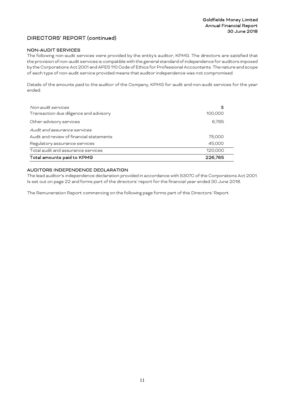#### NON-AUDIT SERVICES

The following non-audit services were provided by the entity's auditor, KPMG. The directors are satisfied that the provision of non-audit services is compatible with the general standard of independence for auditors imposed by the Corporations Act 2001 and APES 110 Code of Ethics for Professional Accountants. The nature and scope of each type of non-audit service provided means that auditor independence was not compromised.

Details of the amounts paid to the auditor of the Company, KPMG for audit and non-audit services for the year ended:

| Non audit services<br>Transaction due diligence and advisory | $\mathbf{\$}$<br>100,000 |
|--------------------------------------------------------------|--------------------------|
| Other advisory services                                      | 6,765                    |
| Audit and assurance services                                 |                          |
| Audit and review of financial statements<br>75,000           |                          |
| Regulatory assurance services                                | 45,000                   |
| Total audit and assurance services                           | 120,000                  |
| Total amounts paid to KPMG                                   | 226,765                  |

# AUDITORS INDEPENDENCE DECLARATION

The lead auditor's independence declaration provided in accordance with S307C of the Corporations Act 2001. Is set out on page 22 and forms part of the directors' report for the financial year ended 30 June 2018.

The Remuneration Report commencing on the following page forms part of this Directors' Report.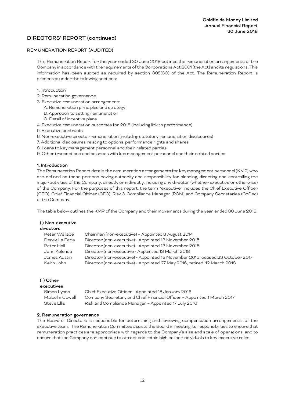#### REMUNERATION REPORT (AUDITED)

This Remuneration Report for the year ended 30 June 2018 outlines the remuneration arrangements of the Company in accordance with the requirements of the Corporations Act 2001 (the Act) and its regulations. This information has been audited as required by section 308(3C) of the Act. The Remuneration Report is presented under the following sections:

#### 1. Introduction

- 2. Remuneration governance
- 3. Executive remuneration arrangements
	- A. Remuneration principles and strategy
	- B. Approach to setting remuneration
- C. Detail of incentive plans
- 4. Executive remuneration outcomes for 2018 (including link to performance)
- 5. Executive contracts
- 6. Non-executive director remuneration (including statutory remuneration disclosures)
- 7. Additional disclosures relating to options, performance rights and shares
- 8. Loans to key management personnel and their related parties
- 9. Other transactions and balances with key management personnel and their related parties

#### 1. Introduction

The Remuneration Report details the remuneration arrangements for key management personnel (KMP) who are defined as those persons having authority and responsibility for planning, directing and controlling the major activities of the Company, directly or indirectly, including any director (whether executive or otherwise) of the Company. For the purposes of this report, the term "executive" includes the Chief Executive Officer (CEO), Chief Financial Officer (CFO), Risk & Compliance Manager (RCM) and Company Secretaries (CoSec) of the Company.

The table below outlines the KMP of the Company and their movements during the year ended 30 June 2018:

| (i) Non-executive<br>directors |                                                                               |
|--------------------------------|-------------------------------------------------------------------------------|
| Peter Wallace                  | Chairman (non-executive) - Appointed 8 August 2014                            |
| Derek La Ferla                 | Director (non-executive) - Appointed 13 November 2015                         |
| Peter Hall                     | Director (non-executive) - Appointed 13 November 2015                         |
| John Kolenda                   | Director (non-executive - Appointed 13 March 2018                             |
| James Austin                   | Director (non-executive) - Appointed 18 November 2013, ceased 23 October 2017 |
| Keith John                     | Director (non-executive) - Appointed 27 May 2016, retired 12 March 2018       |

#### (ii) Other executives

| .              |                                                                        |
|----------------|------------------------------------------------------------------------|
| Simon Lyons    | Chief Executive Officer - Appointed 18 January 2016                    |
| Malcolm Cowell | Company Secretary and Chief Financial Officer - Appointed 1 March 2017 |
| Steve Ellis    | Risk and Compliance Manager - Appointed 17 July 2016                   |

#### 2. Remuneration governance

The Board of Directors is responsible for determining and reviewing compensation arrangements for the executive team. The Remuneration Committee assists the Board in meeting its responsibilities to ensure that remuneration practices are appropriate with regards to the Company's size and scale of operations, and to ensure that the Company can continue to attract and retain high caliber individuals to key executive roles.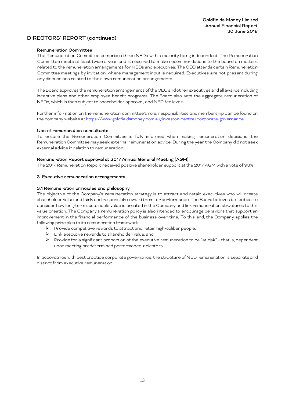#### Remuneration Committee

The Remuneration Committee comprises three NEDs with a majority being independent. The Remuneration Committee meets at least twice a year and is required to make recommendations to the board on matters related to the remuneration arrangements for NEDs and executives. The CEO attends certain Remuneration Committee meetings by invitation, where management input is required. Executives are not present during any discussions related to their own remuneration arrangements.

The Board approves the remuneration arrangements of the CEOand other executives and all awards including incentive plans and other employee benefit programs. The Board also sets the aggregate remuneration of NEDs, which is then subject to shareholder approval, and NED fee levels.

Further information on the remuneration committee's role, responsibilities and membership can be found on the company website at <https://www.goldfieldsmoney.com.au/investor-centre/corporate-governance> .

#### Use of remuneration consultants

To ensure the Remuneration Committee is fully informed when making remuneration decisions, the Remuneration Committee may seek external remuneration advice. During the year the Company did not seek external advice in relation to remuneration.

#### Remuneration Report approval at 2017 Annual General Meeting (AGM)

The 2017 Remuneration Report received positive shareholder support at the 2017 AGM with a vote of 93%.

#### 3. Executive remuneration arrangements

#### 3.1 Remuneration principles and philosophy

The objective of the Company's remuneration strategy is to attract and retain executives who will create shareholder value and fairly and responsibly reward them for performance. The Board believes it is critical to consider how long-term sustainable value is created in the Company and link remuneration structures to this value creation. The Company's remuneration policy is also intended to encourage behaviors that support an improvement in the financial performance of the business over time. To this end, the Company applies the following principles to its remuneration framework:

- $\triangleright$  Provide competitive rewards to attract and retain high-caliber people;
- > Link executive rewards to shareholder value; and
- Provide for a significant proportion of the executive remuneration to be "at risk" that is, dependent upon meeting predetermined performance indicators.

In accordance with best practice corporate governance, the structure of NED remuneration is separate and distinct from executive remuneration.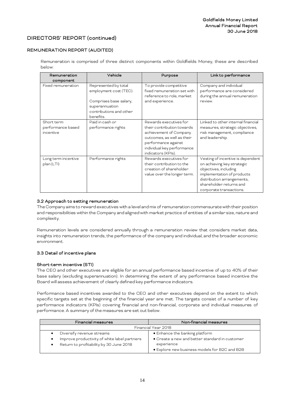#### REMUNERATION REPORT (AUDITED)

Remuneration is comprised of three distinct components within Goldfields Money, these are described below:

| Remuneration                                 | Vehicle                                                                                                                            | Purpose                                                                                                                                                                                 | Link to performance                                                                                                                                                                                        |
|----------------------------------------------|------------------------------------------------------------------------------------------------------------------------------------|-----------------------------------------------------------------------------------------------------------------------------------------------------------------------------------------|------------------------------------------------------------------------------------------------------------------------------------------------------------------------------------------------------------|
| component                                    |                                                                                                                                    |                                                                                                                                                                                         |                                                                                                                                                                                                            |
| Fixed remuneration                           | Represented by total<br>employment cost (TEC).<br>Comprises base salary,<br>superannuation<br>contributions and other<br>benefits. | To provide competitive<br>fixed remuneration set with<br>reference to role, market<br>and experience.                                                                                   | Company and individual<br>performance are considered<br>during the annual remuneration<br>review.                                                                                                          |
| Short term<br>performance based<br>incentive | Paid in cash or<br>performance rights                                                                                              | Rewards executives for<br>their contribution towards<br>achievement of Company<br>outcomes, as well as their<br>performance against<br>individual key performance<br>indicators (KPIs). | Linked to other internal financial<br>measures, strategic objectives,<br>risk management, compliance<br>and leadership.                                                                                    |
| Long term incentive<br>plan (LTI)            | Performance rights                                                                                                                 | Rewards executives for<br>their contribution to the<br>creation of shareholder<br>value over the longer term.                                                                           | Vesting of incentive is dependent<br>on achieving key strategic<br>objectives, including<br>implementation of products<br>distribution arrangements,<br>shareholder returns and<br>corporate transactions. |

#### 3.2 Approach to setting remuneration

The Company aims to reward executives with a level and mix of remuneration commensurate with their position and responsibilities within the Company and aligned with market practice of entities of a similar size, nature and complexity.

Remuneration levels are considered annually through a remuneration review that considers market data, insights into remuneration trends, the performance of the company and individual, and the broader economic environment.

#### 3.3 Detail of incentive plans

#### Short-term incentive (STI)

The CEO and other executives are eligible for an annual performance based incentive of up to 40% of their base salary (excluding superannuation). In determining the extent of any performance based incentive the Board will assess achievement of clearly defined key performance indicators.

Performance based incentives awarded to the CEO and other executives depend on the extent to which specific targets set at the beginning of the financial year are met. The targets consist of a number of key performance indicators (KPIs) covering financial and non-financial, corporate and individual measures of performance. A summary of the measures are set out below.

| Financial measures                                   | Non-financial measures                         |
|------------------------------------------------------|------------------------------------------------|
|                                                      | Financial Year 2018                            |
| Diversify revenue streams<br>$\bullet$               | • Enhance the banking platform                 |
| Improve productivity of white label partners<br>٠    | • Create a new and better standard in customer |
| Return to profitability by 30 June 2018<br>$\bullet$ | experience                                     |
|                                                      | • Explore new business models for B2C and B2B  |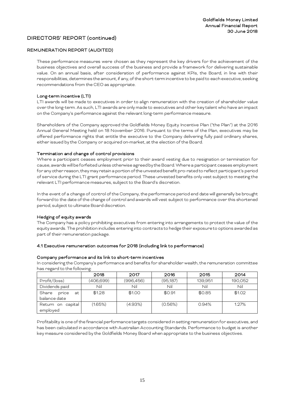# REMUNERATION REPORT (AUDITED)

These performance measures were chosen as they represent the key drivers for the achievement of the business objectives and overall success of the business and provide a framework for delivering sustainable value. On an annual basis, after consideration of performance against KPIs, the Board, in line with their responsibilities, determines the amount, if any, of the short-term incentive to be paid to each executive, seeking recommendations from the CEO as appropriate.

#### Long-term incentive (LTI)

LTI awards will be made to executives in order to align remuneration with the creation of shareholder value over the long-term. As such, LTI awards are only made to executives and other key talent who have an impact on the Company's performance against the relevant long-term performance measure.

Shareholders of the Company approved the Goldfields Money Equity Incentive Plan ("the Plan") at the 2016 Annual General Meeting held on 18 November 2016. Pursuant to the terms of the Plan, executives may be offered performance rights that entitle the executive to the Company delivering fully paid ordinary shares, either issued by the Company or acquired on-market, at the election of the Board.

#### Termination and change of control provisions

Where a participant ceases employment prior to their award vesting due to resignation or termination for cause, awards will be forfeitedunless otherwise agreed by the Board. Where a participant ceases employment for any other reason, they may retain a portion of the unvested benefit pro-rated to reflect participant's period of service during the LTI grant performance period. These unvested benefits only vest subject to meeting the relevant LTI performance measures, subject to the Board's discretion.

In the event of a change of control of the Company, the performance period end date will generally be brought forward to the date of the change of control and awards will vest subject to performance over this shortened period, subject to ultimate Board discretion.

#### Hedging of equity awards

The Company has a policy prohibiting executives from entering into arrangements to protect the value of the equity awards. The prohibition includes entering into contracts to hedge their exposure to options awarded as part of their remuneration package.

#### 4.1 Executive remuneration outcomes for 2018 (including link to performance)

#### Company performance and its link to short-term incentives

In considering the Company's performance and benefits for shareholder wealth, the remuneration committee has regard to the following:

|                      | 2018      | 2017      | 2016      | 2015    | 2014    |
|----------------------|-----------|-----------|-----------|---------|---------|
| Profit/(loss)        | (406,699) | (996,456) | (95, 187) | 139,951 | 190,052 |
| Dividends paid       | Nil       | Nil       | Nil       | Nil     | Nil     |
| Share<br>at<br>price | \$1.28    | \$1.00    | \$0.91    | \$0.85  | \$1.02  |
| balance date         |           |           |           |         |         |
| Return on<br>capital | (1.65%)   | (4.93%)   | (0.56%)   | 0.94%   | 1.27%   |
| emploved             |           |           |           |         |         |

Profitability is one of the financial performance targets considered in setting remuneration for executives, and has been calculated in accordance with Australian Accounting Standards. Performance to budget is another key measure considered by the Goldfields Money Board when appropriate to the business objectives.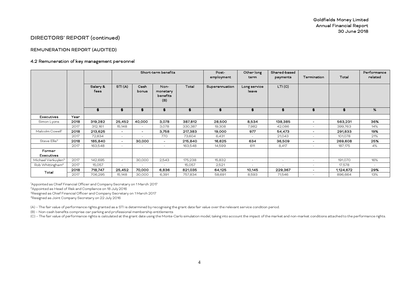#### REMUNERATION REPORT (AUDITED)

#### 4.2 Remuneration of key management personnel

|                                |      |          |                          |                          | Short-term benefits         |         | Post-          | Other long   | Shared-based |                          |           | Performance |
|--------------------------------|------|----------|--------------------------|--------------------------|-----------------------------|---------|----------------|--------------|--------------|--------------------------|-----------|-------------|
|                                |      |          |                          |                          |                             |         | employment     | term         | payments     | Termination              | Total     | related     |
|                                |      | Salary & | STI(A)                   | Cash                     | Non-                        | Total   | Superannuation | Long service | LTI(C)       |                          |           |             |
|                                |      | fees     |                          | bonus                    | monetary<br>benefits<br>(B) |         |                | leave        |              |                          |           |             |
|                                |      | \$       | \$                       | \$                       | \$                          | \$      | \$             | \$           | \$           | \$                       | \$        | %           |
| Executives                     | Year |          |                          |                          |                             |         |                |              |              |                          |           |             |
| Simon Lyons                    | 2018 | 319,282  | 25,452                   | 40,000                   | 3,078                       | 387,812 | 28,500         | 8,534        | 138,385      | $\overline{\phantom{0}}$ | 563,231   | 36%         |
|                                | 2017 | 312,161  | 15,148                   | $\overline{\phantom{a}}$ | 3,078                       | 330,387 | 19,308         | 7,982        | 42,086       | $\sim$                   | 399,763   | 14%         |
| Malcolm Cowell <sup>1</sup>    | 2018 | 213,625  | $\overline{\phantom{a}}$ | $\sim$                   | 3,758                       | 217,383 | 19,000         | 977          | 54,473       | $\overline{\phantom{0}}$ | 291,833   | 19%         |
|                                | 2017 | 72,834   | $\sim$                   | $\sim$                   | 770                         | 73,604  | 6,431          | $\sim$       | 21,043       | $\sim$                   | 101,078   | 21%         |
| Steve Ellis <sup>2</sup>       | 2018 | 185,840  | $\sim$                   | 30,000                   | $\sim$                      | 215,840 | 16,625         | 634          | 36,509       | $\sim$                   | 269,608   | 25%         |
|                                | 2017 | 163,548  | $\sim$                   | $\sim$                   | $\sim$                      | 163,548 | 14,599         | 611          | 8,417        | $\sim$                   | 187,175   | 4%          |
| Former                         |      |          |                          |                          |                             |         |                |              |              |                          |           |             |
| Executives                     |      |          |                          |                          |                             |         |                |              |              |                          |           |             |
| Michael Verkuylen <sup>3</sup> | 2017 | 142,695  | $\sim$                   | 30,000                   | 2,543                       | 175,238 | 15,832         | $\sim$       | $\sim$       | $\sim$                   | 191,070   | 16%         |
| Rob Whittingham <sup>4</sup>   | 2017 | 15,057   | $\sim$                   |                          | $\overline{\phantom{a}}$    | 15,057  | 2,521          | $\sim$       | $\sim$       | $\sim$                   | 17,578    | $\sim$      |
| Total                          | 2018 | 718.747  | 25,452                   | 70,000                   | 6,836                       | 821,035 | 64,125         | 10.145       | 229,367      | $\overline{\phantom{a}}$ | 1,124,672 | 29%         |
|                                | 2017 | 706,295  | 15,148                   | 30,000                   | 6,391                       | 757,834 | 58,691         | 8,593        | 71,546       |                          | 896,664   | 13%         |

1 Appointed as Chief Financial Officer and Company Secretary on 1 March 2017 2Appointed as Head of Risk and Compliance on 18 July 2016

3Resigned as Chief Financial Officer and Company Secretary on 1 March 2017

4Resigned as Joint Company Secretary on 22 July 2016

(A) – The fair value of performance rights granted as a STI is determined by recognising the grant date fair value over the relevant service condition period.

(B) – Non-cash benefits comprise car parking and professional membership entitlements

(C) – The fair value of performance rights is calculated at the grant date using the Monte-Carlo simulation model, taking into account the impact of the market and non-market conditions attached to the performance rights.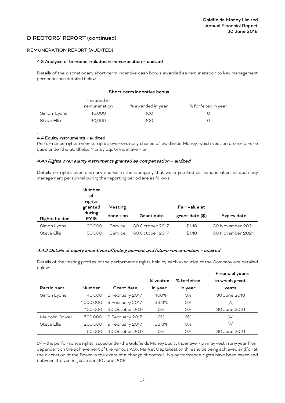#### REMUNERATION REPORT (AUDITED)

#### 4.3 Analysis of bonuses included in remuneration – audited

Details of the discretionary short-term incentive cash bonus awarded as remuneration to key management personnel are detailed below:

#### Short-term incentive bonus

|             | Included in  |                   |                     |
|-------------|--------------|-------------------|---------------------|
|             | remuneration | % awarded in year | % forfeited in year |
| Simon Lyons | 40.000       | 100               |                     |
| Steve Ellis | 30,000       | 100               |                     |

#### . 4.4 Equity instruments - audited

Performance rights refer to rights over ordinary shares of Goldfields Money, which vest on a one-for-one basis under the Goldfields Money Equity Incentive Plan.

#### 4.4.1 Rights over equity instruments granted as compensation – audited

Details on rights over ordinary shares in the Company that were granted as remuneration to each key management personnel during the reporting period are as follows:

|                    | Number<br>оf<br>rights<br>granted | Vesting   |                 | Fair value at            |                  |
|--------------------|-----------------------------------|-----------|-----------------|--------------------------|------------------|
| Rights holder      | during<br><b>FY18</b>             | condition | Grant date      | grant date $(\text{$}$ ) | Expiry date      |
| Simon Lyons        | 100,000                           | Service   | 30 October 2017 | \$1.18                   | 30 November 2021 |
| <b>Steve Ellis</b> | 50,000                            | Service   | 30 October 2017 | \$1.18                   | 30 November 2021 |

#### 4.4.2 Details of equity incentives affecting current and future remuneration – audited

Details of the vesting profiles of the performance rights held by each executive of the Company are detailed below:

|                    |           |                 |          |             | Financial years |
|--------------------|-----------|-----------------|----------|-------------|-----------------|
|                    |           |                 | % vested | % forfeited | in which grant  |
| Participant        | Number    | Grant date      | in year  | in year     | vests           |
| Simon Lyons        | 40,000    | 3 February 2017 | 100%     | 0%          | 30 June 2018    |
|                    | 1,000,000 | 9 February 2017 | 33.3%    | 0%          | (A)             |
|                    | 100,000   | 30 October 2017 | $O\%$    | 0%          | 30 June 2021    |
| Malcolm Cowell     | 500,000   | 9 February 2017 | 0%       | $O\%$       | (A)             |
| <b>Steve Ellis</b> | 200,000   | 9 February 2017 | 33.3%    | $O\%$       | (A)             |
|                    | 50,000    | 30 October 2017 | $O\%$    | $O\%$       | 30 June 2021    |

(A) – the performance rights issued under the Goldfields Money Equity Incentive Plan may vest in any year from dependent on the achievement of the various ASX Market Capitalisation thresholds being achieved and/or at the discretion of the Board in the event of a change of control. No performance rights have been exercised between the vesting date and 30 June 2018.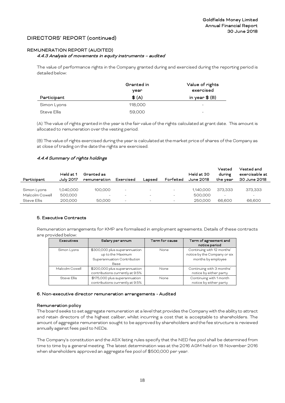# REMUNERATION REPORT (AUDITED)

#### 4.4.3 Analysis of movements in equity instruments – audited

The value of performance rights in the Company granted during and exercised during the reporting period is detailed below:

|             | Granted in<br>vear   | Value of rights<br>exercised |
|-------------|----------------------|------------------------------|
| Participant | $\textcircled{f}(A)$ | in year $\mathcal{L}(B)$     |
| Simon Lyons | 118,000              | -                            |
| Steve Ellis | 59,000               | -                            |

(A) The value of rights granted in the year is the fair value of the rights calculated at grant date. This amount is allocated to remuneration over the vesting period.

(B) The value of rights exercised during the year is calculated at the market price of shares of the Company as at close of trading on the date the rights are exercised.

#### 4.4.4 Summary of rights holdings

| Participant    | Held at 1<br>July 2017 | Granted as<br>remuneration | Exercised                | Lapsed                   | Forfeited                | Held at 30<br>June 2018 | Vested<br>during<br>the vear | Vested and<br>exercisable at<br>30 June 2018 |
|----------------|------------------------|----------------------------|--------------------------|--------------------------|--------------------------|-------------------------|------------------------------|----------------------------------------------|
| Simon Lyons    | 1,040,000              | 100,000                    | $\overline{\phantom{0}}$ | $\overline{\phantom{0}}$ | $-$                      | 1.140.000               | 373.333                      | 373.333                                      |
| Malcolm Cowell | 500,000                | $\overline{\phantom{m}}$   | $\overline{\phantom{0}}$ | $\overline{\phantom{0}}$ | $\overline{\phantom{0}}$ | 500,000                 | $\overline{\phantom{0}}$     | $-$                                          |
| Steve Ellis    | 200,000                | 50,000                     | $\overline{\phantom{a}}$ | $\overline{\phantom{a}}$ | $\overline{\phantom{a}}$ | 250,000                 | 66,600                       | 66,600                                       |

#### 5. Executive Contracts

Remuneration arrangements for KMP are formalised in employment agreements. Details of these contracts are provided below:

| Executives         | Salary per annum                                                                          | Term for cause | Term of agreement and<br>notice period                                           |
|--------------------|-------------------------------------------------------------------------------------------|----------------|----------------------------------------------------------------------------------|
| Simon Lyons        | \$300,000 plus superannuation<br>up to the Maximum<br>Superannuation Contribution<br>Base | None           | Continuing with 12 months'<br>notice by the Company or six<br>months by employee |
| Malcolm Cowell     | \$200,000 plus superannuation<br>contributions currently at 9.5%                          | None           | Continuing with 3 months'<br>notice by either party                              |
| <b>Steve Fllis</b> | \$175,000 plus superannuation<br>contributions currently at 9.5%                          | None           | Continuing with 1 month<br>notice by either party                                |

#### 6. Non-executive director remuneration arrangements - Audited

#### Remuneration policy

The board seeks to set aggregate remuneration at a level that provides the Company with the ability to attract and retain directors of the highest caliber, whilst incurring a cost that is acceptable to shareholders. The amount of aggregate remuneration sought to be approved by shareholders and the fee structure is reviewed annually against fees paid to NEDs.

The Company's constitution and the ASX listing rules specify that the NED fee pool shall be determined from time to time by a general meeting. The latest determination was at the 2016 AGM held on 18 November 2016 when shareholders approved an aggregate fee pool of \$500,000 per year.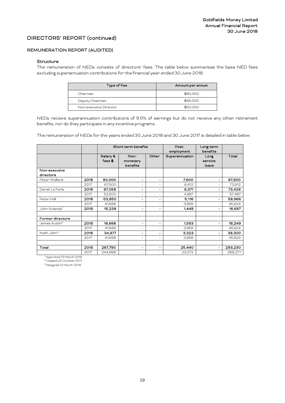#### REMUNERATION REPORT (AUDITED)

#### **Structure**

The remuneration of NEDs consists of directors' fees. The table below summarises the base NED fees excluding superannuation contributions for the financial year ended 30 June 2018:

| <b>Type of Fee</b>     | Amount per annum |
|------------------------|------------------|
| Chairman               | \$80,000         |
| Deputy Chairman        | \$65,000         |
| Non-executive Director | \$50,000         |

NEDs receive superannuation contributions of 9.5% of earnings but do not receive any other retirement benefits, nor do they participate in any incentive programs.

The remuneration of NEDs for the years ended 30 June 2018 and 30 June 2017 is detailed in table below.

|                            |      |                     | Short-term benefits          |                          | Post-<br>employment | Long-term<br>benefits    |         |
|----------------------------|------|---------------------|------------------------------|--------------------------|---------------------|--------------------------|---------|
|                            |      | Salary &<br>fees \$ | Non-<br>monetary<br>benefits | Other                    | Superannuation      | Long<br>service<br>leave | Total   |
| Non-executive<br>directors |      |                     |                              |                          |                     |                          |         |
| Peter Wallace              | 2018 | 80,000              | $\overline{\phantom{a}}$     | $\overline{\phantom{a}}$ | 7,600               | $\overline{\phantom{a}}$ | 87,600  |
|                            | 2017 | 67,500              | $\overline{\phantom{a}}$     | ٠                        | 6,412               | $\sim$                   | 73,912  |
| Derek La Ferla             | 2018 | 67,058              | $\frac{1}{2}$                | $\overline{\phantom{a}}$ | 6,371               | $\blacksquare$           | 73,429  |
|                            | 2017 | 52,500              | $\overline{\phantom{a}}$     | $\sim$                   | 4,987               | $\sim$                   | 57,487  |
| Peter Hall                 | 2018 | 53,850              | $\overline{\phantom{a}}$     | $\blacksquare$           | 5,116               | $\blacksquare$           | 58,966  |
|                            | 2017 | 41,666              | $\overline{\phantom{a}}$     | $\sim$                   | 3,958               | $\sim$                   | 45,624  |
| John Kolenda <sup>1</sup>  | 2018 | 15,239              | -                            | $\overline{\phantom{a}}$ | 1,448               | -                        | 16,687  |
| Former directors           |      |                     |                              |                          |                     |                          |         |
| James Austin <sup>2</sup>  | 2018 | 16,666              | $\overline{\phantom{a}}$     | $\overline{\phantom{a}}$ | 1.583               | $\overline{\phantom{a}}$ | 18,249  |
|                            | 2017 | 41,666              | $\overline{\phantom{a}}$     | $\overline{\phantom{a}}$ | 3,958               | $\sim$                   | 45,624  |
| Keith John <sup>3</sup>    | 2018 | 34,977              | $\qquad \qquad \blacksquare$ | $\blacksquare$           | 3,323               | $\sim$                   | 38,300  |
|                            | 2017 | 41,666              | $\overline{\phantom{a}}$     | $\overline{\phantom{a}}$ | 3,958               | $\sim$                   | 45,624  |
| Total                      | 2018 | 267,790             | -                            | $\overline{\phantom{a}}$ | 25,440              | $\blacksquare$           | 293,230 |
|                            | 2017 | 244,998             | $\overline{\phantom{a}}$     | $\overline{\phantom{a}}$ | 23,273              | $\sim$                   | 268,271 |

<sup>1</sup> Appointed 13 March 2018

<sup>2</sup> Ceased 23 October 2017

<sup>3</sup> Resigned 12 March 2018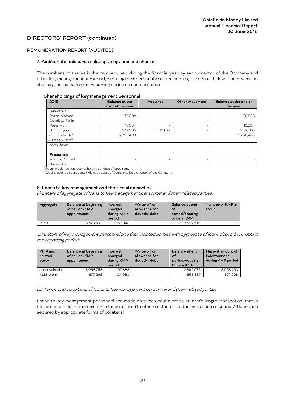#### REMUNERATION REPORT (AUDITED)

#### 7. Additional disclosures relating to options and shares

The numbers of shares in the company held during the financial year by each director of the Company and other key management personnel, including their personally related parties, are set out below. There were no shares granted during the reporting period as compensation.

#### Shareholdings of key management personnel

| ັ<br>2018                 | Balance at the<br>start of the year | Acquired | Other movement | Balance at the end of<br>the year |
|---------------------------|-------------------------------------|----------|----------------|-----------------------------------|
| <b>Directors</b>          |                                     |          |                |                                   |
| Peter Wallace             | 70,838                              |          | $\sim$         | 70,838                            |
| Derek La Ferla            | ×.                                  | ۰        | ۰.             |                                   |
| Peter Hall                | 13,534                              | ۰        | $\sim$         | 13,534                            |
| Simon Lyons               | 247,303                             | 10,697   | $\sim$         | 258,000                           |
| John Kolenda <sup>1</sup> | 2,750,480                           |          | $\sim$         | 2,750,480                         |
| James Austin <sup>2</sup> |                                     |          | $\sim$         |                                   |
| Keith John <sup>2</sup>   | ×.                                  |          | ۰.             |                                   |
| <b>Executives</b>         |                                     |          |                |                                   |
| Malcolm Cowell            | ×.                                  |          |                |                                   |
| Steve Ellis               | $\overline{\phantom{a}}$            |          | $\sim$         | $\overline{\phantom{0}}$          |

1 Opening balance represents holdings at date of appointment

<sup>2</sup> Closing balance represents holdings at date of ceasing to be a director of the Company

#### 8. Loans to key management and their related parties

(i) Details of aggregate of loans to key management personnel and their related parties:

| Aggregate | Balance at beginning<br>of period/KMP<br>appointment | Interest<br>charged<br>during KMP<br>period | Write-off or<br>allowance for<br>doubtful debt | Balance at end<br>оf<br>period/ceasing<br>to be a KMP | Number of KMP in<br>group |
|-----------|------------------------------------------------------|---------------------------------------------|------------------------------------------------|-------------------------------------------------------|---------------------------|
| 2018      | 3.748.509                                            | 123.143                                     |                                                | 3.552.519                                             |                           |

(ii) Details of key management personnel and their related parties with aggregate of loans above \$100,000 in the reporting period:

| KMP and<br>related<br>party | Balance at beginning<br>of period/KMP<br>appointment | Interest<br>charged<br>during KMP<br>period | Write-off or<br>allowance for<br>doubtful debt | Balance at end<br>of<br>period/ceasing<br>to be a KMP | Highest amount of<br>indebtedness<br>during KMP period |
|-----------------------------|------------------------------------------------------|---------------------------------------------|------------------------------------------------|-------------------------------------------------------|--------------------------------------------------------|
| John Kolenda                | 3.058.753                                            | 97.683                                      |                                                | 2.892.973                                             | 3.058.753                                              |
| Keith John                  | 677.298                                              | 24.980                                      |                                                | 653.387                                               | 677.298                                                |

(iii) Terms and conditions of loans to key management personnel and their related parties

Loans to key management personnel are made on terms equivalent to an arm's length transaction, that is terms and conditions are similar to those offered to other customers at the time a loan is funded. All loans are secured by appropriate forms of collateral.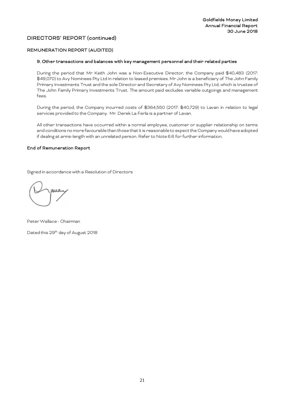#### REMUNERATION REPORT (AUDITED)

#### 9. Other transactions and balances with key management personnel and their related parties

During the period that Mr Keith John was a Non-Executive Director, the Company paid \$40,483 (2017: \$49,070) to Avy Nominees Pty Ltd in relation to leased premises. Mr John is a beneficiary of The John Family Primary Investments Trust and the sole Director and Secretary of Avy Nominees Pty Ltd, which is trustee of The John Family Primary Investments Trust. The amount paid excludes variable outgoings and management fees.

During the period, the Company incurred costs of \$364,550 (2017: \$40,729) to Lavan in relation to legal services provided to the Company. Mr. Derek La Ferla is a partner of Lavan.

All other transactions have occurred within a normal employee, customer or supplier relationship on terms and conditions no morefavourablethan those that it is reasonable to expect the Company would have adopted if dealing at arms-length with an unrelated person. Refer to Note 6.6 for further information.

#### End of Remuneration Report

Signed in accordance with a Resolution of Directors

Peter Wallace - Chairman Dated this 29<sup>th</sup> day of August 2018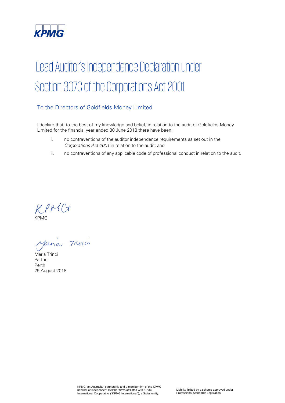

# Lead Auditor's Independence Declaration under Section 307C of the Corporations Act 2001

# To the Directors of Goldfields Money Limited

I declare that, to the best of my knowledge and belief, in relation to the audit of Goldfields Money Limited for the financial year ended 30 June 2018 there have been:

- i. no contraventions of the auditor independence requirements as set out in the Corporations Act 2001 in relation to the audit; and
- ii. no contraventions of any applicable code of professional conduct in relation to the audit.

KPMC+

Maria Trina

Maria Trinci Partner Perth 29 August 2018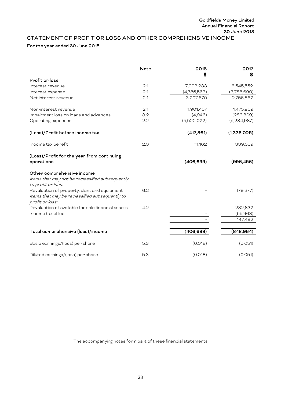# <span id="page-22-0"></span>STATEMENT OF PROFIT OR LOSS AND OTHER COMPREHENSIVE INCOME

# For the year ended 30 June 2018

|                                                                                                                   | Note | 2018        | 2017        |
|-------------------------------------------------------------------------------------------------------------------|------|-------------|-------------|
| Profit or loss                                                                                                    |      | S           | \$          |
| Interest revenue                                                                                                  | 2.1  | 7,993,233   | 6,545,552   |
|                                                                                                                   | 2.1  | (4,785,563) | (3,788,690) |
| Interest expense<br>Net interest revenue                                                                          | 2.1  | 3,207,670   | 2,756,862   |
|                                                                                                                   |      |             |             |
| Non-interest revenue                                                                                              | 2.1  | 1,901,437   | 1,475,909   |
| Impairment loss on loans and advances                                                                             | 3.2  | (4,946)     | (283, 809)  |
| Operating expenses                                                                                                | 2.2  | (5,522,022) | (5,284,987) |
| (Loss)/Profit before income tax                                                                                   |      | (417, 861)  | (1,336,025) |
| Income tax benefit                                                                                                | 2.3  | 11,162      | 339,569     |
| (Loss)/Profit for the year from continuing<br>operations                                                          |      | (406, 699)  | (996, 456)  |
| Other comprehensive income<br>Items that may not be reclassified subsequently                                     |      |             |             |
| to profit or loss:                                                                                                |      |             |             |
| Revaluation of property, plant and equipment<br>Items that may be reclassified subsequently to<br>profit or loss: | 6.2  |             | (79, 377)   |
| Revaluation of available for sale financial assets                                                                | 4.2  |             | 282,832     |
| Income tax effect                                                                                                 |      |             | (55,963)    |
|                                                                                                                   |      |             | 147,492     |
|                                                                                                                   |      |             |             |
| Total comprehensive (loss)/income                                                                                 |      | (406, 699)  | (848, 964)  |
| Basic earnings/(loss) per share                                                                                   | 5.3  | (0.018)     | (0.051)     |
| Diluted earnings/(loss) per share                                                                                 | 5.3  | (0.018)     | (0.051)     |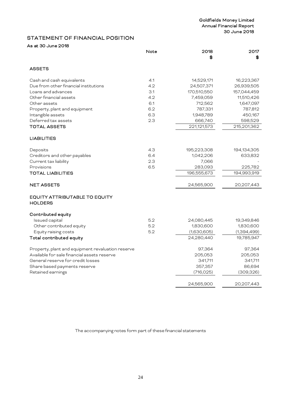# <span id="page-23-0"></span>STATEMENT OF FINANCIAL POSITION

# As at 30 June 2018

|                                                        | Note | 2018<br>\$  | 2017<br>\$  |
|--------------------------------------------------------|------|-------------|-------------|
| <b>ASSETS</b>                                          |      |             |             |
| Cash and cash equivalents                              | 4.1  | 14,529,171  | 16,223,367  |
| Due from other financial institutions                  | 4.2  | 24,507,371  | 26,939,505  |
| Loans and advances                                     | 3.1  | 170,510,550 | 157,044,459 |
| Other financial assets                                 | 4.2  | 7,459,059   | 11,510,426  |
| Other assets                                           | 6.1  | 712,562     | 1,647,097   |
| Property, plant and equipment                          | 6.2  | 787,331     | 787,812     |
| Intangible assets                                      | 6.3  | 1,948,789   | 450,167     |
| Deferred tax assets                                    | 2.3  | 666,740     | 598,529     |
| <b>TOTAL ASSETS</b>                                    |      | 221,121,573 | 215,201,362 |
| LIABILITIES                                            |      |             |             |
| Deposits                                               | 4.3  | 195,223,308 | 194,134,305 |
| Creditors and other payables                           | 6.4  | 1,042,206   | 633,832     |
| Current tax liability                                  | 2.3  | 7,066       |             |
| Provisions                                             | 6.5  | 283,093     | 225,782     |
| <b>TOTAL LIABILITIES</b>                               |      | 196,555,673 | 194,993,919 |
| <b>NET ASSETS</b>                                      |      | 24,565,900  | 20,207,443  |
| <b>EQUITY ATTRIBUTABLE TO EQUITY</b><br><b>HOLDERS</b> |      |             |             |
| Contributed equity                                     |      |             |             |
| Issued capital                                         | 5.2  | 24,080,445  | 19,349,846  |
| Other contributed equity                               | 5.2  | 1,830,600   | 1,830,600   |
| Equity raising costs                                   | 5.2  | (1,630,605) | (1,394,499) |
| Total contributed equity                               |      | 24,280,440  | 19,785,947  |
| Property, plant and equipment revaluation reserve      |      | 97,364      | 97,364      |
| Available for sale financial assets reserve            |      | 205,053     | 205,053     |
| General reserve for credit losses                      |      | 341,711     | 341,711     |
| Share based payments reserve                           |      | 357,357     | 86,694      |
| Retained earnings                                      |      | (716, 025)  | (309, 326)  |
|                                                        |      | 24,565,900  | 20,207,443  |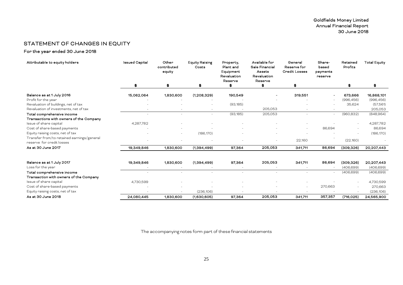# STATEMENT OF CHANGES IN EQUITY

For the year ended 30 June 2018

<span id="page-24-0"></span>

| Attributable to equity holders                                          | <b>Issued Capital</b> | Other<br>contributed<br>equity | <b>Equity Raising</b><br>Costs | Property,<br>Plant and<br>Equipment<br>Revaluation<br>Reserve | Available for<br>Sale Financial<br>Assets<br>Revaluation<br>Reserve | General<br>Reserve for<br><b>Credit Losses</b> | Share-<br>based<br>payments<br>reserve | Retained<br>Profits | <b>Total Equity</b> |
|-------------------------------------------------------------------------|-----------------------|--------------------------------|--------------------------------|---------------------------------------------------------------|---------------------------------------------------------------------|------------------------------------------------|----------------------------------------|---------------------|---------------------|
|                                                                         | \$                    | \$                             | \$                             |                                                               | Ŧ                                                                   | \$                                             |                                        | 46.                 | \$                  |
| Balance as at 1 July 2016                                               | 15,062,064            | 1,830,600                      | (1,208,329)                    | 190,549                                                       |                                                                     | 319,551                                        |                                        | 673,666             | 16,868,101          |
| Profit for the year                                                     |                       |                                |                                |                                                               |                                                                     |                                                |                                        | (996, 456)          | (996, 456)          |
| Revaluation of buildings, net of tax                                    |                       |                                |                                | (93, 185)                                                     |                                                                     |                                                |                                        | 35,624              | (57, 561)           |
| Revaluation of investments, net of tax                                  |                       |                                | $\overline{\phantom{a}}$       |                                                               | 205,053                                                             |                                                |                                        |                     | 205,053             |
| Total comprehensive income                                              | ٠                     | ٠                              | $\sim$                         | (93, 185)                                                     | 205,053                                                             |                                                | $\overline{\phantom{a}}$               | (960, 832)          | (848, 964)          |
| Transactions with owners of the Company                                 |                       |                                |                                |                                                               |                                                                     |                                                |                                        |                     |                     |
| Issue of share capital                                                  | 4,287,782             |                                |                                |                                                               |                                                                     |                                                |                                        | $\sim$              | 4,287,782           |
| Cost of share-based payments                                            |                       |                                |                                |                                                               |                                                                     |                                                | 86,694                                 |                     | 86,694              |
| Equity raising costs, net of tax                                        |                       | $\sim$                         | (186, 170)                     |                                                               |                                                                     |                                                |                                        |                     | (186, 170)          |
| Transfer from/to retained earnings/general<br>reserve for credit losses |                       |                                |                                |                                                               |                                                                     | 22,160                                         |                                        | (22, 160)           |                     |
| As at 30 June 2017                                                      | 19,349,846            | 1,830,600                      | (1,394,499)                    | 97,364                                                        | 205,053                                                             | 341,711                                        | 86,694                                 | (309, 326)          | 20,207,443          |
|                                                                         |                       |                                |                                |                                                               |                                                                     |                                                |                                        |                     |                     |
| Balance as at 1 July 2017                                               | 19,349,846            | 1,830,600                      | (1,394,499)                    | 97,364                                                        | 205,053                                                             | 341,711                                        | 86,694                                 | (309, 326)          | 20,207,443          |
| Loss for the year                                                       |                       |                                |                                |                                                               |                                                                     |                                                |                                        | (406, 699)          | (406, 699)          |
| Total comprehensive income                                              |                       |                                |                                |                                                               |                                                                     |                                                |                                        | (406, 699)          | (406, 699)          |
| Transaction with owners of the Company                                  |                       |                                |                                |                                                               |                                                                     |                                                |                                        |                     |                     |
| Issue of share capital                                                  | 4,730,599             |                                |                                |                                                               |                                                                     |                                                |                                        |                     | 4,730,599           |
| Cost of share-based payments                                            |                       |                                |                                |                                                               |                                                                     |                                                | 270,663                                |                     | 270,663             |
| Equity raising costs, net of tax                                        |                       |                                | (236, 106)                     |                                                               |                                                                     |                                                |                                        |                     | (236, 106)          |
| As at 30 June 2018                                                      | 24,080,445            | 1,830,600                      | (1,630,605)                    | 97,364                                                        | 205,053                                                             | 341.711                                        | 357,357                                | (716, 025)          | 24,565,900          |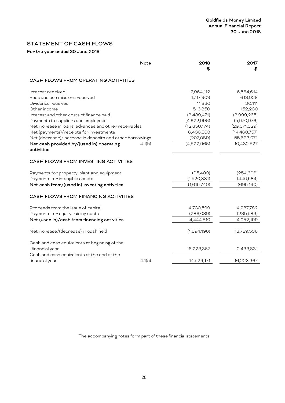# <span id="page-25-0"></span>STATEMENT OF CASH FLOWS

# For the year ended 30 June 2018

|                                                          | Note   | 2018<br>Œ.   | 2017<br>SS     |
|----------------------------------------------------------|--------|--------------|----------------|
| CASH FLOWS FROM OPERATING ACTIVITIES                     |        |              |                |
| Interest received                                        |        | 7,964,112    | 6,564,614      |
| Fees and commissions received                            |        | 1,717,909    | 613,028        |
| Dividends received                                       |        | 11,830       | 20,111         |
| Other income                                             |        | 516,350      | 152,230        |
| Interest and other costs of finance paid                 |        | (3,489,471)  | (3,999,265)    |
| Payments to suppliers and employees                      |        | (4,622,996)  | (5,070,976)    |
| Net increase in loans, advances and other receivables    |        | (12,850,174) | (29,071,529)   |
| Net (payments)/receipts for investments                  |        | 6,436,563    | (14, 468, 757) |
| Net (decrease)/increase in deposits and other borrowings |        | (207,089)    | 55,693,071     |
| Net cash provided by/(used in) operating<br>activities   | 4.1(b) | (4,522,966)  | 10,432,527     |
| CASH FLOWS FROM INVESTING ACTIVITIES                     |        |              |                |
| Payments for property, plant and equipment               |        | (95,409)     | (254, 606)     |
| Payments for intangible assets                           |        | (1,520,331)  | (440,584)      |
| Net cash from/(used in) investing activities             |        | (1,615,740)  | (695, 190)     |
| CASH FLOWS FROM FINANCING ACTIVITIES                     |        |              |                |
| Proceeds from the issue of capital                       |        | 4,730,599    | 4,287,782      |
| Payments for equity raising costs                        |        | (286,089)    | (235,583)      |
| Net (used in)/cash from financing activities             |        | 4,444,510    | 4,052,199      |
| Net increase/(decrease) in cash held                     |        | (1,694,196)  | 13,789,536     |
| Cash and cash equivalents at beginning of the            |        |              |                |
| financial year                                           |        | 16,223,367   | 2,433,831      |
| Cash and cash equivalents at the end of the              |        |              |                |
| financial year                                           | 4.1(a) | 14,529,171   | 16,223,367     |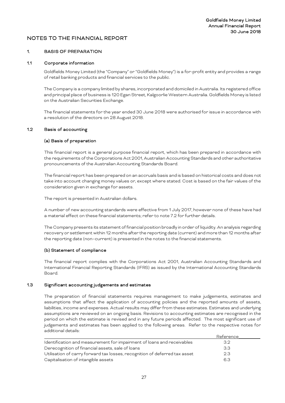#### <span id="page-26-0"></span>1. BASIS OF PREPARATION

#### 1.1 Corporate information

Goldfields Money Limited (the "Company" or "Goldfields Money") is a for-profit entity and provides a range of retail banking products and financial services to the public.

The Company is a company limited by shares, incorporated and domiciled in Australia. Its registered office and principal place of business is 120 Egan Street, Kalgoorlie Western Australia. Goldfields Money is listed on the Australian Securities Exchange.

The financial statements for the year ended 30 June 2018 were authorised for issue in accordance with a resolution of the directors on 28 August 2018.

#### 1.2 Basis of accounting

#### (a) Basis of preparation

This financial report is a general purpose financial report, which has been prepared in accordance with the requirements of the Corporations Act 2001, Australian Accounting Standards and other authoritative pronouncements of the Australian Accounting Standards Board.

The financial report has been prepared on an accruals basis and is based on historical costs and does not take into account changing money values or, except where stated. Cost is based on the fair values of the consideration given in exchange for assets.

The report is presented in Australian dollars.

A number of new accounting standards were effective from 1 July 2017, however none of these have had a material effect on these financial statements; refer to note 7.2 for further details.

The Company presents its statement of financial position broadly in order of liquidity. An analysis regarding recovery or settlement within 12 months after the reporting date (current) and more than 12 months after the reporting date (non–current) is presented in the notes to the financial statements.

#### (b) Statement of compliance

The financial report complies with the Corporations Act 2001, Australian Accounting Standards and International Financial Reporting Standards (IFRS) as issued by the International Accounting Standards Board.

#### 1.3 Significant accounting judgements and estimates

The preparation of financial statements requires management to make judgements, estimates and assumptions that affect the application of accounting policies and the reported amounts of assets, liabilities, income and expenses. Actual results may differ from these estimates. Estimates and underlying assumptions are reviewed on an ongoing basis. Revisions to accounting estimates are recognised in the period on which the estimate is revised and in any future periods affected. The most significant use of judgements and estimates has been applied to the following areas. Refer to the respective notes for additional details:

|                                                                            | Reference |  |
|----------------------------------------------------------------------------|-----------|--|
| Identification and measurement for impairment of loans and receivables     | 32        |  |
| Derecognition of financial assets, sale of loans                           | -3.3      |  |
| Utilisation of carry forward tax losses, recognition of deferred tax asset | 2.3       |  |
| Capitalisation of intangible assets                                        | 63        |  |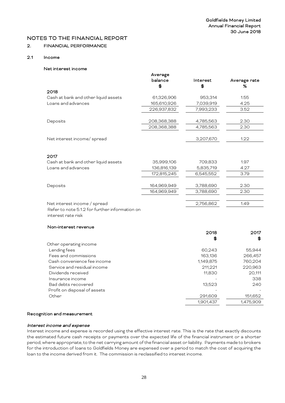# 2. FINANCIAL PERFORMANCE

# 2.1 Income

#### Net interest income

|                                                                      | Average       |                   |                   |
|----------------------------------------------------------------------|---------------|-------------------|-------------------|
|                                                                      | balance<br>\$ | Interest<br>\$    | Average rate<br>% |
| 2018                                                                 |               |                   |                   |
| Cash at bank and other liquid assets                                 | 61,326,906    | 953,314           | 1.55              |
| Loans and advances                                                   | 165,610,926   | 7,039,919         | 4.25              |
|                                                                      | 226,937,832   | 7,993,233         | 3.52              |
| Deposits                                                             | 208,368,388   | 4,785,563         | 2.30              |
|                                                                      | 208,368,388   | 4,785,563         | 2.30              |
| Net interest income/spread                                           |               | 3,207,670         | 1.22              |
| 2017                                                                 |               |                   |                   |
| Cash at bank and other liquid assets                                 | 35,999,106    | 709,833           | 1.97              |
| Loans and advances                                                   | 136,816,139   | 5,835,719         | 4.27              |
|                                                                      | 172,815,245   | 6,545,552         | 3.79              |
| Deposits                                                             | 164,969,949   | 3,788,690         | 2.30              |
|                                                                      | 164,969,949   | 3,788,690         | 2.30              |
| Net interest income / spread                                         |               | 2,756,862         | 1.49              |
| Refer to note 5.1.2 for further information on<br>interest rate risk |               |                   |                   |
| Non-interest revenue                                                 |               |                   |                   |
|                                                                      |               | 2018              | 2017              |
|                                                                      |               | \$6               | \$                |
| Other operating income                                               |               |                   |                   |
| Lending fees<br>Fees and commissions                                 |               | 60,243<br>163,136 | 55,944<br>266,457 |
| Cash convenience fee income                                          |               | 1,149,875         | 760,204           |
| Service and residual income                                          |               | 211,221           | 220,963           |
| Dividends received                                                   |               |                   |                   |
| Insurance income                                                     |               | 11,830            | 20,111            |
|                                                                      |               |                   | 338               |
| Bad debts recovered                                                  |               | 13,523            | 240               |
| Profit on disposal of assets                                         |               |                   |                   |
| Other                                                                |               | 291,609           | 151,652           |
|                                                                      |               | 1,901,437         | 1,475,909         |

#### Recognition and measurement

#### Interest income and expense

Interest income and expense is recorded using the effective interest rate. This is the rate that exactly discounts the estimated future cash receipts or payments over the expected life of the financial instrument or a shorter period, where appropriate, to the net carrying amount of the financial asset or liability. Payments made to brokers for the introduction of loans to Goldfields Money are expensed over a period to match the cost of acquiring the loan to the income derived from it. The commission is reclassified to interest income.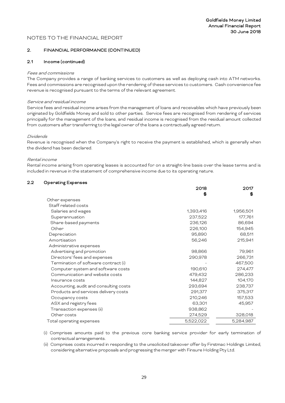#### 2. FINANCIAL PERFORMANCE (CONTINUED)

#### 2.1 Income (continued)

#### Fees and commissions

The Company provides a range of banking services to customers as well as deploying cash into ATM networks. Fees and commissions are recognised upon the rendering of these services to customers. Cash convenience fee revenue is recognised pursuant to the terms of the relevant agreement.

#### Service and residual income

Service fees and residual income arises from the management of loans and receivables which have previously been originated by Goldfields Money and sold to other parties. Service fees are recognised from rendering of services principally for the management of the loans, and residual income is recognised from the residual amount collected from customers after transferring to the legal owner of the loans a contractually agreed return.

#### Dividends

Revenue is recognised when the Company's right to receive the payment is established, which is generally when the dividend has been declared.

#### Rental income

Rental income arising from operating leases is accounted for on a straight-line basis over the lease terms and is included in revenue in the statement of comprehensive income due to its operating nature.

#### 2.2 Operating Expenses

|                                        | 2018      | 2017      |
|----------------------------------------|-----------|-----------|
|                                        | S         | \$        |
| Other expenses                         |           |           |
| Staff related costs                    |           |           |
| Salaries and wages                     | 1,393,416 | 1,956,501 |
| Superannuation                         | 237,522   | 177,761   |
| Share-based payments                   | 236,126   | 86,694    |
| Other                                  | 226,100   | 154,945   |
| Depreciation                           | 95,890    | 68,511    |
| Amortisation                           | 56,246    | 215,941   |
| Administrative expenses                |           |           |
| Advertising and promotion              | 98,866    | 79,961    |
| Directors' fees and expenses           | 290,978   | 266,731   |
| Termination of software contract (i)   |           | 467,500   |
| Computer system and software costs     | 190,610   | 274,477   |
| Communication and website costs        | 479,432   | 286,233   |
| Insurance costs                        | 144,827   | 104,170   |
| Accounting, audit and consulting costs | 293,694   | 238,737   |
| Products and services delivery costs   | 291,377   | 375,317   |
| Occupancy costs                        | 210,246   | 157,533   |
| ASX and registry fees                  | 63,301    | 45,957    |
| Transaction expenses (ii)              | 938,862   |           |
| Other costs                            | 274,529   | 328,018   |
| Total operating expenses               | 5,522,022 | 5,284,987 |

(i) Comprises amounts paid to the previous core banking service provider for early termination of contractual arrangements.

(ii) Comprises costs incurred in responding to the unsolicited takeover offer by Firstmac Holdings Limited, considering alternative proposals and progressing the merger with Finsure Holding Pty Ltd.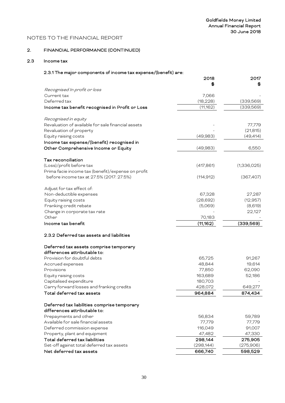# 2. FINANCIAL PERFORMANCE (CONTINUED)

# 2.3 Income tax

# 2.3.1 The major components of income tax expense/(benefit) are:

|                                                    | 2018       | 2017        |
|----------------------------------------------------|------------|-------------|
| Recognised In profit or loss                       | S          |             |
| Current tax                                        | 7,066      |             |
| Deferred tax                                       | (18, 228)  | (339,569)   |
| Income tax benefit recognised in Profit or Loss    | (11,162)   | (339,569)   |
|                                                    |            |             |
| Recognised in equity                               |            |             |
| Revaluation of available for sale financial assets |            | 77,779      |
| Revaluation of property                            |            | (21, 815)   |
| Equity raising costs                               | (49,983)   | (49, 414)   |
| Income tax expense/(benefit) recognised in         |            |             |
| Other Comprehensive Income or Equity               | (49,983)   | 6,550       |
| Tax reconciliation                                 |            |             |
| (Loss)/profit before tax                           | (417, 861) | (1,336,025) |
| Prima facie income tax (benefit)/expense on profit |            |             |
| before income tax at 27.5% (2017: 27.5%)           | (114, 912) | (367,407)   |
| Adjust for tax effect of:                          |            |             |
| Non-deductible expenses                            | 67,328     | 27,287      |
| Equity raising costs                               | (28,692)   | (12, 957)   |
| Franking credit rebate                             | (5,069)    | (8,619)     |
| Change in corporate tax rate                       |            | 22,127      |
| Other                                              | 70,183     |             |
| Income tax benefit                                 | (11, 162)  | (339, 569)  |
| 2.3.2 Deferred tax assets and liabilities          |            |             |
| Deferred tax assets comprise temporary             |            |             |
| differences attributable to:                       |            |             |
| Provision for doubtful debts                       | 65,725     | 91,267      |
| Accrued expenses                                   | 48,844     | 19,614      |
| Provisions                                         | 77,850     | 62,090      |
| Equity raising costs                               | 163,689    | 52,186      |
| Capitalised expenditure                            | 180,703    |             |
| Carry forward losses and franking credits          | 428,072    | 649,277     |
| Total deferred tax assets                          | 964,884    | 874,434     |
| Deferred tax liabilities comprise temporary        |            |             |
| differences attributable to:                       |            |             |
| Prepayments and other                              | 56,834     | 59,789      |
| Available for sale financial assets                | 77,779     | 77,779      |
| Deferred commission expense                        | 116,049    | 91,007      |
| Property, plant and equipment                      | 47,482     | 47,330      |
| Total deferred tax liabilities                     | 298,144    | 275,905     |
| Set-off against total deferred tax assets          | (298, 144) | (275,906)   |
| Net deferred tax assets                            | 666,740    | 598,529     |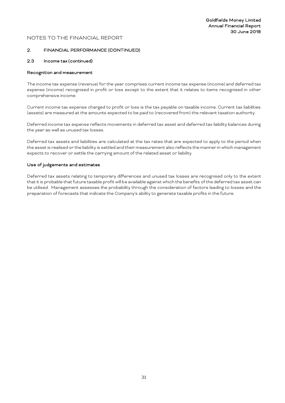#### 2. FINANCIAL PERFORMANCE (CONTINUED)

#### 2.3 Income tax (continued)

#### Recognition and measurement

The income tax expense (revenue) for the year comprises current income tax expense (income) and deferred tax expense (income) recognised in profit or loss except to the extent that it relates to items recognised in other comprehensive income.

Current income tax expense charged to profit or loss is the tax payable on taxable income. Current tax liabilities (assets) are measured at the amounts expected to be paid to (recovered from) the relevant taxation authority.

Deferred income tax expense reflects movements in deferred tax asset and deferred tax liability balances during the year as well as unused tax losses.

Deferred tax assets and liabilities are calculated at the tax rates that are expected to apply to the period when the asset is realised or the liability is settled and their measurement also reflects the manner in which management expects to recover or settle the carrying amount of the related asset or liability.

#### Use of judgements and estimates

Deferred tax assets relating to temporary differences and unused tax losses are recognised only to the extent that it is probable that future taxable profit will be available against which the benefits of the deferred tax asset can be utilised. Management assesses the probability through the consideration of factors leading to losses and the preparation of forecasts that indicate the Company's ability to generate taxable profits in the future.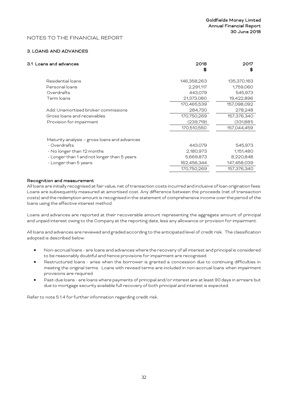#### 3. LOANS AND ADVANCES

| 3.1 Loans and advances                       | 2018<br>S   | 2017<br>£6  |
|----------------------------------------------|-------------|-------------|
| Residential loans                            | 146,358,263 | 135,370,163 |
| Personal loans                               | 2,291,117   | 1,759,060   |
| Overdrafts                                   | 443,079     | 545,973     |
| Term loans                                   | 21,373,080  | 19,422,896  |
|                                              | 170,465,539 | 157,098,092 |
| Add: Unamortised broker commissions          | 284,730     | 278,248     |
| Gross loans and receivables                  | 170,750,269 | 157,376,340 |
| Provision for impairment                     | (239,719)   | (331,881)   |
|                                              | 170,510,550 | 157,044,459 |
| Maturity analysis - gross loans and advances |             |             |
| - Overdrafts                                 | 443,079     | 545,973     |
| - No longer than 12 months                   | 2,180,973   | 1,151,480   |
| - Longer than 1 and not longer than 5 years  | 5,669,873   | 8,220,848   |
| - Longer than 5 years                        | 162,456,344 | 147,458,039 |
|                                              | 170,750,269 | 157,376,340 |
|                                              |             |             |

#### Recognition and measurement

All loans are initially recognised at fair value, net of transaction costs incurred and inclusive of loan origination fees. Loans are subsequently measured at amortised cost. Any difference between the proceeds (net of transaction costs) and the redemption amount is recognised in the statement of comprehensive income over the period of the loans using the effective interest method.

Loans and advances are reported at their recoverable amount representing the aggregate amount of principal and unpaid interest owing to the Company at the reporting date, less any allowance or provision for impairment.

All loans and advances are reviewed and graded according to the anticipated level of credit risk. The classification adopted is described below:

- Non-accrual loans are loans and advances where the recovery of all interest and principal is considered to be reasonably doubtful and hence provisions for impairment are recognised.
- Restructured loans arise when the borrower is granted a concession due to continuing difficulties in meeting the original terms. Loans with revised terms are included in non-accrual loans when impairment provisions are required.
- Past-due loans are loans where payments of principal and/or interest are at least 90 days in arrears but due to mortgage security available full recovery of both principal and interest is expected.

Refer to note 5.1.4 for further information regarding credit risk.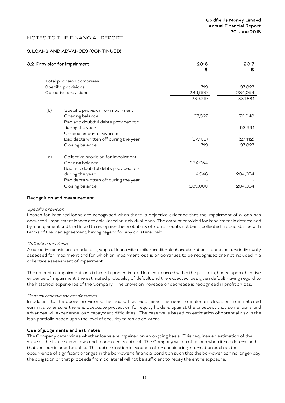#### 3. LOANS AND ADVANCES (CONTINUED)

|     | 3.2 Provision for impairment          | 2018<br>SS. | 2017<br>S |
|-----|---------------------------------------|-------------|-----------|
|     | Total provision comprises             |             |           |
|     | Specific provisions                   | 719         | 97,827    |
|     | Collective provisions                 | 239,000     | 234,054   |
|     |                                       | 239,719     | 331,881   |
| (b) | Specific provision for impairment     |             |           |
|     | Opening balance                       | 97,827      | 70,948    |
|     | Bad and doubtful debts provided for   |             |           |
|     | during the year                       |             | 53,991    |
|     | Unused amounts reversed               |             |           |
|     | Bad debts written off during the year | (97,108)    | (27,112)  |
|     | Closing balance                       | 719         | 97,827    |
| (c) | Collective provision for impairment   |             |           |
|     | Opening balance                       | 234,054     |           |
|     | Bad and doubtful debts provided for   |             |           |
|     | during the year                       | 4,946       | 234,054   |
|     | Bad debts written off during the year |             |           |
|     | Closing balance                       | 239,000     | 234,054   |
|     |                                       |             |           |

#### Recognition and measurement

#### Specific provision

Losses for impaired loans are recognised when there is objective evidence that the impairment of a loan has occurred. Impairment losses are calculated on individual loans. The amount provided for impairment is determined by management and the Board to recognise the probability of loan amounts not being collected in accordance with terms of the loan agreement, having regard for any collateral held.

#### Collective provision

A collective provision is made for groups of loans with similar credit risk characteristics. Loans that are individually assessed for impairment and for which an impairment loss is or continues to be recognised are not included in a collective assessment of impairment.

The amount of impairment loss is based upon estimated losses incurred within the portfolio, based upon objective evidence of impairment, the estimated probability of default and the expected loss given default having regard to the historical experience of the Company. The provision increase or decrease is recognised in profit or loss.

#### General reserve for credit losses

In addition to the above provisions, the Board has recognised the need to make an allocation from retained earnings to ensure there is adequate protection for equity holders against the prospect that some loans and advances will experience loan repayment difficulties. The reserve is based on estimation of potential risk in the loan portfolio based upon the level of security taken as collateral.

#### Use of judgements and estimates

The Company determines whether loans are impaired on an ongoing basis. This requires an estimation of the value of the future cash flows and associated collateral. The Company writes off a loan when it has determined that the loan is uncollectable. This determination is reached after considering information such as the occurrence of significant changes in the borrower's financial condition such that the borrower can no longer pay the obligation or that proceeds from collateral will not be sufficient to repay the entire exposure.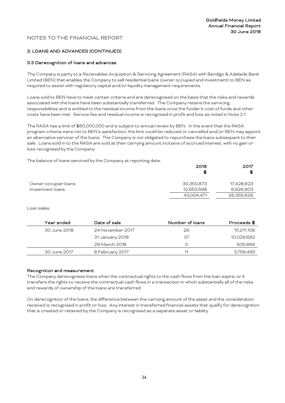# 3. LOANS AND ADVANCES (CONTINUED)

#### 3.3 Derecognition of loans and advances

The Company is party to a Receivables Acquisition & Servicing Agreement (RASA) with Bendigo & Adelaide Bank Limited (BEN) that enables the Company to sell residential loans (owner occupied and investment) to BEN as required to assist with regulatory capital and/or liquidity management requirements.

Loans sold to BEN have to meet certain criteria and are derecognised on the basis that the risks and rewards associated with the loans have been substantially transferred. The Company retains the servicing responsibilities and is entitled to the residual income from the loans once the funder's cost of funds and other costs have been met. Service fee and residual income is recognised in profit and loss as noted in Note 2.1.

The RASA has a limit of \$60,000,000 and is subject to annual review by BEN. In the event that the RASA program criteria were not to BEN's satisfaction, the limit could be reduced or cancelled and/or BEN may appoint an alternative servicer of the loans. The Company is not obligated to repurchase the loans subsequent to their sale. Loans sold in to the RASA are sold at their carrying amount inclusive of accrued interest, with no gain or loss recognised by the Company.

The balance of loans serviced by the Company at reporting date:

|                      | 2018<br>\$ | 2017<br>\$ |
|----------------------|------------|------------|
| Owner occupier loans | 30,350,873 | 17,428,823 |
| Investment loans     | 12,653,598 | 8,926,803  |
|                      | 43,004,471 | 26,355,626 |

Loan sales:

| Year ended   | Date of sale     | Number of loans | Proceeds \$ |
|--------------|------------------|-----------------|-------------|
| 30 June 2018 | 24 November 2017 | 26              | 10,211,106  |
|              | 31 January 2018  | 37              | 10,039,692  |
|              | 29 March 2018    | З               | 635,668     |
| 30 June 2017 | 8 February 2017  | 11              | 3,759,493   |

#### Recognition and measurement

The Company derecognises loans when the contractual rights to the cash flows from the loan expire, or it transfers the rights to receive the contractual cash flows in a transaction in which substantially all of the risks and rewards of ownership of the loans are transferred.

On derecognition of the loans, the difference between the carrying amount of the asset and the consideration received is recognised in profit or loss. Any interest in transferred financial assets that qualify for derecognition that is created or retained by the Company is recognised as a separate asset or liability.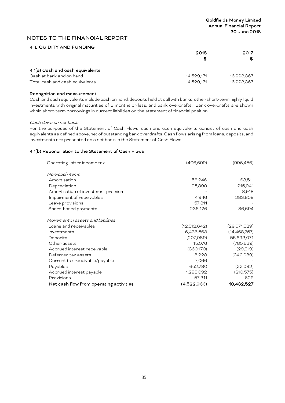#### 4. LIQUIDITY AND FUNDING

|                                  | 2018<br>S  | 2017<br>\$ |
|----------------------------------|------------|------------|
| 4.1(a) Cash and cash equivalents |            |            |
| Cash at bank and on hand         | 14,529,171 | 16,223,367 |
| Total cash and cash equivalents  | 14,529,171 | 16,223,367 |

#### Recognition and measurement

Cash and cash equivalents include cash on hand, deposits held at call with banks, other short-term highly liquid investments with original maturities of 3 months or less, and bank overdrafts. Bank overdrafts are shown within short-term borrowings in current liabilities on the statement of financial position.

#### Cash flows on net basis

For the purposes of the Statement of Cash Flows, cash and cash equivalents consist of cash and cash equivalents as defined above, net of outstanding bank overdrafts. Cash flows arising from loans, deposits, and investments are presented on a net basis in the Statement of Cash Flows.

#### 4.1(b) Reconciliation to the Statement of Cash Flows

| Non-cash items<br>Amortisation<br>56,246<br>95,890<br>Depreciation<br>Amortisation of investment premium<br>Impairment of receivables<br>4,946<br>57,311<br>Leave provisions<br>Share-based payments<br>236,126<br>Movement in assets and liabilities<br>Loans and receivables<br>(12,512,642)<br>6,436,563<br>Investments<br>(207,089)<br>Deposits<br>45,076<br>Other assets<br>Accrued interest receivable<br>(360, 170)<br>Deferred tax assets<br>18,228<br>7,066<br>Current tax receivable/payable<br>Payables<br>652,780<br>Accrued interest payable<br>1,296,092 | Operating I after income tax | (406, 699) | (996, 456)     |
|------------------------------------------------------------------------------------------------------------------------------------------------------------------------------------------------------------------------------------------------------------------------------------------------------------------------------------------------------------------------------------------------------------------------------------------------------------------------------------------------------------------------------------------------------------------------|------------------------------|------------|----------------|
|                                                                                                                                                                                                                                                                                                                                                                                                                                                                                                                                                                        |                              |            |                |
|                                                                                                                                                                                                                                                                                                                                                                                                                                                                                                                                                                        |                              |            | 68,511         |
|                                                                                                                                                                                                                                                                                                                                                                                                                                                                                                                                                                        |                              |            | 215,941        |
|                                                                                                                                                                                                                                                                                                                                                                                                                                                                                                                                                                        |                              |            | 8,918          |
|                                                                                                                                                                                                                                                                                                                                                                                                                                                                                                                                                                        |                              |            | 283,809        |
|                                                                                                                                                                                                                                                                                                                                                                                                                                                                                                                                                                        |                              |            |                |
|                                                                                                                                                                                                                                                                                                                                                                                                                                                                                                                                                                        |                              |            | 86,694         |
|                                                                                                                                                                                                                                                                                                                                                                                                                                                                                                                                                                        |                              |            |                |
|                                                                                                                                                                                                                                                                                                                                                                                                                                                                                                                                                                        |                              |            | (29,071,529)   |
|                                                                                                                                                                                                                                                                                                                                                                                                                                                                                                                                                                        |                              |            | (14, 468, 757) |
|                                                                                                                                                                                                                                                                                                                                                                                                                                                                                                                                                                        |                              |            | 55,693,071     |
|                                                                                                                                                                                                                                                                                                                                                                                                                                                                                                                                                                        |                              |            | (785, 639)     |
|                                                                                                                                                                                                                                                                                                                                                                                                                                                                                                                                                                        |                              |            | (29,919)       |
|                                                                                                                                                                                                                                                                                                                                                                                                                                                                                                                                                                        |                              |            | (340,089)      |
|                                                                                                                                                                                                                                                                                                                                                                                                                                                                                                                                                                        |                              |            |                |
|                                                                                                                                                                                                                                                                                                                                                                                                                                                                                                                                                                        |                              |            | (22,082)       |
|                                                                                                                                                                                                                                                                                                                                                                                                                                                                                                                                                                        |                              |            | (210, 575)     |
| Provisions<br>57,311                                                                                                                                                                                                                                                                                                                                                                                                                                                                                                                                                   |                              |            | 629            |
| (4,522,966)<br>Net cash flow from operating activities                                                                                                                                                                                                                                                                                                                                                                                                                                                                                                                 |                              |            | 10,432,527     |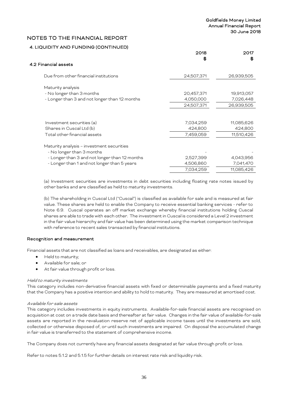# 4. LIQUIDITY AND FUNDING (CONTINUED)

 $4.2$ 

|                                                                        | 2018       | 2017       |
|------------------------------------------------------------------------|------------|------------|
| 4.2 Financial assets                                                   | S          | S          |
| Due from other financial institutions                                  | 24,507,371 | 26,939,505 |
| Maturity analysis                                                      |            |            |
| - No longer than 3 months                                              | 20,457,371 | 19,913,057 |
| - Longer than 3 and not longer than 12 months                          | 4,050,000  | 7,026,448  |
|                                                                        | 24,507,371 | 26,939,505 |
|                                                                        |            |            |
| Investment securities (a)                                              | 7,034,259  | 11,085,626 |
| Shares in Cuscal Ltd (b)                                               | 424,800    | 424,800    |
| Total other financial assets                                           | 7,459,059  | 11,510,426 |
| Maturity analysis - investment securities<br>- No longer than 3 months |            |            |
| - Longer than 3 and not longer than 12 months                          | 2,527,399  | 4,043,956  |
| - Longer than 1 and not longer than 5 years                            | 4,506,860  | 7,041,470  |
|                                                                        | 7,034,259  | 11,085,426 |

(a) Investment securities are investments in debt securities including floating rate notes issued by other banks and are classified as held to maturity investments.

(b) The shareholding in Cuscal Ltd ("Cuscal") is classified as available for sale and is measured at fair value. These shares are held to enable the Company to receive essential banking services - refer to Note 6.9. Cuscal operates an off market exchange whereby financial institutions holding Cuscal shares are able to trade with each other. The investment in Cuscal is considered a Level 2 investment in the fair value hierarchy and fair value has been determined using the market comparison technique with reference to recent sales transacted by financial institutions.

#### Recognition and measurement

Financial assets that are not classified as loans and receivables, are designated as either:

- Held to maturity;
- Available for sale; or
- At fair value through profit or loss.

#### Held to maturity investments

This category includes non-derivative financial assets with fixed or determinable payments and a fixed maturity that the Company has a positive intention and ability to hold to maturity. They are measured at amortised cost.

#### Available for sale assets

This category includes investments in equity instruments. Available-for-sale financial assets are recognised on acquisition at cost on a trade date basis and thereafter at fair value. Changes in the fair value of available-for-sale assets are reported in the revaluation reserve net of applicable income taxes until the investments are sold, collected or otherwise disposed of, or until such investments are impaired. On disposal the accumulated change in fair value is transferred to the statement of comprehensive income.

The Company does not currently have any financial assets designated at fair value through profit or loss.

Refer to notes 5.1.2 and 5.1.5 for further details on interest rate risk and liquidity risk.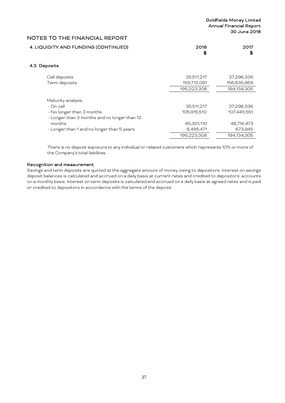| 4. LIQUIDITY AND FUNDING (CONTINUED) | 2018 | 2017 |
|--------------------------------------|------|------|
|                                      |      |      |

# 4.3 Deposits

| Call deposits                                | 35,511,217  | 37,298,336  |
|----------------------------------------------|-------------|-------------|
| Term deposits                                | 159,712,091 | 156,835,969 |
|                                              | 195,223,308 | 194,134,305 |
|                                              |             |             |
| Maturity analysis                            |             |             |
| - On call                                    | 35,511,217  | 37,298,336  |
| - No longer than 3 months                    | 105.915.510 | 107,445,551 |
| - Longer than 3 months and no longer than 12 |             |             |
| months                                       | 45,301,110  | 48,716,473  |
| - Longer than 1 and no longer than 5 years   | 8,495,471   | 673,945     |
|                                              | 195,223,308 | 194.134.305 |

There is no deposit exposure to any individual or related customers which represents 10% or more of the Company's total liabilities.

#### Recognition and measurement

Savings and term deposits are quoted at the aggregate amount of money owing to depositors. Interest on savings deposit balances is calculated and accrued on a daily basis at current rates and credited to depositors' accounts on a monthly basis. Interest on term deposits is calculated and accrued on a daily basis at agreed rates and is paid or credited to depositors in accordance with the terms of the deposit.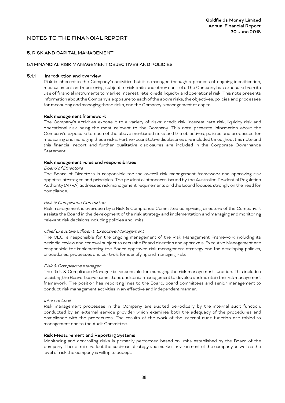#### 5. RISK AND CAPITAL MANAGEMENT

#### 5.1 FINANCIAL RISK MANAGEMENT OBJECTIVES AND POLICIES

#### 5.1.1 Introduction and overview

Risk is inherent in the Company's activities but it is managed through a process of ongoing identification, measurement and monitoring, subject to risk limits and other controls. The Company has exposure from its use of financial instruments to market, interest rate, credit, liquidity and operational risk. This note presents information about the Company's exposure to each of the above risks, the objectives, policies and processes for measuring and managing those risks, and the Company's management of capital.

#### Risk management framework

The Company's activities expose it to a variety of risks: credit risk, interest rate risk, liquidity risk and operational risk being the most relevant to the Company. This note presents information about the Company's exposure to each of the above mentioned risks and the objectives, policies and processes for measuring and managing these risks. Further quantitative disclosures are included throughout this note and this financial report and further qualitative disclosures are included in the Corporate Governance Statement.

#### Risk management roles and responsibilities

#### Board of Directors

The Board of Directors is responsible for the overall risk management framework and approving risk appetite, strategies and principles. The prudential standards issued by the Australian Prudential Regulation Authority (APRA) addresses risk management requirements and the Board focuses strongly on the need for compliance.

#### Risk & Compliance Committee

Risk management is overseen by a Risk & Compliance Committee comprising directors of the Company. It assists the Board in the development of the risk strategy and implementation and managing and monitoring relevant risk decisions including policies and limits.

#### Chief Executive Officer & Executive Management

The CEO is responsible for the ongoing management of the Risk Management Framework including its periodic review and renewal subject to requisite Board direction and approvals. Executive Management are responsible for implementing the Board-approved risk management strategy and for developing policies, procedures, processes and controls for identifying and managing risks.

#### Risk & Compliance Manager

The Risk & Compliance Manager is responsible for managing the risk management function. This includes assisting the Board, board committees and senior management to develop and maintain the risk management framework. The position has reporting lines to the Board, board committees and senior management to conduct risk management activities in an effective and independent manner.

#### Internal Audit

Risk management processes in the Company are audited periodically by the internal audit function, conducted by an external service provider which examines both the adequacy of the procedures and compliance with the procedures. The results of the work of the internal audit function are tabled to management and to the Audit Committee.

#### Risk Measurement and Reporting Systems

Monitoring and controlling risks is primarily performed based on limits established by the Board of the company. These limits reflect the business strategy and market environment of the company as well as the level of risk the company is willing to accept.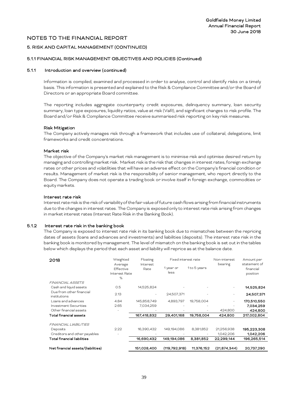#### 5. RISK AND CAPITAL MANAGEMENT (CONTINUED)

#### 5.1.1 FINANCIAL RISK MANAGEMENT OBJECTIVES AND POLICIES (Continued)

#### 5.1.1 Introduction and overview (continued)

Information is compiled, examined and processed in order to analyse, control and identify risks on a timely basis. This information is presented and explained to the Risk & Compliance Committee and/or the Board of Directors or an appropriate Board committee.

The reporting includes aggregate counterparty credit exposures, delinquency summary, loan security summary, loan type exposures, liquidity ratios, value at risk (VaR), and significant changes to risk profile. The Board and/or Risk & Compliance Committee receive summarised risk reporting on key risk measures.

#### Risk Mitigation

The Company actively manages risk through a framework that includes use of collateral, delegations, limit frameworks and credit concentrations.

#### Market risk

The objective of the Company's market risk management is to minimise risk and optimise desired return by managing and controlling market risk. Market risk is the risk that changes in interest rates, foreign exchange rates or other prices and volatilities that will have an adverse effect on the Company's financial condition or results. Management of market risk is the responsibility of senior management, who report directly to the Board. The Company does not operate a trading book or involve itself in foreign exchange, commodities or equity markets.

#### Interest rate risk

Interest rate risk is the risk of variability of the fair value of future cash flows arising from financial instruments due to the changes in interest rates. The Company is exposed only to interest rate risk arising from changes in market interest rates (Interest Rate Risk in the Banking Book).

#### 5.1.2 Interest rate risk in the banking book

The Company is exposed to interest rate risk in its banking book due to mismatches between the repricing dates of assets (loans and advances and investments) and liabilities (deposits). The interest rate risk in the banking book is monitored by management. The level of mismatch on the banking book is set out in the tables below which displays the period that each asset and liability will reprice as at the balance date.

| 2018                                     | Weighted                                   | Floating         | Fixed interest rate |             | Non-interest             | Amount per                            |
|------------------------------------------|--------------------------------------------|------------------|---------------------|-------------|--------------------------|---------------------------------------|
|                                          | Average<br>Effective<br>Interest Rate<br>% | Interest<br>Rate | 1 year or<br>less   | 1to 5 years | bearing                  | statement of<br>financial<br>position |
| <b>FINANCIAL ASSETS</b>                  |                                            |                  |                     |             |                          |                                       |
| Cash and liquid assets                   | 0.5                                        | 14,525,824       |                     |             | $\sim$                   | 14,525,824                            |
| Due from other financial<br>institutions | 2.13                                       |                  | 24,507,371          |             | $\overline{\phantom{a}}$ | 24,507,371                            |
| Loans and advances                       | 4.84                                       | 145,858,749      | 4,893,797           | 19,758,004  | $\sim$                   | 170,510,550                           |
| <b>Investment Securities</b>             | 2.65                                       | 7,034,259        |                     |             |                          | 7,034,259                             |
| Other financial assets                   |                                            |                  |                     |             | 424,800                  | 424,800                               |
| Total financial assets                   |                                            | 167,418,832      | 29,401,168          | 19,758,004  | 424,800                  | 217,002,804                           |
| FINANCIAL LIABILITIES                    |                                            |                  |                     |             |                          |                                       |
| Deposits                                 | 2.22                                       | 16,390,432       | 149,194,086         | 8,381,852   | 21,256,938               | 195,223,308                           |
| Creditors and other payables             |                                            |                  |                     |             | 1,042,206                | 1,042,206                             |
| Total financial liabilities              |                                            | 16,690,432       | 149,194,086         | 8,381,852   | 22,299,144               | 196,265,514                           |
| Net financial assets/(liabilities)       |                                            | 151,028,400      | (119,792,918)       | 11.376.152  | (21.874.344)             | 20.737.290                            |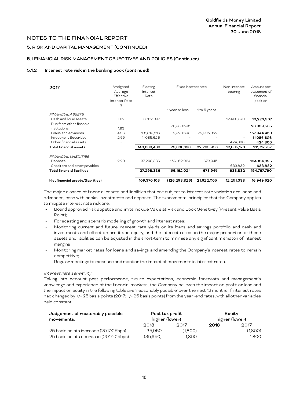## 5. RISK AND CAPITAL MANAGEMENT (CONTINUED)

## 5.1 FINANCIAL RISK MANAGEMENT OBJECTIVES AND POLICIES (Continued)

## 5.1.2 Interest rate risk in the banking book (continued)

| 2017<br><b>FINANCIAL ASSETS</b>          | Weighted<br>Average<br><b>Effective</b><br>Interest Rate<br>% | Floating<br>Interest<br>Rate | Fixed interest rate<br>1 year or less | 1 to 5 years | Non-interest<br>bearing | Amount per<br>statement of<br>financial<br>position |
|------------------------------------------|---------------------------------------------------------------|------------------------------|---------------------------------------|--------------|-------------------------|-----------------------------------------------------|
| Cash and liquid assets                   | 0.5                                                           | 3,762,997                    |                                       |              | 12,460,370              | 16,223,367                                          |
| Due from other financial<br>institutions | 1.93                                                          |                              | 26,939,505                            |              |                         | 26,939,505                                          |
| Loans and advances                       | 4.96                                                          | 131,819,816                  | 2,928,693                             | 22,295,952   |                         | 157,044,459                                         |
| Investment Securities                    | 2.95                                                          | 11,085,626                   |                                       |              |                         | 11,085,626                                          |
| Other financial assets                   |                                                               |                              |                                       |              | 424,800                 | 424,800                                             |
| Total financial assets                   |                                                               | 146,668,439                  | 29,868,198                            | 22,295,950   | 12,885,170              | 211,717,757                                         |
| FINANCIAL LIABILITIES                    |                                                               |                              |                                       |              |                         |                                                     |
| Deposits                                 | 2.29                                                          | 37,298,336                   | 156,162,024                           | 673,945      |                         | 194,134,395                                         |
| Creditors and other payables             |                                                               |                              |                                       |              | 633,832                 | 633,832                                             |
| Total financial liabilities              |                                                               | 37,298,336                   | 156,162,024                           | 673,945      | 633,832                 | 194,767,790                                         |
|                                          |                                                               |                              |                                       |              |                         |                                                     |
| Net financial assets/(liabilities)       |                                                               | 109.370.103                  | (126, 293, 826)                       | 21,622,005   | 12.251.338              | 16,949,620                                          |

The major classes of financial assets and liabilities that are subject to interest rate variation are loans and advances, cash with banks, investments and deposits. The fundamental principles that the Company applies to mitigate interest rate risk are:

- Board approved risk appetite and limits include Value at Risk and Book Sensitivity (Present Value Basis Point);
- Forecasting and scenario modelling of growth and interest rates;
- Monitoring current and future interest rate yields on its loans and savings portfolio and cash and investments and effect on profit and equity; and the interest rates on the major proportion of these assets and liabilities can be adjusted in the short-term to minimise any significant mismatch of interest margins
- Monitoring market rates for loans and savings and amending the Company's interest rates to remain competitive;
- Regular meetings to measure and monitor the impact of movements in interest rates.

#### Interest rate sensitivity

Taking into account past performance, future expectations, economic forecasts and management's knowledge and experience of the financial markets, the Company believes the impact on profit or loss and the impact on equity in the following table are 'reasonably possible' over the next 12 months, if interest rates had changed by +/- 25 basis points (2017: +/- 25 basis points) from the year-end rates, with all other variables held constant.

| Judgement of reasonably possible<br>movements: | Post tax profit<br>higher (lower) |         |      | Equity<br>higher (lower) |
|------------------------------------------------|-----------------------------------|---------|------|--------------------------|
|                                                | 2018                              | 2017    | 2018 | 2017                     |
| 25 basis points increase (2017:25bps)          | 35.950                            | (1.800) |      | (1,800)                  |
| 25 basis points decrease (2017: 25bps)         | (35.950)                          | 1.800   |      | 1.800                    |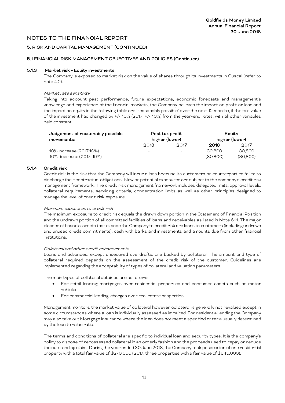## 5. RISK AND CAPITAL MANAGEMENT (CONTINUED)

#### 5.1 FINANCIAL RISK MANAGEMENT OBJECTIVES AND POLICIES (Continued)

#### 5.1.3 Market risk - Equity investments

The Company is exposed to market risk on the value of shares through its investments in Cuscal (refer to note 4.2).

#### Market rate sensitivity

Taking into account past performance, future expectations, economic forecasts and management's knowledge and experience of the financial markets, the Company believes the impact on profit or loss and the impact on equity in the following table are 'reasonably possible' over the next 12 months, if the fair value of the investment had changed by +/- 10% (2017: +/- 10%) from the year-end rates, with all other variables held constant.

| Judgement of reasonably possible<br>movements: |                          | Post tax profit<br>higher (lower) |          | Equity<br>higher (lower) |
|------------------------------------------------|--------------------------|-----------------------------------|----------|--------------------------|
|                                                | 2018                     | 2017                              | 2018     | 2017                     |
| 10% increase (2017:10%)                        | $\overline{\phantom{0}}$ |                                   | 30.800   | 30,800                   |
| 10% decrease (2017: 10%)                       | -                        | -                                 | (30,800) | (30,800)                 |

#### 5.1.4 Credit risk

Credit risk is the risk that the Company will incur a loss because its customers or counterparties failed to discharge their contractual obligations. New or potential exposures are subject to the company's credit risk management framework. The credit risk management framework includes delegated limits, approval levels, collateral requirements, servicing criteria, concentration limits as well as other principles designed to manage the level of credit risk exposure.

#### Maximum exposures to credit risk

The maximum exposure to credit risk equals the drawn down portion in the Statement of Financial Position and the undrawn portion of all committed facilities of loans and receivables as listed in Note 6.11. The major classes of financial assets that expose the Company to credit risk are loans to customers (including undrawn and unused credit commitments), cash with banks and investments and amounts due from other financial institutions.

#### Collateral and other credit enhancements

Loans and advances, except unsecured overdrafts, are backed by collateral. The amount and type of collateral required depends on the assessment of the credit risk of the customer. Guidelines are implemented regarding the acceptability of types of collateral and valuation parameters.

The main types of collateral obtained are as follows:

- For retail lending; mortgages over residential properties and consumer assets such as motor vehicles
- For commercial lending; charges over real estate properties

Management monitors the market value of collateral however collateral is generally not revalued except in some circumstances where a loan is individually assessed as impaired. For residential lending the Company may also take out Mortgage Insurance where the loan does not meet a specified criteria usually determined by the loan to value ratio.

The terms and conditions of collateral are specific to individual loan and security types. It is the company's policy to dispose of repossessed collateral in an orderly fashion and the proceeds used to repay or reduce the outstanding claim. During the year ended 30 June 2018, the Company took possession of one residential property with a total fair value of \$270,000 (2017: three properties with a fair value of \$645,000).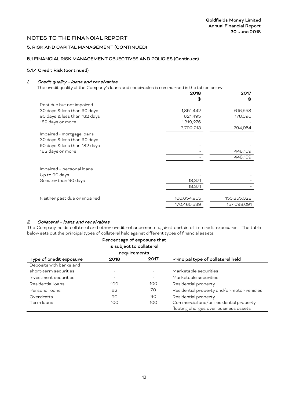# 5. RISK AND CAPITAL MANAGEMENT (CONTINUED)

# 5.1 FINANCIAL RISK MANAGEMENT OBJECTIVES AND POLICIES (Continued)

## 5.1.4 Credit Risk (continued)

## i. Credit quality – loans and receivables

The credit quality of the Company's loans and receivables is summarised in the tables below:

|                              | 2018        | 2017        |
|------------------------------|-------------|-------------|
|                              | SS.         | \$          |
| Past due but not impaired    |             |             |
| 30 days & less than 90 days  | 1,851,442   | 616,558     |
| 90 days & less than 182 days | 621,495     | 178,396     |
| 182 days or more             | 1,319,276   |             |
|                              | 3,792,213   | 794,954     |
| Impaired - mortgage loans    |             |             |
| 30 days & less than 90 days  |             |             |
| 90 days & less than 182 days |             |             |
| 182 days or more             |             | 448,109     |
|                              |             | 448,109     |
|                              |             |             |
| Impaired - personal loans    |             |             |
| Up to 90 days                |             |             |
| Greater than 90 days         | 18,371      |             |
|                              | 18,371      |             |
|                              |             |             |
| Neither past due or impaired | 166,654,955 | 155,855,028 |
|                              | 170,465,539 | 157,098,091 |
|                              |             |             |

## ii. Collateral – loans and receivables

The Company holds collateral and other credit enhancements against certain of its credit exposures. The table below sets out the principal types of collateral held against different types of financial assets:

|                         |      | Percentage of exposure that<br>is subject to collateral |                                                                                  |
|-------------------------|------|---------------------------------------------------------|----------------------------------------------------------------------------------|
|                         |      | requirements                                            |                                                                                  |
| Type of credit exposure | 2018 | 2017                                                    | Principal type of collateral held                                                |
| Deposits with banks and |      |                                                         |                                                                                  |
| short-term securities   |      |                                                         | Marketable securities                                                            |
| Investment securities   |      |                                                         | Marketable securities                                                            |
| Residential loans       | 100  | 100                                                     | Residential property                                                             |
| Personal loans          | 62   | 70                                                      | Residential property and/or motor vehicles                                       |
| Overdrafts              | 90   | 90                                                      | Residential property                                                             |
| Term loans              | 100  | 100                                                     | Commercial and/or residential property,<br>floating charges over business assets |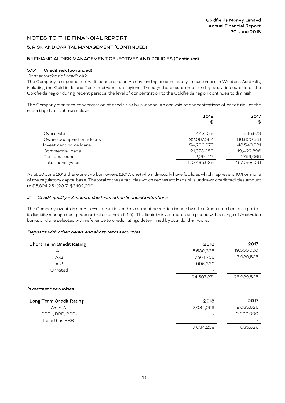## 5. RISK AND CAPITAL MANAGEMENT (CONTINUED)

## 5.1 FINANCIAL RISK MANAGEMENT OBJECTIVES AND POLICIES (Continued)

# 5.1.4 Credit risk (continued)

# Concentrations of credit risk

The Company is exposed to credit concentration risk by lending predominately to customers in Western Australia, including the Goldfields and Perth metropolitan regions. Through the expansion of lending activities outside of the Goldfields region during recent periods, the level of concentration to the Goldfields region continues to diminish.

The Company monitors concentration of credit risk by purpose. An analysis of concentrations of credit risk at the reporting date is shown below:

|                           | 2018        |             |
|---------------------------|-------------|-------------|
|                           | \$          | \$          |
|                           |             |             |
| Overdrafts                | 443.079     | 545,973     |
| Owner occupier home loans | 92,067,584  | 86,820,331  |
| Investment home loans     | 54,290,679  | 48,549,831  |
| Commercial loans          | 21,373,080  | 19,422,896  |
| Personal loans            | 2,291,117   | 1,759,060   |
| Total loans gross         | 170,465,539 | 157,098,091 |

As at 30 June 2018 there are two borrowers (2017: one) who individually have facilities which represent 10% or more of the regulatory capital base. The total of these facilities which represent loans plus undrawn credit facilities amount to \$5,894,251(2017: \$3,192,290).

## iii. Credit quality – Amounts due from other financial institutions

The Company invests in short term securities and investment securities issued by other Australian banks as part of its liquidity management process (refer to note 5.1.5). The liquidity investments are placed with a range of Australian banks and are selected with reference to credit ratings determined by Standard & Poors.

## Deposits with other banks and short-term securities

| <b>Short Term Credit Rating</b> | 2018                     | 2017       |
|---------------------------------|--------------------------|------------|
| $A-1$                           | 15,539,335               | 19,000,000 |
| $A-2$                           | 7,971,706                | 7,939,505  |
| $A - 3$                         | 996,330                  |            |
| Unrated                         | $\overline{\phantom{0}}$ |            |
|                                 | 24,507,371               | 26,939,505 |

#### Investment securities

| Long Term Credit Rating | 2018                     | 2017                     |
|-------------------------|--------------------------|--------------------------|
| $A + A A -$             | 7.034.259                | 9,085,626                |
| BBB+, BBB, BBB-         | -                        | 2,000,000                |
| Less than BBB-          | $\overline{\phantom{m}}$ | $\overline{\phantom{0}}$ |
|                         | 7,034,259                | 11,085,626               |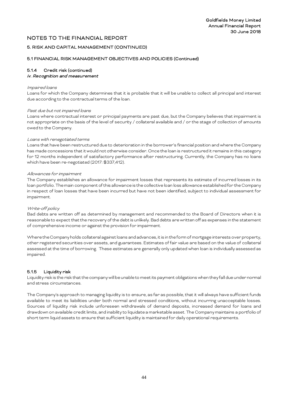## 5. RISK AND CAPITAL MANAGEMENT (CONTINUED)

## 5.1 FINANCIAL RISK MANAGEMENT OBJECTIVES AND POLICIES (Continued)

# 5.1.4 Credit risk (continued)

# iv. Recognition and measurement

#### Impaired loans

Loans for which the Company determines that it is probable that it will be unable to collect all principal and interest due according to the contractual terms of the loan.

#### Past due but not impaired loans

Loans where contractual interest or principal payments are past due, but the Company believes that impairment is not appropriate on the basis of the level of security / collateral available and / or the stage of collection of amounts owed to the Company.

#### Loans with renegotiated terms

Loans that have been restructured due to deterioration in the borrower's financial position and where the Company has made concessions that it would not otherwise consider. Once the loan is restructured it remains in this category for 12 months independent of satisfactory performance after restructuring. Currently, the Company has no loans which have been re-negotiated (2017: \$337,412).

#### Allowances for impairment

The Company establishes an allowance for impairment losses that represents its estimate of incurred losses in its loan portfolio. The main component of this allowance is the collective loan loss allowance established for the Company in respect of loan losses that have been incurred but have not been identified, subject to individual assessment for impairment.

## Write-off policy

Bad debts are written off as determined by management and recommended to the Board of Directors when it is reasonable to expect that the recovery of the debt is unlikely. Bad debts are written off as expenses in the statement of comprehensive income or against the provision for impairment.

Where the Company holds collateral against loans and advances, it is in the form of mortgage interests over property, other registered securities over assets, and guarantees. Estimates of fair value are based on the value of collateral assessed at the time of borrowing. These estimates are generally only updated when loan is individually assessed as impaired.

## 5.1.5 Liquidity risk

Liquidity risk is the risk that the company will be unable to meet its payment obligations when they fall due under normal and stress circumstances.

The Company's approach to managing liquidity is to ensure, as far as possible, that it will always have sufficient funds available to meet its liabilities under both normal and stressed conditions, without incurring unacceptable losses. Sources of liquidity risk include unforeseen withdrawals of demand deposits, increased demand for loans and drawdown on available credit limits, and inability to liquidate a marketable asset. The Company maintains a portfolio of short term liquid assets to ensure that sufficient liquidity is maintained for daily operational requirements.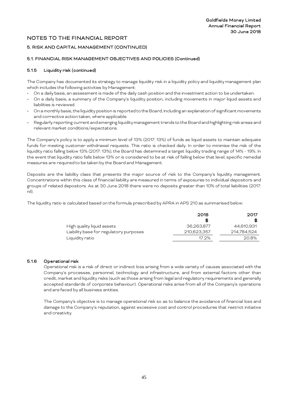# 5. RISK AND CAPITAL MANAGEMENT (CONTINUED)

## 5.1. FINANCIAL RISK MANAGEMENT OBJECTIVES AND POLICIES (Continued)

# 5.1.5 Liquidity risk (continued)

The Company has documented its strategy to manage liquidity risk in a liquidity policy and liquidity management plan which includes the following activities by Management:

- On a daily basis, an assessment is made of the daily cash position and the investment action to be undertaken.
- On a daily basis, a summary of the Company's liquidity position, including movements in major liquid assets and liabilities is reviewed.
- On a monthly basis, the liquidity position is reported to the Board, including an explanation of significant movements and corrective action taken, where applicable.
- Regularly reporting current and emerging liquidity management trends to the Board and highlighting risk areas and relevant market conditions/expectations.

The Company's policy is to apply a minimum level of 13% (2017: 13%) of funds as liquid assets to maintain adequate funds for meeting customer withdrawal requests. This ratio is checked daily. In order to minimise the risk of the liquidity ratio falling below 13% (2017: 13%); the Board has determined a target liquidity trading range of 14% - 19%. In the event that liquidity ratio falls below 13% or is considered to be at risk of falling below that level, specific remedial measures are required to be taken by the Board and Management.

Deposits are the liability class that presents the major source of risk to the Company's liquidity management. Concentrations within this class of financial liability are measured in terms of exposures to individual depositors and groups of related depositors. As at 30 June 2018 there were no deposits greater than 10% of total liabilities (2017: nil).

The liquidity ratio is calculated based on the formula prescribed by APRA in APS 210 as summarised below:

|                                        | 2018        | 2017        |
|----------------------------------------|-------------|-------------|
|                                        | \$G         |             |
| High quality liquid assets             | 36.263.877  | 44.610.931  |
| Liability base for regulatory purposes | 210,623,357 | 214,784,524 |
| Liquidity ratio                        | 17.2%       | 20.8%       |

# 5.1.6 Operational risk

Operational risk is a risk of direct or indirect loss arising from a wide variety of causes associated with the Company's processes, personnel, technology and infrastructure, and from external factors other than credit, market and liquidity risks (such as those arising from legal and regulatory requirements and generally accepted standards of corporate behaviour). Operational risks arise from all of the Company's operations and are faced by all business entities.

The Company's objective is to manage operational risk so as to balance the avoidance of financial loss and damage to the Company's reputation, against excessive cost and control procedures that restrict initiative and creativity.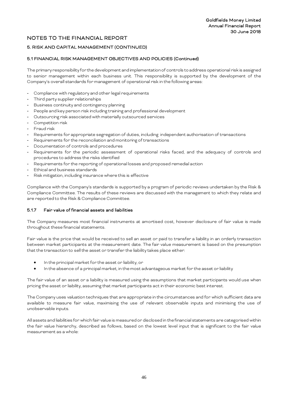# 5. RISK AND CAPITAL MANAGEMENT (CONTINUED)

## 5.1 FINANCIAL RISK MANAGEMENT OBJECTIVES AND POLICIES (Continued)

The primary responsibility for the development and implementation of controls to address operational risk is assigned to senior management within each business unit. This responsibility is supported by the development of the Company's overall standards for management of operational risk in the following areas:

- Compliance with regulatory and other legal requirements
- Third party supplier relationships
- Business continuity and contingency planning
- People and key person risk including training and professional development
- Outsourcing risk associated with materially outsourced services
- Competition risk
- Fraud risk
- Requirements for appropriate segregation of duties, including independent authorisation of transactions
- Requirements for the reconciliation and monitoring of transactions
- Documentation of controls and procedures
- Requirements for the periodic assessment of operational risks faced, and the adequacy of controls and procedures to address the risks identified
- Requirements for the reporting of operational losses and proposed remedial action
- Ethical and business standards
- Risk mitigation, including insurance where this is effective

Compliance with the Company's standards is supported by a program of periodic reviews undertaken by the Risk & Compliance Committee. The results of these reviews are discussed with the management to which they relate and are reported to the Risk & Compliance Committee.

## 5.1.7 Fair value of financial assets and liabilities

The Company measures most financial instruments at amortised cost, however disclosure of fair value is made throughout these financial statements.

Fair value is the price that would be received to sell an asset or paid to transfer a liability in an orderly transaction between market participants at the measurement date. The fair value measurement is based on the presumption that the transaction to sell the asset or transfer the liability takes place either:

- In the principal market for the asset or liability, or
- In the absence of a principal market, in the most advantageous market for the asset or liability

The fair value of an asset or a liability is measured using the assumptions that market participants would use when pricing the asset or liability, assuming that market participants act in their economic best interest.

The Company uses valuation techniques that are appropriate in the circumstances and for which sufficient data are available to measure fair value, maximising the use of relevant observable inputs and minimising the use of unobservable inputs.

All assets and liabilities for which fair value is measured or disclosed in the financial statements are categorised within the fair value hierarchy, described as follows, based on the lowest level input that is significant to the fair value measurement as a whole: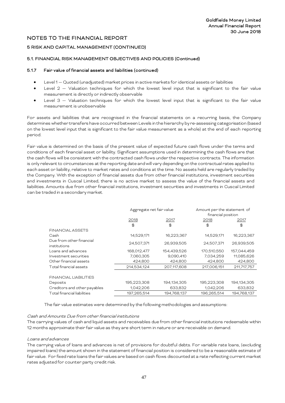## 5 RISK AND CAPITAL MANAGEMENT (CONTINUED)

## 5.1. FINANCIAL RISK MANAGEMENT OBJECTIVES AND POLICIES (Continued)

## 5.1.7 Fair value of financial assets and liabilities (continued)

- Level 1 Quoted (unadjusted) market prices in active markets for identical assets or liabilities
- Level  $2$  Valuation techniques for which the lowest level input that is significant to the fair value measurement is directly or indirectly observable
- Level 3 Valuation techniques for which the lowest level input that is significant to the fair value measurement is unobservable

For assets and liabilities that are recognised in the financial statements on a recurring basis, the Company determines whether transfers have occurred between Levels in the hierarchy by re-assessing categorisation (based on the lowest level input that is significant to the fair value measurement as a whole) at the end of each reporting period.

Fair value is determined on the basis of the present value of expected future cash flows under the terms and conditions of each financial asset or liability. Significant assumptions used in determining the cash flows are that the cash flows will be consistent with the contracted cash flows under the respective contracts. The information is only relevant to circumstances at the reporting date and will vary depending on the contractual rates applied to each asset or liability, relative to market rates and conditions at the time. No assets held are regularly traded by the Company. With the exception of financial assets due from other financial institutions, investment securities and investments in Cuscal Limited, there is no active market to assess the value of the financial assets and liabilities. Amounts due from other financial institutions, investment securities and investments in Cuscal Limited can be traded in a secondary market.

|                                          | Aggregate net fair value |               | Amount per the statement of |             |  |
|------------------------------------------|--------------------------|---------------|-----------------------------|-------------|--|
|                                          |                          |               | financial position          |             |  |
|                                          | 2018                     | 2017          | 2018                        | 2017        |  |
|                                          | $\textcircled{f}$        | $\circledast$ | \$                          | \$          |  |
| <b>FINANCIAL ASSETS</b>                  |                          |               |                             |             |  |
| Cash                                     | 14,529,171               | 16,223,367    | 14,529,171                  | 16,223,367  |  |
| Due from other financial<br>institutions | 24,507,371               | 26,939,505    | 24,507,371                  | 26,939,505  |  |
| Loans and advances                       | 168,012,477              | 154,439,526   | 170,510,550                 | 157,044,459 |  |
| Investment securities                    | 7,060,305                | 9,090,410     | 7,034,259                   | 11,085,626  |  |
| Other financial assets                   | 424,800                  | 424,800       | 424,800                     | 424,800     |  |
| Total financial assets                   | 214,534,124              | 207,117,608   | 217,006,151                 | 211,717,757 |  |
| FINANCIAL LIABILITIES                    |                          |               |                             |             |  |
| Deposits                                 | 195,223,308              | 194,134,305   | 195,223,308                 | 194,134,305 |  |
| Creditors and other payables             | 1,042,206                | 633,832       | 1,042,206                   | 633,832     |  |
| Total financial liabilities              | 197,265,514              | 194,768,137   | 196,265,514                 | 194.768.137 |  |

The fair value estimates were determined by the following methodologies and assumptions:

#### Cash and Amounts Due from other financial institutions

The carrying values of cash and liquid assets and receivables due from other financial institutions redeemable within 12 months approximate their fair value as they are short term in nature or are receivable on demand.

#### Loans and advances

The carrying value of loans and advances is net of provisions for doubtful debts. For variable rate loans, (excluding impaired loans) the amount shown in the statement of financial position is considered to be a reasonable estimate of fair value. For fixed rate loans the fair values are based on cash flows discounted at a rate reflecting current market rates adjusted for counter party credit risk.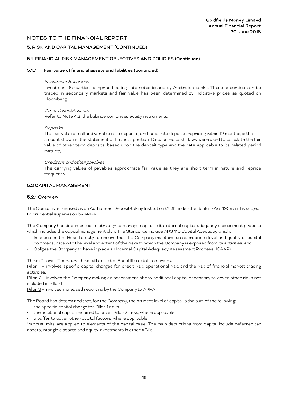## 5. RISK AND CAPITAL MANAGEMENT (CONTINUED)

## 5.1. FINANCIAL RISK MANAGEMENT OBJECTIVES AND POLICIES (Continued)

#### 5.1.7 Fair value of financial assets and liabilities (continued)

#### Investment Securities

Investment Securities comprise floating rate notes issued by Australian banks. These securities can be traded in secondary markets and fair value has been determined by indicative prices as quoted on Bloomberg.

#### Other financial assets

Refer to Note 4.2, the balance comprises equity instruments.

#### **Deposits**

The fair value of call and variable rate deposits, and fixed rate deposits repricing within 12 months, is the amount shown in the statement of financial position. Discounted cash flows were used to calculate the fair value of other term deposits, based upon the deposit type and the rate applicable to its related period maturity.

#### Creditors and other payables

The carrying values of payables approximate fair value as they are short term in nature and reprice frequently.

#### 5.2 CAPITAL MANAGEMENT

#### 5.2.1 Overview

The Company is licensed as an Authorised Deposit-taking Institution (ADI) under the Banking Act 1959 and is subject to prudential supervision by APRA.

The Company has documented its strategy to manage capital in its internal capital adequacy assessment process which includes the capital management plan. The Standards include APS 110 Capital Adequacy which:

- Imposes on the Board a duty to ensure that the Company maintains an appropriate level and quality of capital commensurate with the level and extent of the risks to which the Company is exposed from its activities; and
- Obliges the Company to have in place an Internal Capital Adequacy Assessment Process (ICAAP).

Three Pillars – There are three pillars to the Basel III capital framework.

Pillar 1 - involves specific capital charges for credit risk, operational risk, and the risk of financial market trading activities.

Pillar 2 - involves the Company making an assessment of any additional capital necessary to cover other risks not included in Pillar 1.

Pillar 3 - involves increased reporting by the Company to APRA.

The Board has determined that, for the Company, the prudent level of capital is the sum of the following:

- the specific capital charge for Pillar 1 risks
- the additional capital required to cover Pillar 2 risks, where applicable
- a buffer to cover other capital factors, where applicable

Various limits are applied to elements of the capital base. The main deductions from capital include deferred tax assets, intangible assets and equity investments in other ADI's.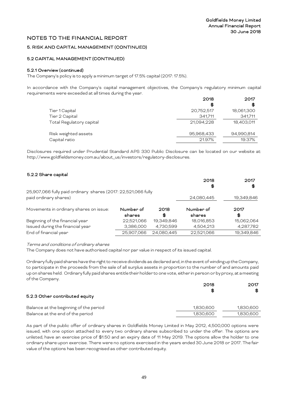## 5. RISK AND CAPITAL MANAGEMENT (CONTINUED)

## 5.2 CAPITAL MANAGEMENT (CONTINUED)

## 5.2.1 Overview (continued)

The Company's policy is to apply a minimum target of 17.5% capital (2017: 17.5%).

In accordance with the Company's capital management objectives, the Company's regulatory minimum capital requirements were exceeded at all times during the year. 2017

|                          | 2018       | 2017       |
|--------------------------|------------|------------|
|                          | \$         | \$G        |
| Tier 1 Capital           | 20,752,517 | 18,061,300 |
| Tier 2 Capital           | 341.711    | 341,711    |
| Total Regulatory capital | 21.094.228 | 18,403,011 |
| Risk weighted assets     | 95,968,433 | 94,990,814 |
| Capital ratio            | 21.97%     | 19.37%     |

Disclosures required under Prudential Standard APS 330 Public Disclosure can be located on our website at: http://www.goldfieldsmoney.com.au/about\_us/investors/regulatory-disclosures.

| 5.2.2 Share capital                                           |            |            |            |            |
|---------------------------------------------------------------|------------|------------|------------|------------|
|                                                               |            |            | 2018       | 2017       |
|                                                               |            |            | \$         | \$         |
| 25,907,066 fully paid ordinary shares (2017: 22,521,066 fully |            |            |            |            |
| paid ordinary shares)                                         |            |            | 24,080,445 | 19,349,846 |
| Movements in ordinary shares on issue:                        | Number of  | 2018       | Number of  | 2017       |
|                                                               | shares     | \$         | shares     | \$         |
| Beginning of the financial year                               | 22,521,066 | 19,349,846 | 18,016,853 | 15,062,064 |
| Issued during the financial year                              | 3,386,000  | 4,730,599  | 4,504,213  | 4,287,782  |
| End of financial year                                         | 25,907,066 | 24,080,445 | 22,521,066 | 19,349,846 |
|                                                               |            |            |            |            |

Terms and conditions of ordinary shares

The Company does not have authorised capital nor par value in respect of its issued capital.

Ordinary fully paid shares have the right to receive dividends as declared and, in the event of winding up the Company, to participate in the proceeds from the sale of all surplus assets in proportion to the number of and amounts paid up on shares held. Ordinary fully paid shares entitle their holder to one vote, either in person or by proxy, at a meeting of the Company.

|                                        | 2018<br>-SG | 2017<br>SS |
|----------------------------------------|-------------|------------|
| 5.2.3 Other contributed equity         |             |            |
| Balance at the beginning of the period | 1,830,600   | 1,830,600  |
| Balance at the end of the period       | 1.830.600   | 1,830,600  |

As part of the public offer of ordinary shares in Goldfields Money Limited in May 2012, 4,500,000 options were issued, with one option attached to every two ordinary shares subscribed to under the offer. The options are unlisted, have an exercise price of \$1.50 and an expiry date of 11 May 2019. The options allow the holder to one ordinary share upon exercise. There were no options exercised in the years ended 30 June 2018 or 2017. The fair value of the options has been recognised as other contributed equity.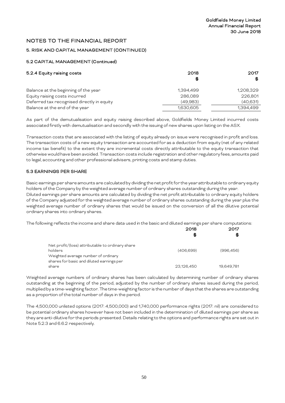# 5. RISK AND CAPITAL MANAGEMENT (CONTINUED)

## 5.2 CAPITAL MANAGEMENT (Continued)

| 5.2.4 Equity raising costs                 | 2018<br>\$ | 2017<br>\$ |
|--------------------------------------------|------------|------------|
| Balance at the beginning of the year       | 1.394.499  | 1,208,329  |
| Equity raising costs incurred              | 286,089    | 226,801    |
| Deferred tax recognised directly in equity | (49,983)   | (40, 631)  |
| Balance at the end of the year             | 1,630,605  | 1,394,499  |

As part of the demutualisation and equity raising described above, Goldfields Money Limited incurred costs associated firstly with demutualisation and secondly with the issuing of new shares upon listing on the ASX.

Transaction costs that are associated with the listing of equity already on issue were recognised in profit and loss. The transaction costs of a new equity transaction are accounted for as a deduction from equity (net of any related income tax benefit) to the extent they are incremental costs directly attributable to the equity transaction that otherwise would have been avoided. Transaction costs include registration and other regulatory fees, amounts paid to legal, accounting and other professional advisers, printing costs and stamp duties.

## 5.3 EARNINGS PER SHARE

Basic earnings per share amounts are calculated by dividing the net profit for the year attributable to ordinary equity holders of the Company by the weighted average number of ordinary shares outstanding during the year. Diluted earnings per share amounts are calculated by dividing the net profit attributable to ordinary equity holders of the Company adjusted for the weighted average number of ordinary shares outstanding during the year plus the weighted average number of ordinary shares that would be issued on the conversion of all the dilutive potential ordinary shares into ordinary shares.

The following reflects the income and share data used in the basic and diluted earnings per share computations:

|                                                                                                                                                 | 2018<br>\$ | 2017<br>\$6 |
|-------------------------------------------------------------------------------------------------------------------------------------------------|------------|-------------|
| Net profit/(loss) attributable to ordinary share<br>holders<br>Weighted average number of ordinary<br>shares for basic and diluted earnings per | (406.699)  | (996.456)   |
| share                                                                                                                                           | 23,126,450 | 19.649.781  |

Weighted average numbers of ordinary shares has been calculated by determining number of ordinary shares outstanding at the beginning of the period, adjusted by the number of ordinary shares issued during the period, multiplied by a time-weighting factor. The time-weighting factor is the number of days that the shares are outstanding as a proportion of the total number of days in the period.

The 4,500,000 unlisted options (2017: 4,500,000) and 1,740,000 performance rights (2017: nil) are considered to be potential ordinary shares however have not been included in the determination of diluted earnings per share as they are anti-dilutive for the periods presented. Details relating to the options and performance rights are set out in Note 5.2.3 and 6.6.2 respectively.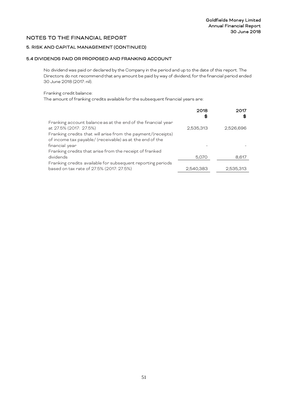# 5. RISK AND CAPITAL MANAGEMENT (CONTINUED)

# 5.4 DIVIDENDS PAID OR PROPOSED AND FRANKING ACCOUNT

No dividend was paid or declared by the Company in the period and up to the date of this report. The Directors do not recommend that any amount be paid by way of dividend, for the financial period ended 30 June 2018 (2017: nil).

#### Franking credit balance:

The amount of franking credits available for the subsequent financial years are:

|                                                              | 2018<br>\$G | \$G       |
|--------------------------------------------------------------|-------------|-----------|
| Franking account balance as at the end of the financial year |             |           |
| at 27.5% (2017: 27.5%)                                       | 2,535,313   | 2,526,696 |
| Franking credits that will arise from the payment/(receipts) |             |           |
| of income tax payable/ (receivable) as at the end of the     |             |           |
| financial year                                               |             |           |
| Franking credits that arise from the receipt of franked      |             |           |
| dividends                                                    | 5,070       | 8,617     |
| Franking credits available for subsequent reporting periods  |             |           |
| based on tax rate of 27.5% (2017: 27.5%)                     | 2.540.383   | 2,535,313 |
|                                                              |             |           |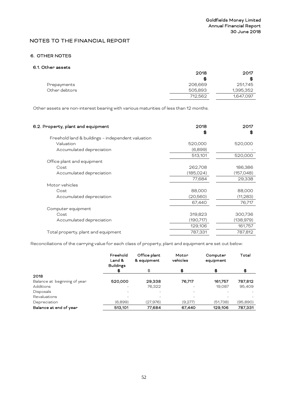# 6. OTHER NOTES

# 6.1. Other assets

|               | 2018    | 2017      |
|---------------|---------|-----------|
|               | S       | \$        |
| Prepayments   | 206,669 | 251,745   |
| Other debtors | 505,893 | 1,395,352 |
|               | 712,562 | 1,647,097 |

Other assets are non-interest bearing with various maturities of less than 12 months.

| 6.2. Property, plant and equipment                | 2018<br>S | 2017<br>\$ |
|---------------------------------------------------|-----------|------------|
| Freehold land & buildings - independent valuation |           |            |
| Valuation                                         | 520,000   | 520,000    |
| Accumulated depreciation                          | (6,899)   |            |
|                                                   | 513,101   | 520,000    |
| Office plant and equipment                        |           |            |
| Cost                                              | 262,708   | 186,386    |
| Accumulated depreciation                          | (185,024) | (157, 048) |
|                                                   | 77,684    | 29,338     |
| Motor vehicles                                    |           |            |
| Cost                                              | 88,000    | 88,000     |
| Accumulated depreciation                          | (20,560)  | (11,283)   |
|                                                   | 67,440    | 76,717     |
| Computer equipment                                |           |            |
| Cost                                              | 319,823   | 300,736    |
| Accumulated depreciation                          | (190,717) | (138,979)  |
|                                                   | 129,106   | 161,757    |
| Total property, plant and equipment               | 787,331   | 787,812    |
|                                                   |           |            |

Reconciliations of the carrying value for each class of property, plant and equipment are set out below:

|                              | Freehold<br>Land &<br><b>Buildings</b> | Office plant<br>& equipment | Motor<br>vehicles | Computer<br>equipment | Total    |
|------------------------------|----------------------------------------|-----------------------------|-------------------|-----------------------|----------|
|                              | \$                                     | \$                          | \$                | \$                    | \$       |
| 2018                         |                                        |                             |                   |                       |          |
| Balance at beginning of year | 520,000                                | 29,338                      | 76,717            | 161,757               | 787,812  |
| <b>Additions</b>             |                                        | 76,322                      |                   | 19,087                | 95,409   |
| Disposals                    |                                        |                             |                   |                       |          |
| Revaluations                 |                                        |                             |                   |                       |          |
| Depreciation                 | (6,899)                                | (27, 976)                   | (9,277)           | (51,738)              | (95,890) |
| Balance at end of year       | 513,101                                | 77,684                      | 67,440            | 129,106               | 787,331  |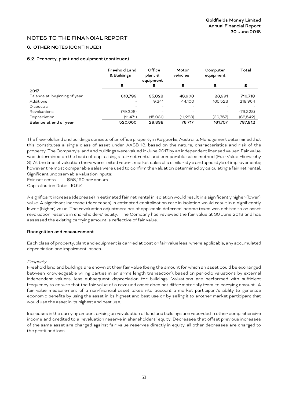# 6. OTHER NOTES (CONTINUED)

## 6.2. Property, plant and equipment (continued)

|                              | <b>Freehold Land</b><br>& Buildings | Office<br>plant &<br>equipment | Motor<br>vehicles | Computer<br>equipment | Total    |
|------------------------------|-------------------------------------|--------------------------------|-------------------|-----------------------|----------|
|                              | \$                                  | \$                             | \$                | \$                    | \$       |
| 2017                         |                                     |                                |                   |                       |          |
| Balance at beginning of year | 610,799                             | 35.028                         | 43,900            | 26.991                | 716,718  |
| Additions                    |                                     | 9.341                          | 44.100            | 165,523               | 218,964  |
| Disposals                    |                                     |                                |                   |                       |          |
| Revaluations                 | (79,328)                            |                                |                   |                       | (79,328) |
| Depreciation                 | (11, 471)                           | (15,031)                       | (11, 283)         | (30,757)              | (68,542) |
| Balance at end of year       | 520,000                             | 29.338                         | 76.717            | 161,757               | 787.812  |

The freehold land and buildings consists of an office property in Kalgoorlie, Australia. Management determined that this constitutes a single class of asset under AASB 13, based on the nature, characteristics and risk of the property. The Company's land and buildings were valued in June 2017 by an independent licensed valuer. Fair value was determined on the basis of capitalising a fair net rental and comparable sales method (Fair Value Hierarchy 3). At the time of valuation there were limited recent market sales of a similar style and aged style of improvements; however the most comparable sales were used to confirm the valuation determined by calculating a fair net rental. Significant unobservable valuation inputs:

Fair net rental \$58,190 per annum Capitalisation Rate: 10.5%

A significant increase (decrease) in estimated fair net rental in isolation would resultin a significantly higher (lower) value. A significant increase (decreases) in estimated capitalisation rate in isolation would result in a significantly lower (higher) value. The revaluation adjustment net of applicable deferred income taxes was debited to an asset revaluation reserve in shareholders' equity. The Company has reviewed the fair value at 30 June 2018 and has assessed the existing carrying amount is reflective of fair value.

## Recognition and measurement

Each class of property, plant and equipment is carried at cost or fair value less, where applicable, any accumulated depreciation and impairment losses.

#### Property

Freehold land and buildings are shown at their fair value (being the amount for which an asset could be exchanged between knowledgeable willing parties in an arm's length transaction), based on periodic valuations by external independent valuers, less subsequent depreciation for buildings. Valuations are performed with sufficient frequency to ensure that the fair value of a revalued asset does not differ materially from its carrying amount. A fair value measurement of a non-financial asset takes into account a market participant's ability to generate economic benefits by using the asset in its highest and best use or by selling it to another market participant that would use the asset in its highest and best use.

Increases in the carrying amount arising on revaluation of land and buildings are recorded in other comprehensive income and credited to a revaluation reserve in shareholders' equity. Decreases that offset previous increases of the same asset are charged against fair value reserves directly in equity; all other decreases are charged to the profit and loss.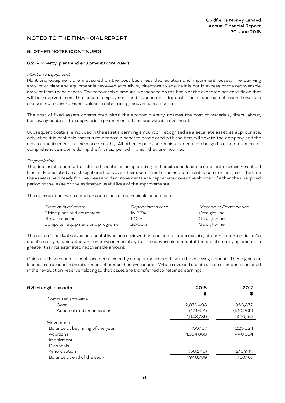# 6. OTHER NOTES (CONTINUED)

## 6.2. Property, plant and equipment (continued)

#### Plant and Equipment

Plant and equipment are measured on the cost basis less depreciation and impairment losses. The carrying amount of plant and equipment is reviewed annually by directors to ensure it is not in excess of the recoverable amount from these assets. The recoverable amount is assessed on the basis of the expected net cash flows that will be received from the assets employment and subsequent disposal. The expected net cash flows are discounted to their present values in determining recoverable amounts.

The cost of fixed assets constructed within the economic entity includes the cost of materials, direct labour, borrowing costs and an appropriate proportion of fixed and variable overheads.

Subsequent costs are included in the asset's carrying amount or recognised as a separate asset, as appropriate, only when it is probable that future economic benefits associated with the item will flow to the company and the cost of the item can be measured reliably. All other repairs and maintenance are charged to the statement of comprehensive income during the financial period in which they are incurred.

#### Depreciation

The depreciable amount of all fixed assets including building and capitalised lease assets, but excluding freehold land, is depreciated on a straight-line basis over their useful lives to the economic entity commencing from the time the asset is held ready for use. Leasehold improvements are depreciated over the shorter of either the unexpired period of the lease or the estimated useful lives of the improvements.

The depreciation rates used for each class of depreciable assets are:

| Class of fixed asset            | Depreciation rate | Method of Depreciation |
|---------------------------------|-------------------|------------------------|
| Office plant and equipment      | 15-33%            | Straight-line          |
| Motor vehicles                  | 12.5%             | Straight-line          |
| Computer equipment and programs | 20-50%            | Straight-line          |

The assets' residual values and useful lives are reviewed and adjusted if appropriate, at each reporting date. An asset's carrying amount is written down immediately to its recoverable amount if the asset's carrying amount is greater than its estimated recoverable amount.

Gains and losses on disposals are determined by comparing proceeds with the carrying amount. These gains or losses are included in the statement of comprehensive income. When revalued assets are sold, amounts included in the revaluation reserve relating to that asset are transferred to retained earnings.

| 6.3 Intangible assets            | 2018       | 2017       |
|----------------------------------|------------|------------|
|                                  | \$         | \$         |
| Computer software                |            |            |
| Cost                             | 2,070,403  | 960,372    |
| Accumulated amortisation         | (121, 614) | (510, 205) |
|                                  | 1,948,789  | 450,167    |
| Movements                        |            |            |
| Balance at beginning of the year | 450,167    | 225,524    |
| Additions                        | 1,554,868  | 440.584    |
| Impairment                       |            |            |
| Disposals                        |            |            |
| Amortisation                     | (56, 246)  | (215,941)  |
| Balance at end of the year       | 1,948,789  | 450.167    |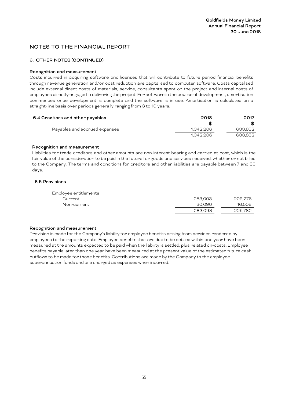# 6. OTHER NOTES (CONTINUED)

## Recognition and measurement

Costs incurred in acquiring software and licenses that will contribute to future period financial benefits through revenue generation and/or cost reduction are capitalised to computer software. Costs capitalised include external direct costs of materials, service, consultants spent on the project and internal costs of employees directly engaged in delivering the project. For software in the course of development, amortisation commences once development is complete and the software is in use. Amortisation is calculated on a straight-line basis over periods generally ranging from 3 to 10 years.

| 6.4 Creditors and other payables | 2018      | 2017    |
|----------------------------------|-----------|---------|
|                                  | \$6       | S.      |
| Payables and accrued expenses    | 1.042.206 | 633,832 |
|                                  | 1.042.206 | 633.832 |

## Recognition and measurement

Liabilities for trade creditors and other amounts are non-interest bearing and carried at cost, which is the fair value of the consideration to be paid in the future for goods and services received, whether or not billed to the Company. The terms and conditions for creditors and other liabilities are payable between 7 and 30 days.

# 6.5 Provisions

| Employee entitlements |         |         |
|-----------------------|---------|---------|
| Current               | 253.003 | 209.276 |
| Non-current           | 30.090  | 16,506  |
|                       | 283.093 | 225.782 |
|                       |         |         |

## Recognition and measurement

Provision is made for the Company's liability for employee benefits arising from services rendered by employees to the reporting date. Employee benefits that are due to be settled within one year have been measured at the amounts expected to be paid when the liability is settled, plus related on-costs. Employee benefits payable later than one year have been measured at the present value of the estimated future cash outflows to be made for those benefits. Contributions are made by the Company to the employee superannuation funds and are charged as expenses when incurred.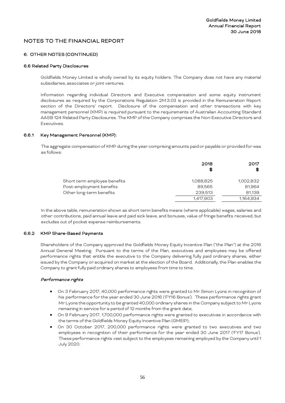## 6. OTHER NOTES (CONTINUED)

#### 6.6 Related Party Disclosures

Goldfields Money Limited is wholly owned by its equity holders. The Company does not have any material subsidiaries, associates or joint ventures.

Information regarding individual Directors and Executive compensation and some equity instrument disclosures as required by the Corporations Regulation 2M.3.03 is provided in the Remuneration Report section of the Directors' report. Disclosure of the compensation and other transactions with key management personnel (KMP) is required pursuant to the requirements of Australian Accounting Standard AASB 124 Related Party Disclosures. The KMP of the Company comprises the Non-Executive Directors and Executives.

#### 6.6.1 Key Management Personnel (KMP):

The aggregate compensation of KMP during the year comprising amounts paid or payable or provided for was as follows:

|                              | 2018<br>\$G | 2017<br>\$ |
|------------------------------|-------------|------------|
| Short term employee benefits | 1,088,825   | 1,002,832  |
| Post-employment benefits     | 89,565      | 81,964     |
| Other long-term benefits     | 239,513     | 81,139     |
|                              | 1,417,903   | 1,164,934  |

In the above table, remuneration shown as short term benefits means (where applicable) wages, salaries and other contributions, paid annual leave and paid sick leave, and bonuses, value of fringe benefits received, but excludes out of pocket expense reimbursements.

## 6.6.2 KMP Share-Based Payments

Shareholders of the Company approved the Goldfields Money Equity Incentive Plan ("the Plan") at the 2016 Annual General Meeting. Pursuant to the terms of the Plan, executives and employees may be offered performance rights that entitle the executive to the Company delivering fully paid ordinary shares, either issued by the Company or acquired on market at the election of the Board. Additionally, the Plan enables the Company to grant fully paid ordinary shares to employees from time to time.

#### Performance rights

- On 3 February 2017, 40,000 performance rights were granted to Mr Simon Lyons in recognition of his performance for the year ended 30 June 2016 ('FY16 Bonus'). These performance rights grant Mr Lyons the opportunity to be granted 40,000 ordinary shares in the Company subject to Mr Lyons remaining in service for a period of 12 months from the grant date;
- On 9 February 2017, 1,700,000 performance rights were granted to executives in accordance with the terms of the Goldfields Money Equity Incentive Plan (GMEIP);
- On 30 October 2017, 200,000 performance rights were granted to two executives and two employees in recognition of their performance for the year ended 30 June 2017 ('FY17 Bonus'). These performance rights vest subject to the employees remaining employed by the Company until 1 July 2020.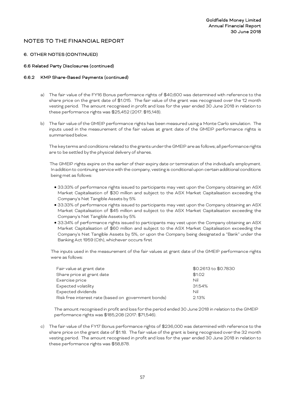## 6. OTHER NOTES (CONTINUED)

## 6.6 Related Party Disclosures (continued)

#### 6.6.2 KMP Share-Based Payments (continued)

- a) The fair value of the FY16 Bonus performance rights of \$40,600 was determined with reference to the share price on the grant date of \$1.015. The fair value of the grant was recognised over the 12 month vesting period. The amount recognised in profit and loss for the year ended 30 June 2018 in relation to these performance rights was \$25,452 (2017: \$15,148).
- b) The fair value of the GMEIP performance rights has been measured using a Monte Carlo simulation. The inputs used in the measurement of the fair values at grant date of the GMEIP performance rights is summarised below.

The key terms and conditions related to the grants under the GMEIP are as follows; all performance rights are to be settled by the physical delivery of shares.

 The GMEIP rights expire on the earlier of their expiry date or termination of the individual's employment. In addition to continuing service with the company, vesting is conditional upon certain additional conditions being met as follows:

- 33.33% of performance rights issued to participants may vest upon the Company obtaining an ASX Market Capitalisation of \$30 million and subject to the ASX Market Capitalisation exceeding the Company's Net Tangible Assets by 5%
- 33.33% of performance rights issued to participants may vest upon the Company obtaining an ASX Market Capitalisation of \$45 million and subject to the ASX Market Capitalisation exceeding the Company's Net Tangible Assets by 5%
- 33.34% of performance rights issued to participants may vest upon the Company obtaining an ASX Market Capitalisation of \$60 million and subject to the ASX Market Capitalisation exceeding the Company's Net Tangible Assets by 5%, or upon the Company being designated a "Bank" under the Banking Act 1959 (Cth), whichever occurs first

The inputs used in the measurement of the fair values at grant date of the GMEIP performance rights were as follows:

| Fair value at grant date                            | \$0.2613 to \$0.7830 |
|-----------------------------------------------------|----------------------|
| Share price at grant date                           | \$1.02               |
| Exercise price                                      | Nil                  |
| Expected volatility                                 | 31.54%               |
| Expected dividends                                  | Nil                  |
| Risk free interest rate (based on government bonds) | 2.13%                |

The amount recognised in profit and loss for the period ended 30 June 2018 in relation to the GMEIP performance rights was \$185,208 (2017: \$71,546).

c) The fair value of the FY17 Bonus performance rights of \$236,000 was determined with reference to the share price on the grant date of \$1.18. The fair value of the grant is being recognised over the 32 month vesting period. The amount recognised in profit and loss for the year ended 30 June 2018 in relation to these performance rights was \$58,878.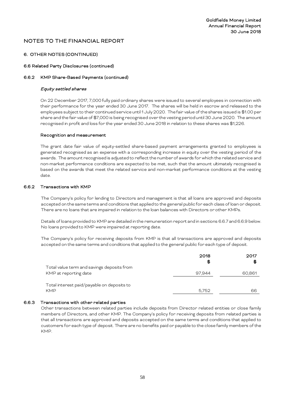## 6. OTHER NOTES (CONTINUED)

#### 6.6 Related Party Disclosures (continued)

#### 6.6.2 KMP Share-Based Payments (continued)

#### Equity settled shares

On 22 December 2017, 7,000 fully paid ordinary shares were issued to several employees in connection with their performance for the year ended 30 June 2017. The shares will be held in escrow and released to the employees subject to their continued service until 1 July 2020. The fair value of the shares issued is \$1.00 per share and the fair value of \$7,000 is being recognised over the vesting period until 30 June 2020. The amount recognised in profit and loss for the year ended 30 June 2018 in relation to these shares was \$1,226.

#### Recognition and measurement

The grant date fair value of equity-settled share-based payment arrangements granted to employees is generated recognised as an expense with a corresponding increase in equity over the vesting period of the awards. The amount recognised is adjusted to reflect the number of awards for which the related service and non-market performance conditions are expected to be met, such that the amount ultimately recognised is based on the awards that meet the related service and non-market performance conditions at the vesting date.

#### 6.6.2 Transactions with KMP

The Company's policy for lending to Directors and management is that all loans are approved and deposits accepted on the same terms and conditions that applied to the general public for each class of loan or deposit. There are no loans that are impaired in relation to the loan balances with Directors or other KMPs.

Details of loans provided to KMP are detailed in the remuneration report and in sections 6.6.7 and 6.6.9 below. No loans provided to KMP were impaired at reporting date.

The Company's policy for receiving deposits from KMP is that all transactions are approved and deposits accepted on the same terms and conditions that applied to the general public for each type of deposit.

| 2018<br>S | 2017<br>\$G |
|-----------|-------------|
|           |             |
| 97.944    | 60,861      |
|           |             |
|           |             |
| 5.752     | 66          |
|           |             |

## 6.6.3 Transactions with other related parties

Other transactions between related parties include deposits from Director related entities or close family members of Directors, and other KMP. The Company's policy for receiving deposits from related parties is that all transactions are approved and deposits accepted on the same terms and conditions that applied to customers for each type of deposit. There are no benefits paid or payable to the close family members of the KMP.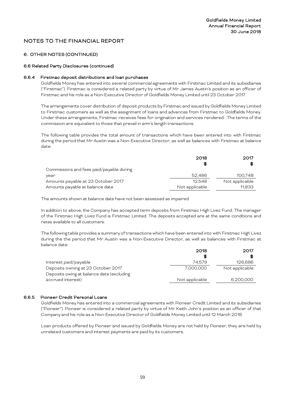# 6. OTHER NOTES (CONTINUED)

#### 6.6 Related Party Disclosures (continued)

#### 6.6.4 Firstmac deposit distributions and loan purchases

Goldfields Money has entered into several commercial agreements with Firstmac Limited and its subsidiaries ("Firstmac"). Firstmac is considered a related party by virtue of Mr James Austin's position as an officer of Firstmac and his role as a Non-Executive Director of Goldfields Money Limited until 23 October 2017.

The arrangements cover distribution of deposit products by Firstmacand issued by Goldfields Money Limited to Firstmac customers as well as the assignment of loans and advances from Firstmac to Goldfields Money. Under these arrangements, Firstmac receives fees for origination and services rendered. The terms of the commission are equivalent to those that prevail in arm's length transactions.

The following table provides the total amount of transactions which have been entered into with Firstmac during the period that Mr Austin was a Non-Executive Director, as well as balances with Firstmac at balance date:

|                                          | 2018           | 2017           |
|------------------------------------------|----------------|----------------|
|                                          | \$             | S              |
| Commissions and fees paid/payable during |                |                |
| year                                     | 52,486         | 100,748        |
| Amounts payable at 23 October 2017       | 12.548         | Not applicable |
| Amounts payable at balance date          | Not applicable | 11.833         |

The amounts shown at balance date have not been assessed as impaired.

In addition to above, the Company has accepted term deposits from Firstmac High Livez Fund. The manager of the Firstmac High Livez Fund is Firstmac Limited. The deposits accepted are at the same conditions and rates available to all customers.

The following table provides a summary of transactions which have been entered into with Firstmac High Livez during the the period that Mr Austin was a Non-Executive Director, as well as balances with Firstmac at balance date:

| 2018           | 2017           |
|----------------|----------------|
| S              | £6             |
| 74,579         | 126,686        |
| 7,000,000      | Not applicable |
|                |                |
| Not applicable | 6,200,000      |
|                |                |

## 6.6.5 Pioneer Credit Personal Loans

Goldfields Money has entered into a commercial agreements with Pioneer Credit Limited and its subsidiaries ("Pioneer"). Pioneer is considered a related party by virtue of Mr Keith John's position as an officer of that Company and his role as a Non-Executive Director of Goldfields Money Limited until 12 March 2018.

Loan products offered by Pioneer and issued by Goldfields Money are not held by Pioneer, they are held by unrelated customers and interest payments are paid by its customers.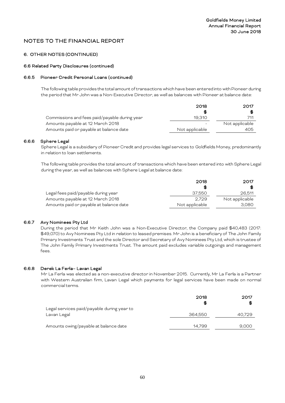## 6. OTHER NOTES (CONTINUED)

#### 6.6 Related Party Disclosures (continued)

#### 6.6.5 Pioneer Credit Personal Loans (continued)

The following table provides the total amount of transactions which have been entered into with Pioneer during the period that Mr John was a Non-Executive Director, as well as balances with Pioneer at balance date:

|                                               | 2018           | 2017           |
|-----------------------------------------------|----------------|----------------|
|                                               | S              | SS             |
| Commissions and fees paid/payable during year | 19.310         | 711            |
| Amounts payable at 12 March 2018              |                | Not applicable |
| Amounts paid or payable at balance date       | Not applicable | 405            |

#### 6.6.6 Sphere Legal

Sphere Legal is a subsidiary of Pioneer Credit and provides legal services to Goldfields Money, predominantly in relation to loan settlements.

The following table provides the total amount of transactions which have been entered into with Sphere Legal during the year, as well as balances with Sphere Legal at balance date:

|                                         | 2018           | 2017           |
|-----------------------------------------|----------------|----------------|
|                                         | £              | SS.            |
| Legal fees paid/payable during year     | 37.550         | 26.511         |
| Amounts payable at 12 March 2018        | 2.729          | Not applicable |
| Amounts paid or payable at balance date | Not applicable | 3,080          |

## 6.6.7 Avy Nominees Pty Ltd

During the period that Mr Keith John was a Non-Executive Director, the Company paid \$40,483 (2017: \$49,070) to Avy Nominees Pty Ltd in relation to leased premises. Mr John is a beneficiary of The John Family Primary Investments Trust and the sole Director and Secretary of Avy Nominees Pty Ltd, which is trustee of The John Family Primary Investments Trust. The amount paid excludes variable outgoings and management fees.

#### 6.6.8 Derek La Ferla– Lavan Legal

Mr La Ferla was elected as a non-executive director in November 2015. Currently, Mr La Ferla is a Partner with Western Australian firm, Lavan Legal which payments for legal services have been made on normal commercial terms.

|                                                           | 2018<br>S | 2017<br>\$ |
|-----------------------------------------------------------|-----------|------------|
| Legal services paid/payable during year to<br>Lavan Legal | 364.550   | 40,729     |
| Amounts owing/payable at balance date                     | 14.799    | 9,000      |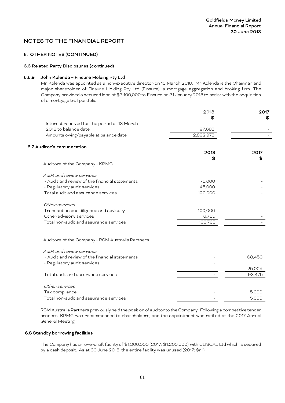# 6. OTHER NOTES (CONTINUED)

#### 6.6 Related Party Disclosures (continued)

## 6.6.9 John Kolenda – Finsure Holding Pty Ltd

Mr Kolenda was appointed as a non-executive director on 13 March 2018. Mr Kolenda is the Chairman and major shareholder of Finsure Holding Pty Ltd (Finsure), a mortgage aggregation and broking firm. The Company provided a secured loan of \$3,100,000 to Finsure on 31 January 2018 to assist with the acquisition of a mortgage trail portfolio.

|                                                  | 2018      | 2017   |
|--------------------------------------------------|-----------|--------|
|                                                  |           | SG.    |
| Interest received for the period of 13 March     |           |        |
| 2018 to balance date                             | 97,683    |        |
| Amounts owing/payable at balance date            | 2,892,973 |        |
| 6.7 Auditor's remuneration                       |           |        |
|                                                  | 2018      | 2017   |
|                                                  | S         |        |
| Auditors of the Company - KPMG                   |           |        |
| Audit and review services                        |           |        |
| - Audit and review of the financial statements   | 75,000    |        |
| - Regulatory audit services                      | 45,000    |        |
| Total audit and assurance services               | 120,000   |        |
| Other services                                   |           |        |
| Transaction due diligence and advisory           | 100,000   |        |
| Other advisory services                          | 6,765     |        |
| Total non-audit and assurance services           | 106,765   |        |
| Auditors of the Company - RSM Australia Partners |           |        |
| Audit and review services                        |           |        |
| - Audit and review of the financial statements   |           | 68,450 |
| - Regulatory audit services                      |           |        |
|                                                  |           | 25,025 |
| Total audit and assurance services               |           | 93,475 |
| Other services                                   |           |        |
| Tax compliance                                   |           | 5,000  |
| Total non-audit and assurance services           |           | 5,000  |
|                                                  |           |        |

RSM Australia Partners previously held the position of auditor to the Company. Following a competitive tender process, KPMG was recommended to shareholders, and the appointment was ratified at the 2017 Annual General Meeting.

#### 6.8 Standby borrowing facilities

The Company has an overdraft facility of \$1,200,000 (2017: \$1,200,000) with CUSCAL Ltd which is secured by a cash deposit. As at 30 June 2018, the entire facility was unused (2017: \$nil).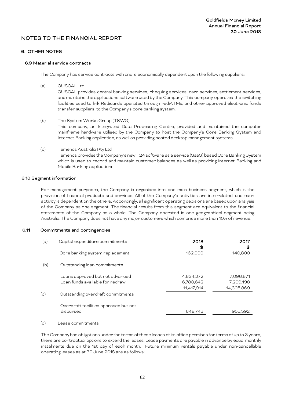#### 6. OTHER NOTES

#### 6.9 Material service contracts

The Company has service contracts with and is economically dependent upon the following suppliers:

(a) CUSCAL Ltd

CUSCAL provides central banking services, chequing services, card services, settlement services, and maintains the applications software used by the Company. This company operates the switching facilities used to link Redicards operated through rediATMs, and other approved electronic funds transfer suppliers, to the Company's core banking system.

- (b) The System Works Group (TSWG) This company, an Integrated Data Processing Centre, provided and maintained the computer mainframe hardware utilised by the Company to host the Company's Core Banking System and Internet Banking application, as well as providing hosted desktop management systems.
- (c) Temenos Australia Pty Ltd Temenos provides the Company's new T24 software as a service (SaaS) based Core Banking System which is used to record and maintain customer balances as well as providing Internet Banking and Mobile Banking applications.

## 6.10 Segment information

For management purposes, the Company is organised into one main business segment, which is the provision of financial products and services. All of the Company's activities are interrelated, and each activity is dependent on the others. Accordingly, all significant operating decisions are based upon analysis of the Company as one segment. The financial results from this segment are equivalent to the financial statements of the Company as a whole. The Company operated in one geographical segment being Australia. The Company does not have any major customers which comprise more than 10% of revenue.

#### 6.11 Commitments and contingencies

| (a) | Capital expenditure commitments       | 2018<br>\$G | 2017<br>S  |
|-----|---------------------------------------|-------------|------------|
|     | Core banking system replacement       | 162,000     | 140,800    |
| (b) | Outstanding loan commitments          |             |            |
|     | Loans approved but not advanced       | 4,634,272   | 7,096,671  |
|     | Loan funds available for redraw       | 6,783,642   | 7,209,198  |
|     |                                       | 11,417,914  | 14,305,869 |
| (c) | Outstanding overdraft commitments     |             |            |
|     | Overdraft facilities approved but not |             |            |
|     | disbursed                             | 648,743     | 955,592    |
|     |                                       |             |            |

(d) Lease commitments

The Company has obligations under the terms of these leases of its office premises for terms of up to 3 years, there are contractual options to extend the leases. Lease payments are payable in advance by equal monthly instalments due on the 1st day of each month. Future minimum rentals payable under non-cancellable operating leases as at 30 June 2018 are as follows: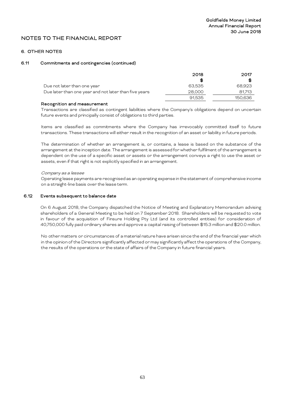# 6. OTHER NOTES

#### 6.11 Commitments and contingencies (continued)

|                                                       | 2018   | 2017    |
|-------------------------------------------------------|--------|---------|
|                                                       | \$G    | Яß      |
| Due not later than one year                           | 63.535 | 68.923  |
| Due later than one year and not later than five years | 28,000 | 81.713  |
|                                                       | 91.535 | 150.636 |

## Recognition and measurement

Transactions are classified as contingent liabilities where the Company's obligations depend on uncertain future events and principally consist of obligations to third parties.

Items are classified as commitments where the Company has irrevocably committed itself to future transactions. These transactions will either result in the recognition of an asset or liability in future periods.

The determination of whether an arrangement is, or contains, a lease is based on the substance of the arrangement at the inception date. The arrangement is assessed for whether fulfilment of the arrangement is dependent on the use of a specific asset or assets or the arrangement conveys a right to use the asset or assets, even if that right is not explicitly specified in an arrangement.

#### Company as a lessee

Operating lease payments are recognised as an operating expense in the statement of comprehensive income on a straight-line basis over the lease term.

#### 6.12 Events subsequent to balance date

On 6 August 2018, the Company dispatched the Notice of Meeting and Explanatory Memorandum advising shareholders of a General Meeting to be held on 7 September 2018. Shareholders will be requested to vote in favour of the acquisition of Finsure Holding Pty Ltd (and its controlled entities) for consideration of 40,750,000 fully paid ordinary shares and approve a capital raising of between \$15.3 million and \$20.0 million.

No othermatters or circumstances of a material nature have arisen since the end of the financial year which in the opinion of the Directors significantly affected or may significantly affect the operations of the Company, the results of the operations or the state of affairs of the Company in future financial years.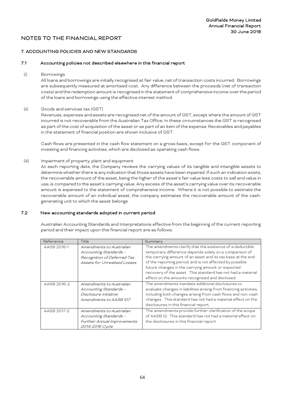# 7. ACCOUNTING POLICIES AND NEW STANDARDS

#### 7.1 Accounting policies not described elsewhere in this financial report

(i) Borrowings

All loans and borrowings are initially recognised at fair value, net of transaction costs incurred. Borrowings are subsequently measured at amortised cost. Any difference between the proceeds (net of transaction costs) and the redemption amount is recognised in the statement of comprehensive income over the period of the loans and borrowings using the effective interest method.

#### (ii) Goods and services tax (GST)

Revenues, expenses and assets are recognised net of the amount of GST, except where the amount of GST incurred is not recoverable from the Australian Tax Office. In these circumstances the GST is recognised as part of the cost of acquisition of the asset or as part of an item of the expense. Receivables and payables in the statement of financial position are shown inclusive of GST.

Cash flows are presented in the cash flow statement on a gross basis, except for the GST component of investing and financing activities, which are disclosed as operating cash flows.

(iii) Impairment of property, plant and equipment

At each reporting date, the Company reviews the carrying values of its tangible and intangible assets to determine whether there is any indication that those assets have been impaired. If such an indication exists, the recoverable amount of the asset, being the higher of the asset's fair value less costs to sell and value in use, is compared to the asset's carrying value. Any excess of the asset's carrying value over its recoverable amount is expensed to the statement of comprehensive income. Where it is not possible to estimate the recoverable amount of an individual asset, the company estimates the recoverable amount of the cashgenerating unit to which the asset belongs.

## 7.2 New accounting standards adopted in current period

Australian Accounting Standards and Interpretations effective from the beginning of the current reporting period and their impact upon this financial report are as follows:

| Reference   | Title                                                                                                             | Summary                                                                                                                                                                                                                                                                                                                                                                                                               |
|-------------|-------------------------------------------------------------------------------------------------------------------|-----------------------------------------------------------------------------------------------------------------------------------------------------------------------------------------------------------------------------------------------------------------------------------------------------------------------------------------------------------------------------------------------------------------------|
| AASB 2016-1 | Amendments to Australian<br>Accounting Standards -<br>Recognition of Deferred Tax<br>Assets for Unrealised Losses | The amendments clarify that the existence of a deductible<br>temporary difference depends solely on a comparison of<br>the carrying amount of an asset and its tax base at the end<br>of the reporting period, and is not affected by possible<br>future changes in the carrying amount or expected<br>recovery of the asset. This standard has not had a material<br>effect on the amounts recognised and disclosed. |
| AASB 2016-2 | Amendments to Australian<br>Accounting Standards -<br>Disclosure Initiative:<br>Amendments to AASB 107            | The amendments mandate additional disclosures to<br>evaluate changes in liabilities arising from financing activities,<br>including both changes arising from cash flows and non-cash<br>changes. This standard has not had a material effect on the<br>disclosures in this financial report.                                                                                                                         |
| AASB 2017-2 | Amendments to Australian<br>Accounting Standards -<br>Further Annual Improvements<br>2014-2016 Cycle              | The amendments provide further clarification of the scope<br>of AASB 12. This standard has not had a material effect on<br>the disclosures in this financial report.                                                                                                                                                                                                                                                  |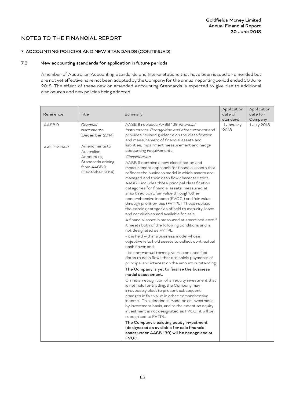# 7. ACCOUNTING POLICIES AND NEW STANDARDS (CONTINUED)

# 7.3 New accounting standards for application in future periods

A number of Australian Accounting Standards and Interpretations that have been issued or amended but are not yet effective have not been adopted by the Company for the annual reporting period ended 30 June 2018. The effect of these new or amended Accounting Standards is expected to give rise to additional disclosures and new policies being adopted.

| Reference         | Title                                                                                            | Summary                                                                                                                                                                                                                                                                                                                                                                                                                                                                                                                                                                                                                                                                                                                                                                                                                                                                                                                                                                                                                                                                                                                                                                                                                                                                                                                                                                                                                                                                                                                                                                                                                                                                     | Application<br>date of<br>standard | Application<br>date for<br>Company |
|-------------------|--------------------------------------------------------------------------------------------------|-----------------------------------------------------------------------------------------------------------------------------------------------------------------------------------------------------------------------------------------------------------------------------------------------------------------------------------------------------------------------------------------------------------------------------------------------------------------------------------------------------------------------------------------------------------------------------------------------------------------------------------------------------------------------------------------------------------------------------------------------------------------------------------------------------------------------------------------------------------------------------------------------------------------------------------------------------------------------------------------------------------------------------------------------------------------------------------------------------------------------------------------------------------------------------------------------------------------------------------------------------------------------------------------------------------------------------------------------------------------------------------------------------------------------------------------------------------------------------------------------------------------------------------------------------------------------------------------------------------------------------------------------------------------------------|------------------------------------|------------------------------------|
| AASB <sub>9</sub> | Financial<br><i>Instruments</i><br>(December 2014)                                               | AASB 9 replaces AASB 139 Financial<br>Instruments: Recognition and Measurement and<br>provides revised guidance on the classification<br>and measurement of financial assets and                                                                                                                                                                                                                                                                                                                                                                                                                                                                                                                                                                                                                                                                                                                                                                                                                                                                                                                                                                                                                                                                                                                                                                                                                                                                                                                                                                                                                                                                                            | 1 January<br>2018                  | 1 July 2018                        |
| AASB 2014-7       | Amendments to<br>Australian<br>Accounting<br>Standards arising<br>from AASB 9<br>(December 2014) | liabilities, impairment measurement and hedge<br>accounting requirements.<br>Classification<br>AASB 9 contains a new classification and<br>measurement approach for financial assets that<br>reflects the business model in which assets are<br>managed and their cash flow characteristics.<br>AASB 9 includes three principal classification<br>categories for financial assets: measured at<br>amortised cost, fair value through other<br>comprehensive income (FVOCI) and fair value<br>through profit or loss (FVTPL). These replace<br>the existing categories of held to maturity, loans<br>and receivables and available for sale.<br>A financial asset is measured at amortised cost if<br>it meets both of the following conditions and is<br>not designated as FVTPL:<br>- it is held within a business model whose<br>objective is to hold assets to collect contractual<br>cash flows; and<br>- its contractual terms give rise on specified<br>dates to cash flows that are solely payments of<br>principal and interest on the amount outstanding.<br>The Company is yet to finalise the business<br>model assessment.<br>On initial recognition of an equity investment that<br>is not held for trading, the Company may<br>irrevocably elect to present subsequent<br>changes in fair value in other comprehensive<br>income. This election is made on an investment<br>by investment basis, and to the extent an equity<br>investment is not designated as FVOCI, it will be<br>recognised at FVTPL.<br>The Company's existing equity investment<br>(designated as available for sale financial<br>asset under AASB 139) will be recognised at<br>FVOCI. |                                    |                                    |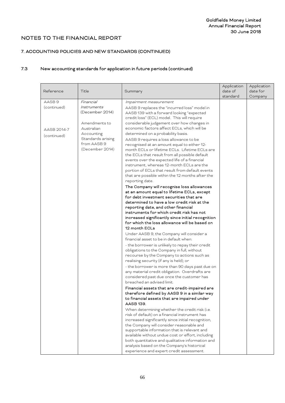# 7. ACCOUNTING POLICIES AND NEW STANDARDS (CONTINUED)

# 7.3 New accounting standards for application in future periods (continued)

| Reference         | Title             | Summary                                                                               | Application<br>date of<br>standard | Application<br>date for<br>Company |
|-------------------|-------------------|---------------------------------------------------------------------------------------|------------------------------------|------------------------------------|
| AASB <sub>9</sub> | Financial         | Impairment measurement                                                                |                                    |                                    |
| (continued)       | Instruments       | AASB 9 replaces the "incurred loss" model in                                          |                                    |                                    |
|                   | (December 2014)   | AASB 139 with a forward looking "expected                                             |                                    |                                    |
|                   |                   | credit loss" (ECL) model. This will require                                           |                                    |                                    |
|                   | Amendments to     | considerable judgement over how changes in                                            |                                    |                                    |
|                   | Australian        | economic factors affect ECLs, which will be                                           |                                    |                                    |
| AASB 2014-7       | Accounting        | determined on a probability basis.                                                    |                                    |                                    |
| (continued)       | Standards arising |                                                                                       |                                    |                                    |
|                   | from AASB 9       | AASB 9 requires a loss allowance to be<br>recognised at an amount equal to either 12- |                                    |                                    |
|                   | (December 2014)   | month ECLs or lifetime ECLs. Lifetime ECLs are                                        |                                    |                                    |
|                   |                   | the ECLs that result from all possible default                                        |                                    |                                    |
|                   |                   | events over the expected life of a financial                                          |                                    |                                    |
|                   |                   | instrument, whereas 12-month ECLs are the                                             |                                    |                                    |
|                   |                   | portion of ECLs that result from default events                                       |                                    |                                    |
|                   |                   | that are possible within the 12 months after the                                      |                                    |                                    |
|                   |                   | reporting date.                                                                       |                                    |                                    |
|                   |                   | The Company will recognise loss allowances                                            |                                    |                                    |
|                   |                   | at an amount equal to lifetime ECLs, except                                           |                                    |                                    |
|                   |                   | for debt investment securities that are                                               |                                    |                                    |
|                   |                   | determined to have a low credit risk at the                                           |                                    |                                    |
|                   |                   | reporting date, and other financial                                                   |                                    |                                    |
|                   |                   | instruments for which credit risk has not                                             |                                    |                                    |
|                   |                   | increased significantly since initial recognition                                     |                                    |                                    |
|                   |                   | for which the loss allowance will be based on                                         |                                    |                                    |
|                   |                   | 12 month ECLs                                                                         |                                    |                                    |
|                   |                   | Under AASB 9, the Company will consider a                                             |                                    |                                    |
|                   |                   | financial asset to be in default when:                                                |                                    |                                    |
|                   |                   | - the borrower is unlikely to repay their credit                                      |                                    |                                    |
|                   |                   | obligations to the Company in full, without                                           |                                    |                                    |
|                   |                   | recourse by the Company to actions such as                                            |                                    |                                    |
|                   |                   | realising security (if any is held); or                                               |                                    |                                    |
|                   |                   | - the borrower is more than 90 days past due on                                       |                                    |                                    |
|                   |                   | any material credit obligation. Overdrafts are                                        |                                    |                                    |
|                   |                   | considered past due once the customer has                                             |                                    |                                    |
|                   |                   | breached an advised limit.                                                            |                                    |                                    |
|                   |                   | Financial assets that are credit-impaired are                                         |                                    |                                    |
|                   |                   | therefore defined by AASB 9 in a similar way                                          |                                    |                                    |
|                   |                   | to financial assets that are impaired under                                           |                                    |                                    |
|                   |                   | AASB 139.                                                                             |                                    |                                    |
|                   |                   | When determining whether the credit risk (i.e.                                        |                                    |                                    |
|                   |                   | risk of default) on a financial instrument has                                        |                                    |                                    |
|                   |                   | increased significantly since initial recognition,                                    |                                    |                                    |
|                   |                   | the Company will consider reasonable and                                              |                                    |                                    |
|                   |                   | supportable information that is relevant and                                          |                                    |                                    |
|                   |                   | available without undue cost or effort, including                                     |                                    |                                    |
|                   |                   | both quantitative and qualitative information and                                     |                                    |                                    |
|                   |                   | analysis based on the Company's historical                                            |                                    |                                    |
|                   |                   | experience and expert credit assessment.                                              |                                    |                                    |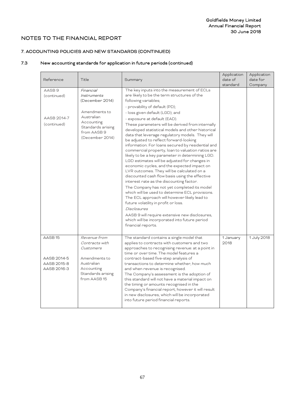# 7. ACCOUNTING POLICIES AND NEW STANDARDS (CONTINUED)

# 7.3 New accounting standards for application in future periods (continued)

| Reference                                                       | Title                                                                                                                                           | Summary                                                                                                                                                                                                                                                                                                                                                                                                                                                                                                                                                                                                                                                                                                                                                                                                                                                                                                                                                                                                                                                                                                                                                                          | Application<br>date of<br>standard | Application<br>date for<br>Company |
|-----------------------------------------------------------------|-------------------------------------------------------------------------------------------------------------------------------------------------|----------------------------------------------------------------------------------------------------------------------------------------------------------------------------------------------------------------------------------------------------------------------------------------------------------------------------------------------------------------------------------------------------------------------------------------------------------------------------------------------------------------------------------------------------------------------------------------------------------------------------------------------------------------------------------------------------------------------------------------------------------------------------------------------------------------------------------------------------------------------------------------------------------------------------------------------------------------------------------------------------------------------------------------------------------------------------------------------------------------------------------------------------------------------------------|------------------------------------|------------------------------------|
| AASB <sub>9</sub><br>(continued)<br>AASB 2014-7<br>(continued)  | Financial<br>Instruments<br>(December 2014)<br>Amendments to<br>Australian<br>Accounting<br>Standards arising<br>from AASB 9<br>(December 2014) | The key inputs into the measurement of ECLs<br>are likely to be the term structures of the<br>following variables;<br>- provability of default (PD);<br>- loss given default (LGD); and<br>- exposure at default (EAD).<br>These parameters will be derived from internally<br>developed statistical models and other historical<br>data that leverage regulatory models. They will<br>be adjusted to reflect forward-looking<br>information. For loans secured by residential and<br>commercial property, loan to valuation ratios are<br>likely to be a key parameter in determining LGD.<br>LGD estimates will be adjusted for changes in<br>economic cycles, and the expected impact on<br>LVR outcomes. They will be calculated on a<br>discounted cash flow basis using the effective<br>interest rate as the discounting factor.<br>The Company has not yet completed its model<br>which will be used to determine ECL provisions.<br>The ECL approach will however likely lead to<br>future volatility in profit or loss.<br><b>Disclosures</b><br>AASB 9 will require extensive new disclosures,<br>which will be incorporated into future period<br>financial reports. |                                    |                                    |
| AASB <sub>15</sub><br>AASB 2014-5<br>AASB 2015-8<br>AASB 2016-3 | Revenue from<br>Contracts with<br>Customers<br>Amendments to<br>Australian<br>Accounting<br>Standards arising<br>from AASB15                    | The standard contains a single model that<br>applies to contracts with customers and two<br>approaches to recognising revenue: at a point in<br>time or over time. The model features a<br>contract-based five-step analysis of<br>transactions to determine whether, how much<br>and when revenue is recognised.<br>The Company's assessment is the adoption of<br>this standard will not have a material impact on<br>the timing or amounts recognised in the<br>Company's financial report, however it will result<br>in new disclosures, which will be incorporated<br>into future period financial reports.                                                                                                                                                                                                                                                                                                                                                                                                                                                                                                                                                                 | 1 January<br>2018                  | 1 July 2018                        |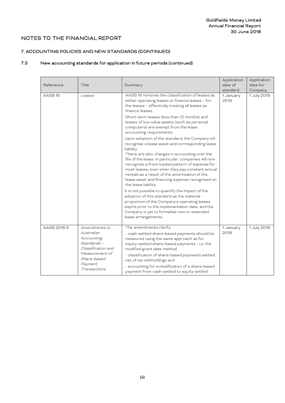# 7. ACCOUNTING POLICIES AND NEW STANDARDS (CONTINUED)

# 7.3 New accounting standards for application in future periods (continued)

| Reference          | Title                                                                                                                                      | Summary                                                                                                                                                                                                                                                                                                                                                                                                                                                                                                                                                                                                                                                                                                                                 | Application<br>date of<br>standard | Application<br>date for<br>Company |
|--------------------|--------------------------------------------------------------------------------------------------------------------------------------------|-----------------------------------------------------------------------------------------------------------------------------------------------------------------------------------------------------------------------------------------------------------------------------------------------------------------------------------------------------------------------------------------------------------------------------------------------------------------------------------------------------------------------------------------------------------------------------------------------------------------------------------------------------------------------------------------------------------------------------------------|------------------------------------|------------------------------------|
| AASB <sub>16</sub> | Leases                                                                                                                                     | AASB 16 removes the classification of leases as<br>either operating leases or finance leases - for<br>the lessee - effectively treating all leases as<br>finance leases.<br>Short-term leases (less than 12 months) and<br>leases of low-value assets (such as personal<br>computers) are exempt from the lease<br>accounting requirements.                                                                                                                                                                                                                                                                                                                                                                                             | 1 January<br>2019                  | 1 July 2019                        |
|                    |                                                                                                                                            | Upon adoption of the standard, the Company will<br>recognise a lease asset and corresponding lease<br>liability.<br>There are also changes in accounting over the<br>life of the lease. In particular, companies will now<br>recognise a front-loaded pattern of expense for<br>most leases, even when they pay constant annual<br>rentals as a result of the amortisation of the<br>lease asset and financing expense recognised on<br>the lease liability.<br>It is not possible to quantify the impact of the<br>adoption of this standard as the material<br>proportion of the Company's operating leases<br>expire prior to the implementation date, and the<br>Company is yet to formalise new or extended<br>lease arrangements. |                                    |                                    |
| AASB 2016-5        | Amendments to<br>Australian<br>Accounting<br>Standards -<br>Classification and<br>Measurement of<br>Share-based<br>Payment<br>Transactions | The amendments clarify:<br>- cash-settled share-based payments should be<br>measured using the same approach as for<br>equity-settled share-based payments - i.e. the<br>modified grant date method<br>- classification of share-based payments settled<br>net of tax withholdings and<br>- accounting for a modification of a share-based<br>payment from cash-settled to equity-settled.                                                                                                                                                                                                                                                                                                                                              | 1 January<br>2018                  | 1 July 2018                        |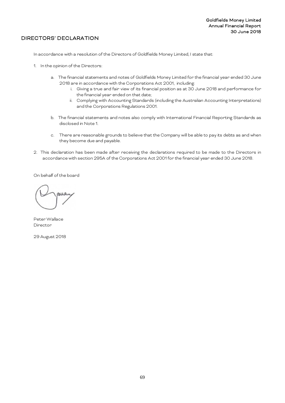# DIRECTORS' DECLARATION

In accordance with a resolution of the Directors of Goldfields Money Limited, I state that:

- 1. In the opinion of the Directors:
	- a. The financial statements and notes of Goldfields Money Limited for the financial year ended 30 June 2018 are in accordance with the Corporations Act 2001, including:
		- i. Giving a true and fair view of its financial position as at 30 June 2018 and performance for the financial year ended on that date;
		- ii. Complying with Accounting Standards (including the Australian Accounting Interpretations) and the Corporations Regulations 2001.
	- b. The financial statements and notes also comply with International Financial Reporting Standards as disclosed in Note 1.
	- c. There are reasonable grounds to believe that the Company will be able to pay its debts as and when they become due and payable.
- 2. This declaration has been made after receiving the declarations required to be made to the Directors in accordance with section 295A of the Corporations Act 2001 for the financial year ended 30 June 2018.

On behalf of the board

Peter Wallace Director

29 August 2018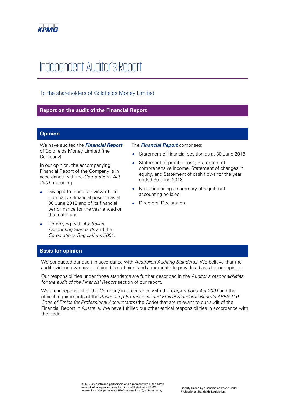

# Independent Auditor's Report

# To the shareholders of Goldfields Money Limited

# **Report on the audit of the Financial Report**

# **Opinion**

We have audited the **Financial Report** of Goldfields Money Limited (the Company).

In our opinion, the accompanying Financial Report of the Company is in accordance with the Corporations Act 2001, including:

- Giving a true and fair view of the Company's financial position as at 30 June 2018 and of its financial performance for the year ended on that date; and
- Complying with Australian Accounting Standards and the Corporations Regulations 2001.

The **Financial Report** comprises:

- Statement of financial position as at 30 June 2018
- Statement of profit or loss, Statement of comprehensive income, Statement of changes in equity, and Statement of cash flows for the year ended 30 June 2018
- Notes including a summary of significant accounting policies
- Directors' Declaration.

# **Basis for opinion**

We conducted our audit in accordance with Australian Auditing Standards. We believe that the audit evidence we have obtained is sufficient and appropriate to provide a basis for our opinion.

Our responsibilities under those standards are further described in the Auditor's responsibilities for the audit of the Financial Report section of our report.

We are independent of the Company in accordance with the Corporations Act 2001 and the ethical requirements of the Accounting Professional and Ethical Standards Board's APES 110 Code of Ethics for Professional Accountants (the Code) that are relevant to our audit of the Financial Report in Australia. We have fulfilled our other ethical responsibilities in accordance with the Code.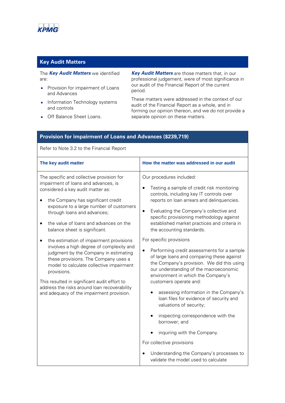

# **Key Audit Matters**

The **Key Audit Matters** we identified are:

- Provision for impairment of Loans and Advances
- Information Technology systems and controls
- Off Balance Sheet Loans.

**Key Audit Matters** are those matters that, in our professional judgement, were of most significance in our audit of the Financial Report of the current period.

These matters were addressed in the context of our audit of the Financial Report as a whole, and in forming our opinion thereon, and we do not provide a separate opinion on these matters.

| Provision for impairment of Loans and Advances (\$239,719)                                                                                                                                                                                                                                                                                                                                                                                                                                                                                                                                                                                                                                        |                                                                                                                                                                                                                                                                                                                                                                                                                                                                                                                                                                                                                                                                                                                                                                                                                                                                                                                                                                       |  |  |
|---------------------------------------------------------------------------------------------------------------------------------------------------------------------------------------------------------------------------------------------------------------------------------------------------------------------------------------------------------------------------------------------------------------------------------------------------------------------------------------------------------------------------------------------------------------------------------------------------------------------------------------------------------------------------------------------------|-----------------------------------------------------------------------------------------------------------------------------------------------------------------------------------------------------------------------------------------------------------------------------------------------------------------------------------------------------------------------------------------------------------------------------------------------------------------------------------------------------------------------------------------------------------------------------------------------------------------------------------------------------------------------------------------------------------------------------------------------------------------------------------------------------------------------------------------------------------------------------------------------------------------------------------------------------------------------|--|--|
| Refer to Note 3.2 to the Financial Report                                                                                                                                                                                                                                                                                                                                                                                                                                                                                                                                                                                                                                                         |                                                                                                                                                                                                                                                                                                                                                                                                                                                                                                                                                                                                                                                                                                                                                                                                                                                                                                                                                                       |  |  |
| The key audit matter                                                                                                                                                                                                                                                                                                                                                                                                                                                                                                                                                                                                                                                                              | How the matter was addressed in our audit                                                                                                                                                                                                                                                                                                                                                                                                                                                                                                                                                                                                                                                                                                                                                                                                                                                                                                                             |  |  |
| The specific and collective provision for<br>impairment of loans and advances, is<br>considered a key audit matter as:<br>the Company has significant credit<br>exposure to a large number of customers<br>through loans and advances;<br>the value of loans and advances on the<br>balance sheet is significant.<br>the estimation of impairment provisions<br>involves a high degree of complexity and<br>judgment by the Company in estimating<br>these provisions. The Company uses a<br>model to calculate collective impairment<br>provisions.<br>This resulted in significant audit effort to<br>address the risks around loan recoverability<br>and adequacy of the impairment provision. | Our procedures included:<br>Testing a sample of credit risk monitoring<br>controls, including key IT controls over<br>reports on loan arrears and delinquencies.<br>Evaluating the Company's collective and<br>$\bullet$<br>specific provisioning methodology against<br>established market practices and criteria in<br>the accounting standards.<br>For specific provisions<br>Performing credit assessments for a sample<br>$\bullet$<br>of large loans and comparing these against<br>the Company's provision. We did this using<br>our understanding of the macroeconomic<br>environment in which the Company's<br>customers operate and:<br>assessing information in the Company's<br>loan files for evidence of security and<br>valuations of security;<br>inspecting correspondence with the<br>borrower; and<br>inquiring with the Company.<br>For collective provisions<br>Understanding the Company's processes to<br>validate the model used to calculate |  |  |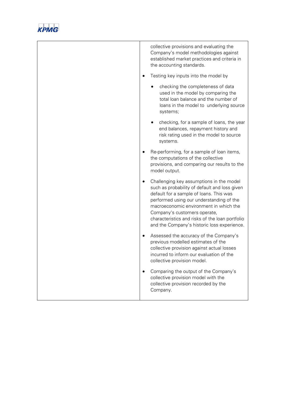

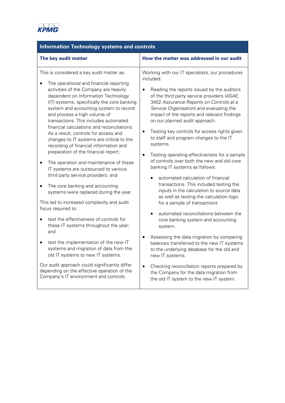| <b>Information Technology systems and controls</b>                                                                                                                                                                                                                                                                                                                                                                                                                                                                                                                                                                                                                                                                                                                                                                                                                                                                              |                                                                                                                                                                                                                                                                                                                                                                                                                                                                                                                                                                                                                                                                                                                                                                                                                                                                           |  |  |  |
|---------------------------------------------------------------------------------------------------------------------------------------------------------------------------------------------------------------------------------------------------------------------------------------------------------------------------------------------------------------------------------------------------------------------------------------------------------------------------------------------------------------------------------------------------------------------------------------------------------------------------------------------------------------------------------------------------------------------------------------------------------------------------------------------------------------------------------------------------------------------------------------------------------------------------------|---------------------------------------------------------------------------------------------------------------------------------------------------------------------------------------------------------------------------------------------------------------------------------------------------------------------------------------------------------------------------------------------------------------------------------------------------------------------------------------------------------------------------------------------------------------------------------------------------------------------------------------------------------------------------------------------------------------------------------------------------------------------------------------------------------------------------------------------------------------------------|--|--|--|
| The key audit matter                                                                                                                                                                                                                                                                                                                                                                                                                                                                                                                                                                                                                                                                                                                                                                                                                                                                                                            | How the matter was addressed in our audit                                                                                                                                                                                                                                                                                                                                                                                                                                                                                                                                                                                                                                                                                                                                                                                                                                 |  |  |  |
| This is considered a key audit matter as:<br>The operational and financial reporting<br>activities of the Company are heavily<br>dependent on Information Technology<br>(IT) systems, specifically the core banking<br>system and accounting system to record<br>and process a high volume of<br>transactions. This includes automated<br>financial calculations and reconciliations.<br>As a result, controls for access and<br>changes to IT systems are critical to the<br>recording of financial information and<br>preparation of the financial report;<br>The operation and maintenance of these<br>IT systems are outsourced to various<br>third party service providers; and<br>The core banking and accounting<br>systems were replaced during the year.<br>This led to increased complexity and audit<br>focus required to:<br>test the effectiveness of controls for<br>these IT systems throughout the year;<br>and | Working with our IT specialists, our procedures<br>included:<br>Reading the reports issued by the auditors<br>of the third party service providers (ASAE<br>3402 Assurance Reports on Controls at a<br>Service Organisation) and evaluating the<br>impact of the reports and relevant findings<br>on our planned audit approach.<br>Testing key controls for access rights given<br>to staff and program changes to the IT<br>systems.<br>Testing operating effectiveness for a sample<br>of controls over both the new and old core<br>banking IT systems as follows:<br>automated calculation of financial<br>transactions. This included testing the<br>inputs in the calculation to source data<br>as well as testing the calculation logic<br>for a sample of transactions<br>automated reconciliations between the<br>core banking system and accounting<br>system. |  |  |  |
| test the implementation of the new IT<br>systems and migration of data from the<br>old IT systems to new IT systems.                                                                                                                                                                                                                                                                                                                                                                                                                                                                                                                                                                                                                                                                                                                                                                                                            | Assessing the data migration by comparing<br>balances transferred to the new IT systems<br>to the underlying database for the old and<br>new IT systems.                                                                                                                                                                                                                                                                                                                                                                                                                                                                                                                                                                                                                                                                                                                  |  |  |  |
| Our audit approach could significantly differ                                                                                                                                                                                                                                                                                                                                                                                                                                                                                                                                                                                                                                                                                                                                                                                                                                                                                   | Checking reconciliation reports prepared by                                                                                                                                                                                                                                                                                                                                                                                                                                                                                                                                                                                                                                                                                                                                                                                                                               |  |  |  |

the Company for the data migration from the old IT system to the new IT system.

Our audit approach could significantly differ depending on the effective operation of the Company's IT environment and controls.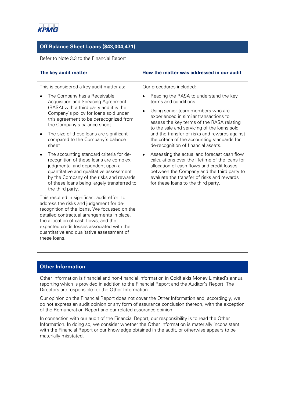

## **Off Balance Sheet Loans (\$43,004,471)**

Refer to Note 3.3 to the Financial Report

| The key audit matter                                                                                                                                                                                                                                                                                                                                          | How the matter was addressed in our audit                                                                                                                                                                                                                                                                                                                               |  |
|---------------------------------------------------------------------------------------------------------------------------------------------------------------------------------------------------------------------------------------------------------------------------------------------------------------------------------------------------------------|-------------------------------------------------------------------------------------------------------------------------------------------------------------------------------------------------------------------------------------------------------------------------------------------------------------------------------------------------------------------------|--|
| This is considered a key audit matter as:<br>The Company has a Receivable<br>Acquisition and Servicing Agreement<br>(RASA) with a third party and it is the<br>Company's policy for loans sold under<br>this agreement to be derecognized from<br>the Company's balance sheet<br>The size of these loans are significant<br>compared to the Company's balance | Our procedures included:<br>Reading the RASA to understand the key<br>terms and conditions.<br>Using senior team members who are<br>experienced in similar transactions to<br>assess the key terms of the RASA relating<br>to the sale and servicing of the loans sold<br>and the transfer of risks and rewards against<br>the criteria of the accounting standards for |  |
| sheet<br>The accounting standard criteria for de-<br>recognition of these loans are complex,<br>judgmental and dependent upon a<br>quantitative and qualitative assessment<br>by the Company of the risks and rewards<br>of these loans being largely transferred to<br>the third party.                                                                      | de-recognition of financial assets.<br>Assessing the actual and forecast cash flow<br>calculations over the lifetime of the loans for<br>allocation of cash flows and credit losses<br>between the Company and the third party to<br>evaluate the transfer of risks and rewards<br>for these loans to the third party.                                                  |  |
| This resulted in significant audit effort to<br>address the risks and judgement for de-<br>recognition of the loans. We focussed on the<br>detailed contractual arrangements in place,<br>the allocation of cash flows, and the<br>expected credit losses associated with the<br>quantitative and qualitative assessment of<br>these loans.                   |                                                                                                                                                                                                                                                                                                                                                                         |  |

# **Other Information**

Other Information is financial and non-financial information in Goldfields Money Limited's annual reporting which is provided in addition to the Financial Report and the Auditor's Report. The Directors are responsible for the Other Information.

Our opinion on the Financial Report does not cover the Other Information and, accordingly, we do not express an audit opinion or any form of assurance conclusion thereon, with the exception of the Remuneration Report and our related assurance opinion.

In connection with our audit of the Financial Report, our responsibility is to read the Other Information. In doing so, we consider whether the Other Information is materially inconsistent with the Financial Report or our knowledge obtained in the audit, or otherwise appears to be materially misstated.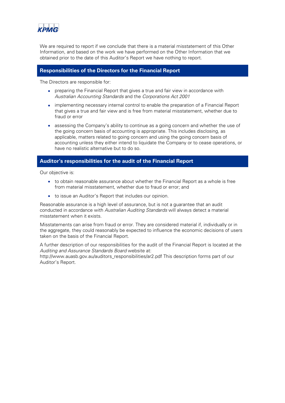

We are required to report if we conclude that there is a material misstatement of this Other Information, and based on the work we have performed on the Other Information that we obtained prior to the date of this Auditor's Report we have nothing to report.

### **Responsibilities of the Directors for the Financial Report**

The Directors are responsible for:

- preparing the Financial Report that gives a true and fair view in accordance with Australian Accounting Standards and the Corporations Act 2001
- implementing necessary internal control to enable the preparation of a Financial Report that gives a true and fair view and is free from material misstatement, whether due to fraud or error
- assessing the Company's ability to continue as a going concern and whether the use of the going concern basis of accounting is appropriate. This includes disclosing, as applicable, matters related to going concern and using the going concern basis of accounting unless they either intend to liquidate the Company or to cease operations, or have no realistic alternative but to do so.

### **Auditor's responsibilities for the audit of the Financial Report**

Our objective is:

- to obtain reasonable assurance about whether the Financial Report as a whole is free from material misstatement, whether due to fraud or error; and
- to issue an Auditor's Report that includes our opinion.

Reasonable assurance is a high level of assurance, but is not a guarantee that an audit conducted in accordance with Australian Auditing Standards will always detect a material misstatement when it exists.

Misstatements can arise from fraud or error. They are considered material if, individually or in the aggregate, they could reasonably be expected to influence the economic decisions of users taken on the basis of the Financial Report.

A further description of our responsibilities for the audit of the Financial Report is located at the Auditing and Assurance Standards Board website at:

http://www.auasb.gov.au/auditors\_responsibilities/ar2.pdf This description forms part of our Auditor's Report.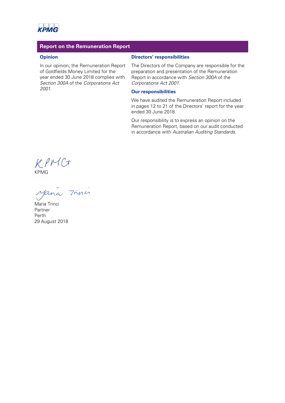

### **Report on the Remuneration Report**

### **Opinion**

In our opinion, the Remuneration Report of Goldfields Money Limited for the year ended 30 June 2018 complies with Section 300A of the Corporations Act 2001.

### **Directors' responsibilities**

The Directors of the Company are responsible for the preparation and presentation of the Remuneration Report in accordance with Section 300A of the Corporations Act 2001.

### **Our responsibilities**

We have audited the Remuneration Report included in pages 12 to 21 of the Directors' report for the year ended 30 June 2018.

Our responsibility is to express an opinion on the Remuneration Report, based on our audit conducted in accordance with Australian Auditing Standards.

KPMC+<br>KPMG<br>Mana 7mini

Maria Trinci Partner Perth 29 August 2018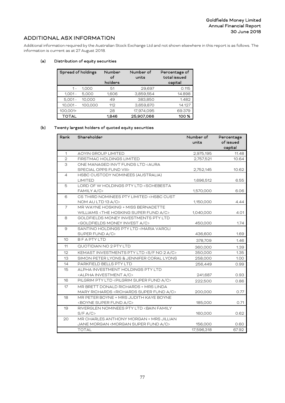# ADDITIONAL ASX INFORMATION

Additional information required by the Australian Stock Exchange Ltd and not shown elsewhere in this report is as follows. The information is current as at 27 August 2018.

### (a) Distribution of equity securities

| Spread of holdings |         | Number<br>of<br>holders | Number of<br>Percentage of<br>total issued<br>units<br>capital |        |
|--------------------|---------|-------------------------|----------------------------------------------------------------|--------|
| $1 -$              | 1,000   | 51                      | 29,697                                                         | 0.115  |
| $1,001 -$          | 5.000   | 1,606                   | 3,859,554                                                      | 14.898 |
| $5,001 -$          | 10,000  | 49                      | 383,850                                                        | 1.482  |
| $10,001 -$         | 100,000 | 112                     | 3,659,870                                                      | 14.127 |
| 100,001+           |         | 28                      | 17,974,095                                                     | 69.379 |
| TOTAL              |         | 1.846                   | 25,907,066                                                     | 100 %  |

#### (b) Twenty largest holders of quoted equity securities

| Rank           | Shareholder                                                                  | Number of  | Percentage |
|----------------|------------------------------------------------------------------------------|------------|------------|
|                |                                                                              | units      | of issued  |
|                |                                                                              |            | capital    |
| $\mathbf{1}$   | <b>AOYIN GROUP LIMITED</b>                                                   | 2,975,195  | 11.48      |
| $\overline{2}$ | FIRSTMAC HOLDINGS LIMITED                                                    | 2,757,521  | 10.64      |
| 3              | ONE MANAGED INVT FUNDS LTD <aura< td=""><td></td><td></td></aura<>           |            |            |
|                | SPECIAL OPPS FUND VIII>                                                      | 2,752,145  | 10.62      |
| 4              | HSBC CUSTODY NOMINEES (AUSTRALIA)                                            |            |            |
|                | <b>LIMITED</b>                                                               | 1,696,512  | 6.55       |
| 5              | LORD OF W HOLDINGS PTY LTD <schebesta< td=""><td></td><td></td></schebesta<> |            |            |
|                | FAMILY A/C>                                                                  | 1,570,000  | 6.06       |
| 6              | CS THIRD NOMINEES PTY LIMITED <hsbc cust<="" td=""><td></td><td></td></hsbc> |            |            |
|                | NOM AU LTD 13 A/C>                                                           | 1,150,000  | 4.44       |
| $\overline{7}$ | MR WAYNE HOSKING + MISS BERNADETTE                                           |            |            |
|                | WILLIAMS <the a="" c="" fund="" hosking="" super=""></the>                   | 1,040,000  | 4.01       |
| 8              | GOLDFIELDS MONEY INVESTMENTS PTY LTD                                         |            |            |
|                | <goldfields a="" c="" invest="" money=""></goldfields>                       | 450,000    | 1.74       |
| 9              | SANTINO HOLDINGS PTY LTD <maria varoli<br="">SUPER FUND A/C&gt;</maria>      | 436,600    | 1.69       |
| 10             | <b>BFAPTYLTD</b>                                                             |            |            |
|                |                                                                              | 378,709    | 1.46       |
| 11             | QUOTIDIAN NO 2 PTY LTD                                                       | 360,000    | 1.39       |
| 12             | KEMAST INVESTMENTS PTY LTD <s 2="" a="" c="" f="" no=""></s>                 | 350,000    | 1.35       |
| 13             | SIMON PETER LYONS & JENNIFER CORAL LYONS                                     | 258,000    | 1.00       |
| 14             | PARKFIELD BELLS PTY LTD                                                      | 256,449    | 0.99       |
| 15             | ALPHA INVESTMENT HOLDINGS PTY LTD                                            |            |            |
|                | <alpha a="" c="" investment=""></alpha>                                      | 241,687    | 0.93       |
| 16             | PILGRIM PTY LTD <pilgrim a="" c="" fund="" super=""></pilgrim>               | 222,500    | 0.86       |
| 17             | MR BRETT DONALD RICHARDS + MRS LINDA                                         |            |            |
|                | MARY RICHARDS <richards a="" c="" fund="" super=""></richards>               | 200,000    | 0.77       |
| 18             | MR PETER BOYNE + MRS JUDITH KAYE BOYNE                                       |            |            |
|                | <boyne a="" c="" fund="" super=""></boyne>                                   | 185,000    | 0.71       |
| 19             | RIVERGLEN NOMINEES PTY LTD <bain family<="" td=""><td></td><td></td></bain>  |            |            |
|                | S/F A/C                                                                      | 160,000    | 0.62       |
| 20             | MR CHARLES ANTHONY MORGAN + MRS JILLIAN                                      |            |            |
|                | JANE MORGAN <morgan a="" c="" fund="" super=""></morgan>                     | 156,000    | 0.60       |
|                | <b>TOTAL</b>                                                                 | 17,596,318 | 67.92      |